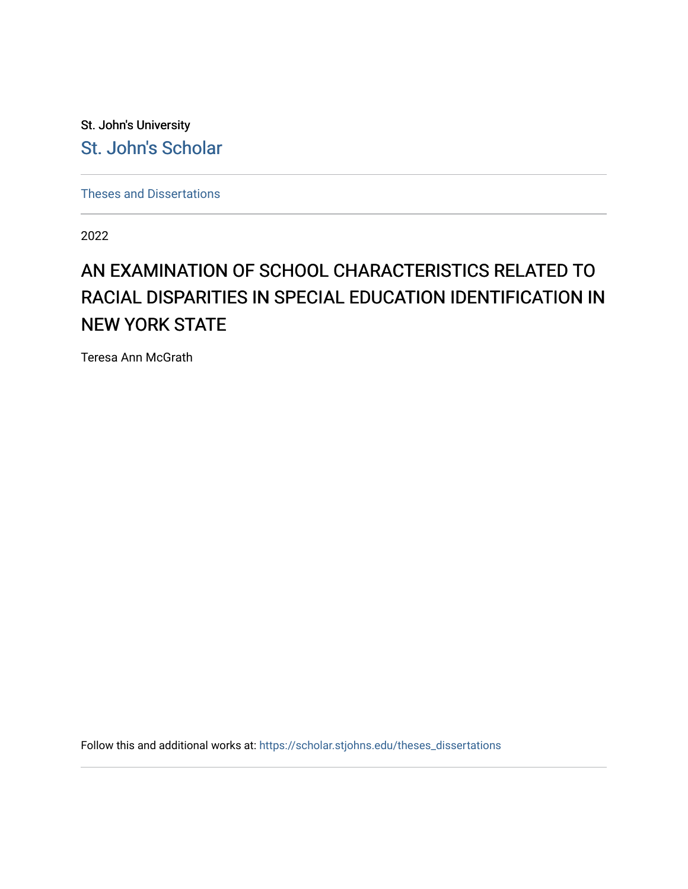St. John's University [St. John's Scholar](https://scholar.stjohns.edu/) 

[Theses and Dissertations](https://scholar.stjohns.edu/theses_dissertations)

2022

# AN EXAMINATION OF SCHOOL CHARACTERISTICS RELATED TO RACIAL DISPARITIES IN SPECIAL EDUCATION IDENTIFICATION IN NEW YORK STATE

Teresa Ann McGrath

Follow this and additional works at: [https://scholar.stjohns.edu/theses\\_dissertations](https://scholar.stjohns.edu/theses_dissertations?utm_source=scholar.stjohns.edu%2Ftheses_dissertations%2F358&utm_medium=PDF&utm_campaign=PDFCoverPages)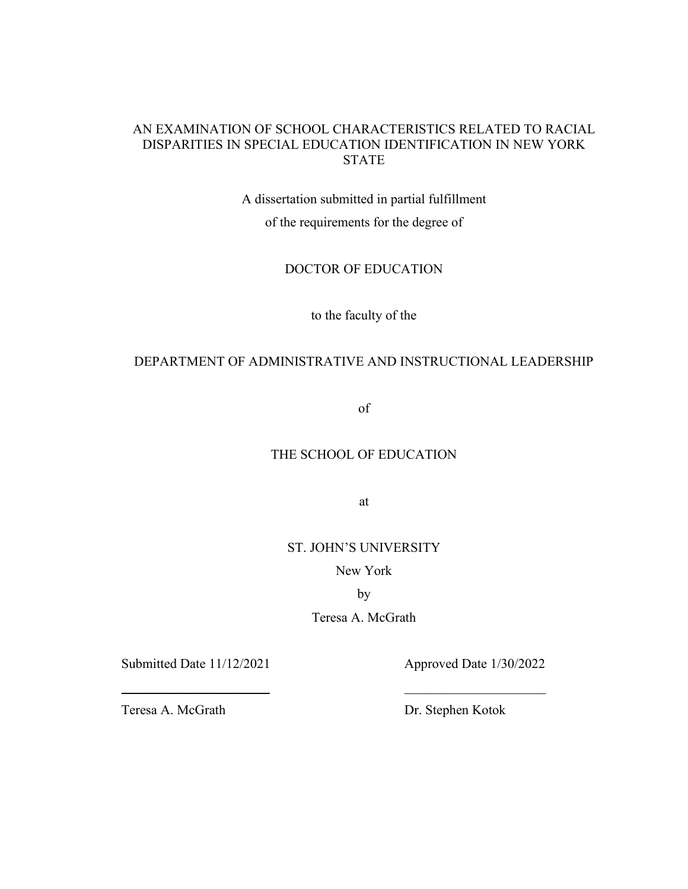# AN EXAMINATION OF SCHOOL CHARACTERISTICS RELATED TO RACIAL DISPARITIES IN SPECIAL EDUCATION IDENTIFICATION IN NEW YORK STATE

A dissertation submitted in partial fulfillment of the requirements for the degree of

DOCTOR OF EDUCATION

to the faculty of the

# DEPARTMENT OF ADMINISTRATIVE AND INSTRUCTIONAL LEADERSHIP

of

# THE SCHOOL OF EDUCATION

at

# ST. JOHN'S UNIVERSITY

New York

by

Teresa A. McGrath

 $\frac{1}{2}$  ,  $\frac{1}{2}$  ,  $\frac{1}{2}$  ,  $\frac{1}{2}$  ,  $\frac{1}{2}$  ,  $\frac{1}{2}$  ,  $\frac{1}{2}$  ,  $\frac{1}{2}$  ,  $\frac{1}{2}$  ,  $\frac{1}{2}$  ,  $\frac{1}{2}$  ,  $\frac{1}{2}$  ,  $\frac{1}{2}$  ,  $\frac{1}{2}$  ,  $\frac{1}{2}$  ,  $\frac{1}{2}$  ,  $\frac{1}{2}$  ,  $\frac{1}{2}$  ,  $\frac{1$ 

Submitted Date 11/12/2021 Approved Date 1/30/2022

Teresa A. McGrath Dr. Stephen Kotok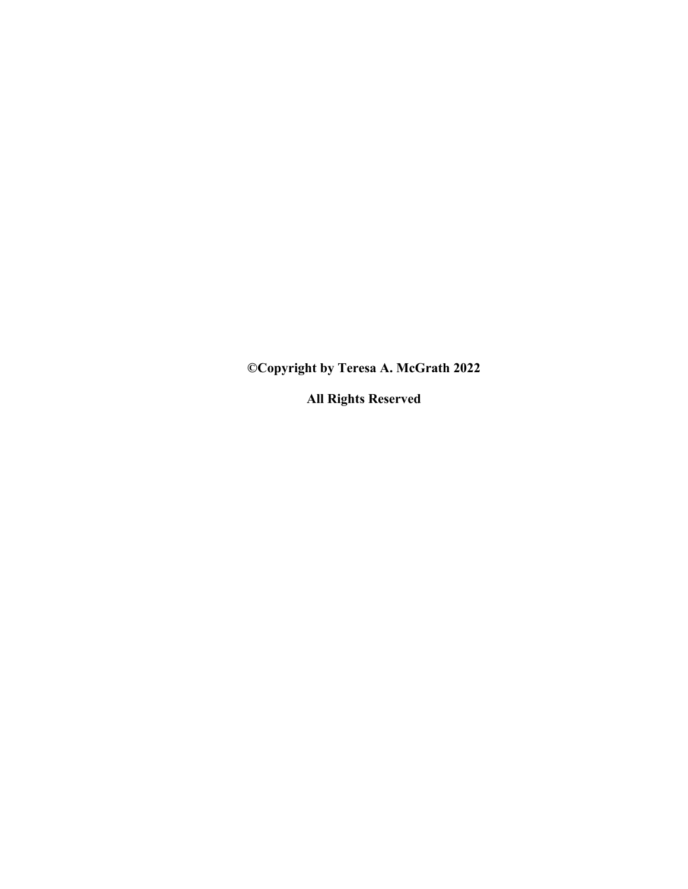**©Copyright by Teresa A. McGrath 2022**

**All Rights Reserved**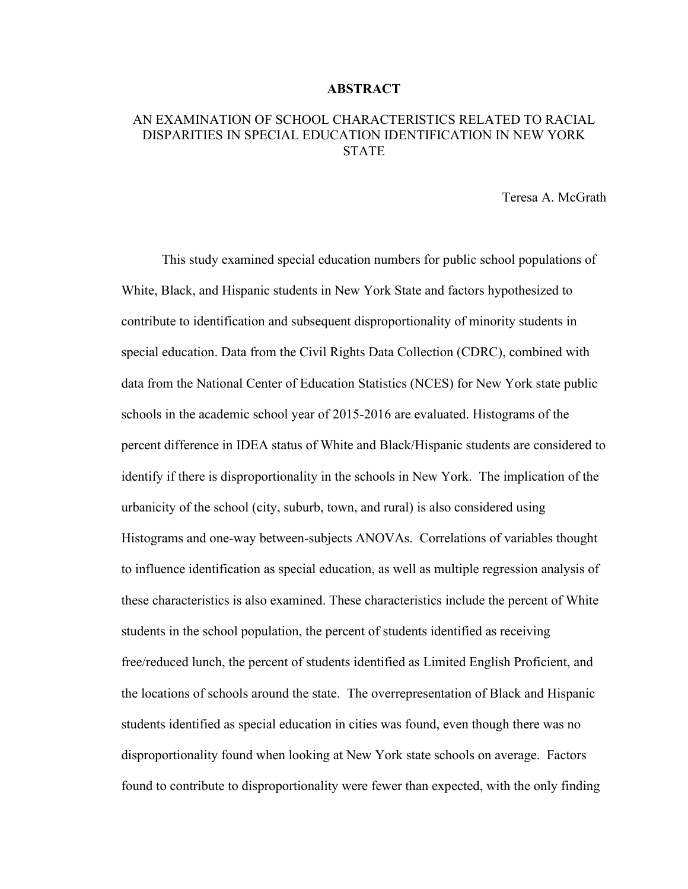#### **ABSTRACT**

# AN EXAMINATION OF SCHOOL CHARACTERISTICS RELATED TO RACIAL DISPARITIES IN SPECIAL EDUCATION IDENTIFICATION IN NEW YORK **STATE**

Teresa A. McGrath

This study examined special education numbers for public school populations of White, Black, and Hispanic students in New York State and factors hypothesized to contribute to identification and subsequent disproportionality of minority students in special education. Data from the Civil Rights Data Collection (CDRC), combined with data from the National Center of Education Statistics (NCES) for New York state public schools in the academic school year of 2015-2016 are evaluated. Histograms of the percent difference in IDEA status of White and Black/Hispanic students are considered to identify if there is disproportionality in the schools in New York. The implication of the urbanicity of the school (city, suburb, town, and rural) is also considered using Histograms and one-way between-subjects ANOVAs. Correlations of variables thought to influence identification as special education, as well as multiple regression analysis of these characteristics is also examined. These characteristics include the percent of White students in the school population, the percent of students identified as receiving free/reduced lunch, the percent of students identified as Limited English Proficient, and the locations of schools around the state. The overrepresentation of Black and Hispanic students identified as special education in cities was found, even though there was no disproportionality found when looking at New York state schools on average. Factors found to contribute to disproportionality were fewer than expected, with the only finding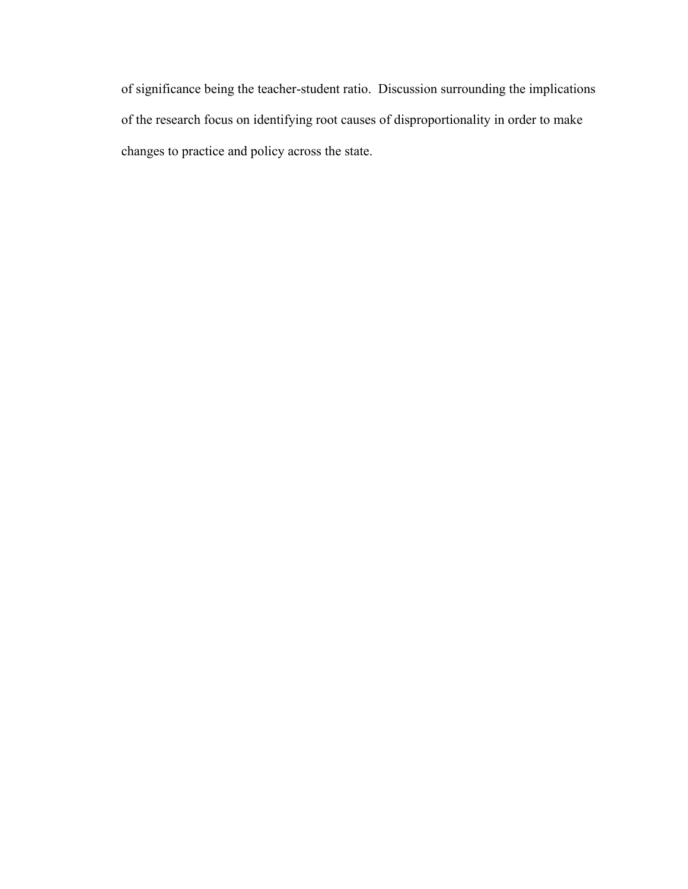of significance being the teacher-student ratio. Discussion surrounding the implications of the research focus on identifying root causes of disproportionality in order to make changes to practice and policy across the state.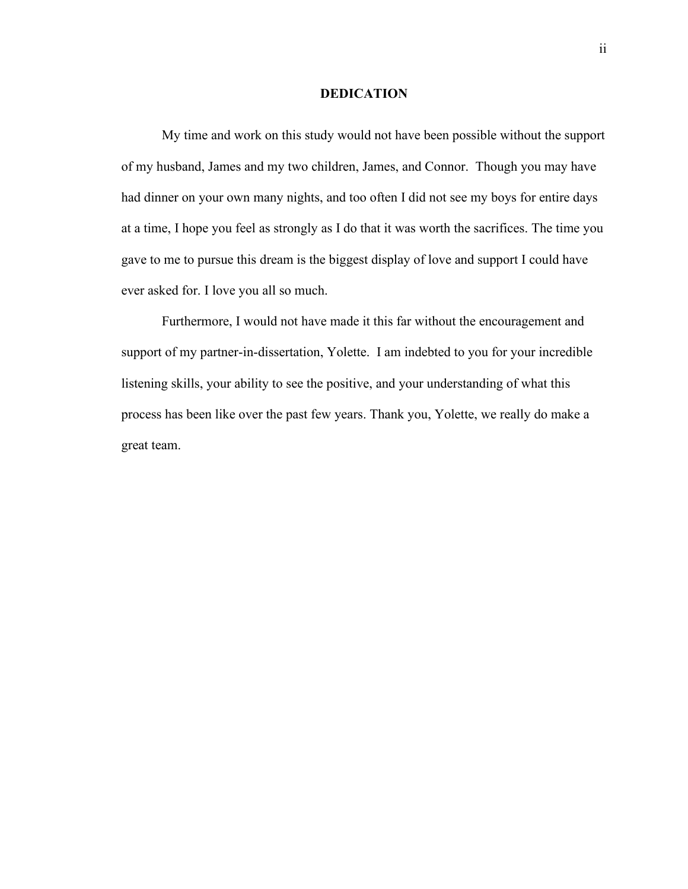# **DEDICATION**

<span id="page-5-0"></span>My time and work on this study would not have been possible without the support of my husband, James and my two children, James, and Connor. Though you may have had dinner on your own many nights, and too often I did not see my boys for entire days at a time, I hope you feel as strongly as I do that it was worth the sacrifices. The time you gave to me to pursue this dream is the biggest display of love and support I could have ever asked for. I love you all so much.

Furthermore, I would not have made it this far without the encouragement and support of my partner-in-dissertation, Yolette. I am indebted to you for your incredible listening skills, your ability to see the positive, and your understanding of what this process has been like over the past few years. Thank you, Yolette, we really do make a great team.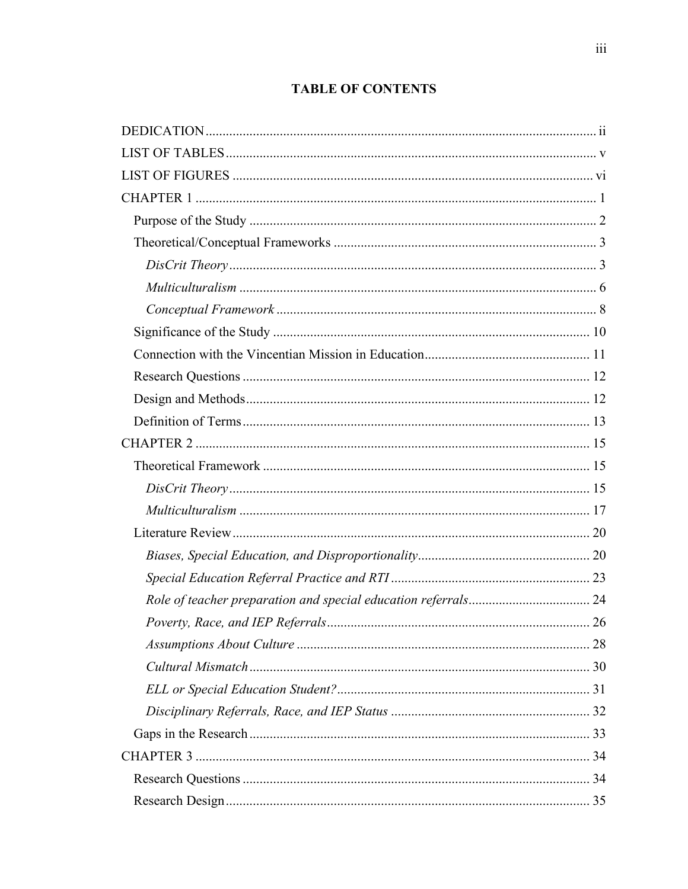# **TABLE OF CONTENTS**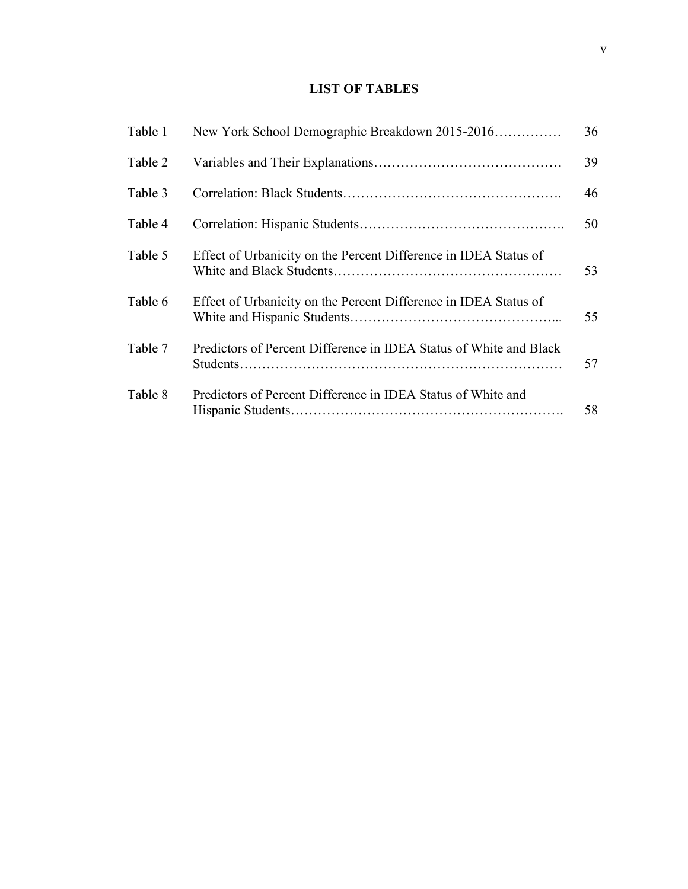# **LIST OF TABLES**

<span id="page-8-0"></span>

| Table 1 | New York School Demographic Breakdown 2015-2016                    | 36 |
|---------|--------------------------------------------------------------------|----|
| Table 2 |                                                                    | 39 |
| Table 3 |                                                                    | 46 |
| Table 4 |                                                                    | 50 |
| Table 5 | Effect of Urbanicity on the Percent Difference in IDEA Status of   | 53 |
| Table 6 | Effect of Urbanicity on the Percent Difference in IDEA Status of   | 55 |
| Table 7 | Predictors of Percent Difference in IDEA Status of White and Black | 57 |
| Table 8 | Predictors of Percent Difference in IDEA Status of White and       | 58 |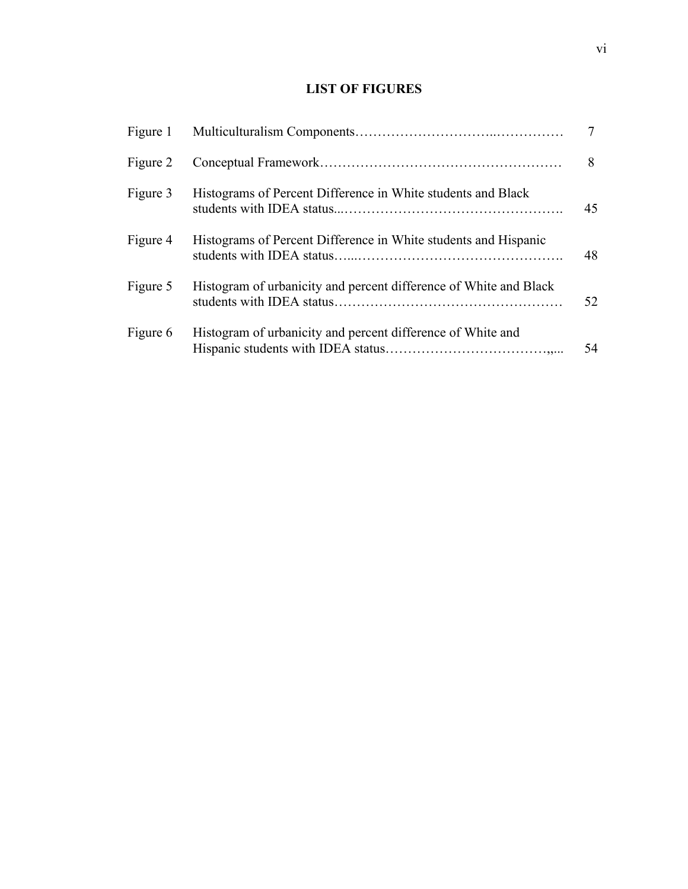# **LIST OF FIGURES**

<span id="page-9-0"></span>

|          |                                                                   | 7  |
|----------|-------------------------------------------------------------------|----|
| Figure 2 |                                                                   | 8  |
| Figure 3 | Histograms of Percent Difference in White students and Black      | 45 |
| Figure 4 | Histograms of Percent Difference in White students and Hispanic   | 48 |
| Figure 5 | Histogram of urbanicity and percent difference of White and Black | 52 |
| Figure 6 | Histogram of urbanicity and percent difference of White and       | 54 |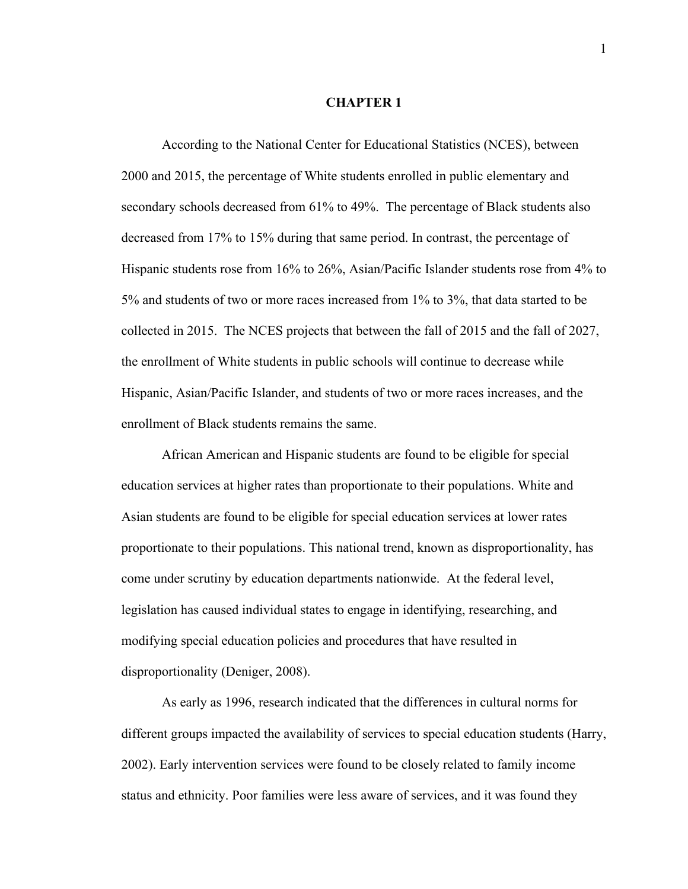#### **CHAPTER 1**

<span id="page-10-0"></span>According to the National Center for Educational Statistics (NCES), between 2000 and 2015, the percentage of White students enrolled in public elementary and secondary schools decreased from 61% to 49%. The percentage of Black students also decreased from 17% to 15% during that same period. In contrast, the percentage of Hispanic students rose from 16% to 26%, Asian/Pacific Islander students rose from 4% to 5% and students of two or more races increased from 1% to 3%, that data started to be collected in 2015. The NCES projects that between the fall of 2015 and the fall of 2027, the enrollment of White students in public schools will continue to decrease while Hispanic, Asian/Pacific Islander, and students of two or more races increases, and the enrollment of Black students remains the same.

African American and Hispanic students are found to be eligible for special education services at higher rates than proportionate to their populations. White and Asian students are found to be eligible for special education services at lower rates proportionate to their populations. This national trend, known as disproportionality, has come under scrutiny by education departments nationwide. At the federal level, legislation has caused individual states to engage in identifying, researching, and modifying special education policies and procedures that have resulted in disproportionality (Deniger, 2008).

As early as 1996, research indicated that the differences in cultural norms for different groups impacted the availability of services to special education students (Harry, 2002). Early intervention services were found to be closely related to family income status and ethnicity. Poor families were less aware of services, and it was found they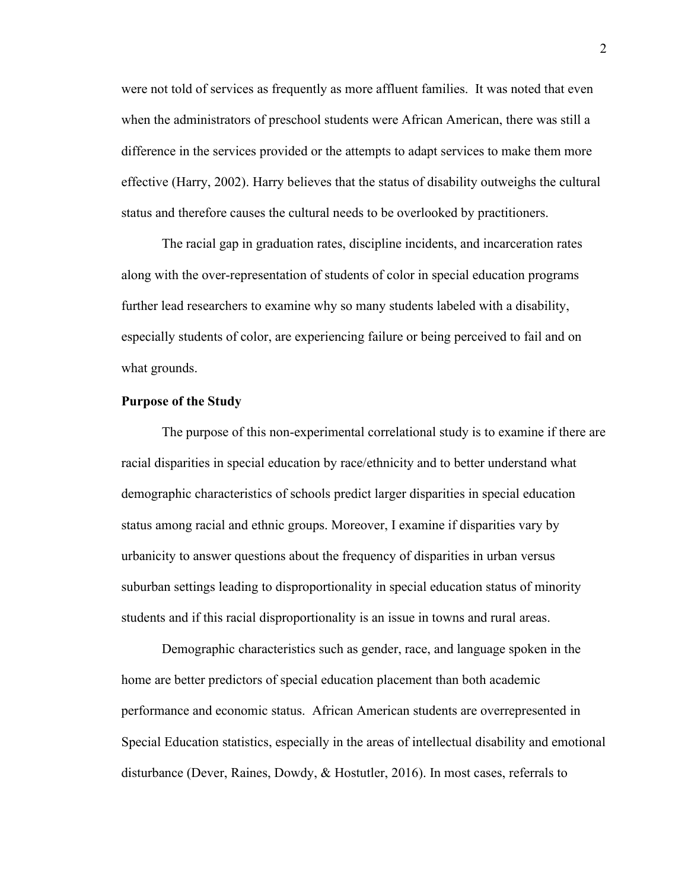were not told of services as frequently as more affluent families. It was noted that even when the administrators of preschool students were African American, there was still a difference in the services provided or the attempts to adapt services to make them more effective (Harry, 2002). Harry believes that the status of disability outweighs the cultural status and therefore causes the cultural needs to be overlooked by practitioners.

The racial gap in graduation rates, discipline incidents, and incarceration rates along with the over-representation of students of color in special education programs further lead researchers to examine why so many students labeled with a disability, especially students of color, are experiencing failure or being perceived to fail and on what grounds.

### <span id="page-11-0"></span>**Purpose of the Study**

The purpose of this non-experimental correlational study is to examine if there are racial disparities in special education by race/ethnicity and to better understand what demographic characteristics of schools predict larger disparities in special education status among racial and ethnic groups. Moreover, I examine if disparities vary by urbanicity to answer questions about the frequency of disparities in urban versus suburban settings leading to disproportionality in special education status of minority students and if this racial disproportionality is an issue in towns and rural areas.

Demographic characteristics such as gender, race, and language spoken in the home are better predictors of special education placement than both academic performance and economic status. African American students are overrepresented in Special Education statistics, especially in the areas of intellectual disability and emotional disturbance (Dever, Raines, Dowdy, & Hostutler, 2016). In most cases, referrals to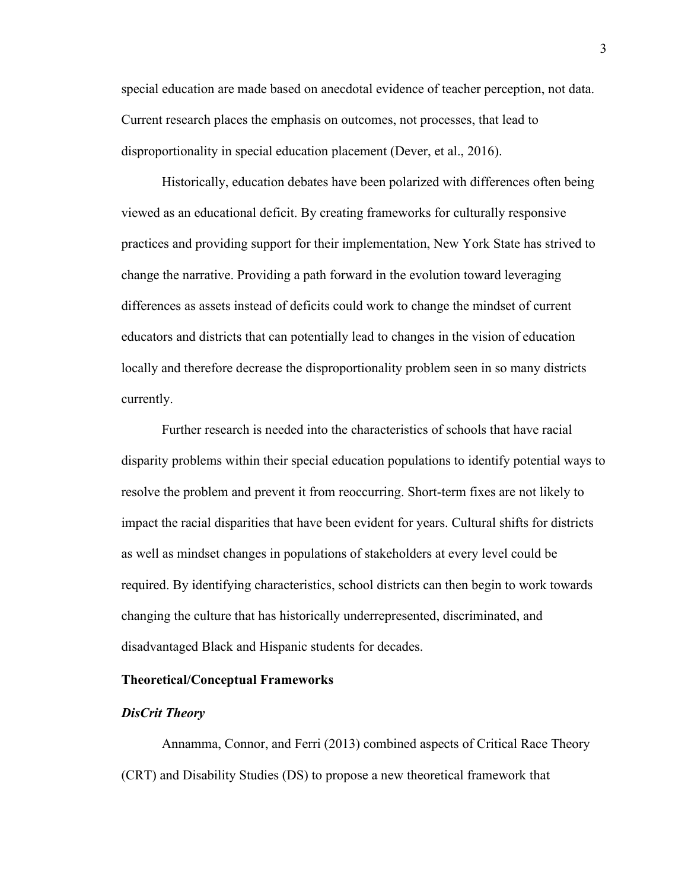special education are made based on anecdotal evidence of teacher perception, not data. Current research places the emphasis on outcomes, not processes, that lead to disproportionality in special education placement (Dever, et al., 2016).

Historically, education debates have been polarized with differences often being viewed as an educational deficit. By creating frameworks for culturally responsive practices and providing support for their implementation, New York State has strived to change the narrative. Providing a path forward in the evolution toward leveraging differences as assets instead of deficits could work to change the mindset of current educators and districts that can potentially lead to changes in the vision of education locally and therefore decrease the disproportionality problem seen in so many districts currently.

Further research is needed into the characteristics of schools that have racial disparity problems within their special education populations to identify potential ways to resolve the problem and prevent it from reoccurring. Short-term fixes are not likely to impact the racial disparities that have been evident for years. Cultural shifts for districts as well as mindset changes in populations of stakeholders at every level could be required. By identifying characteristics, school districts can then begin to work towards changing the culture that has historically underrepresented, discriminated, and disadvantaged Black and Hispanic students for decades.

# <span id="page-12-0"></span>**Theoretical/Conceptual Frameworks**

# <span id="page-12-1"></span>*DisCrit Theory*

Annamma, Connor, and Ferri (2013) combined aspects of Critical Race Theory (CRT) and Disability Studies (DS) to propose a new theoretical framework that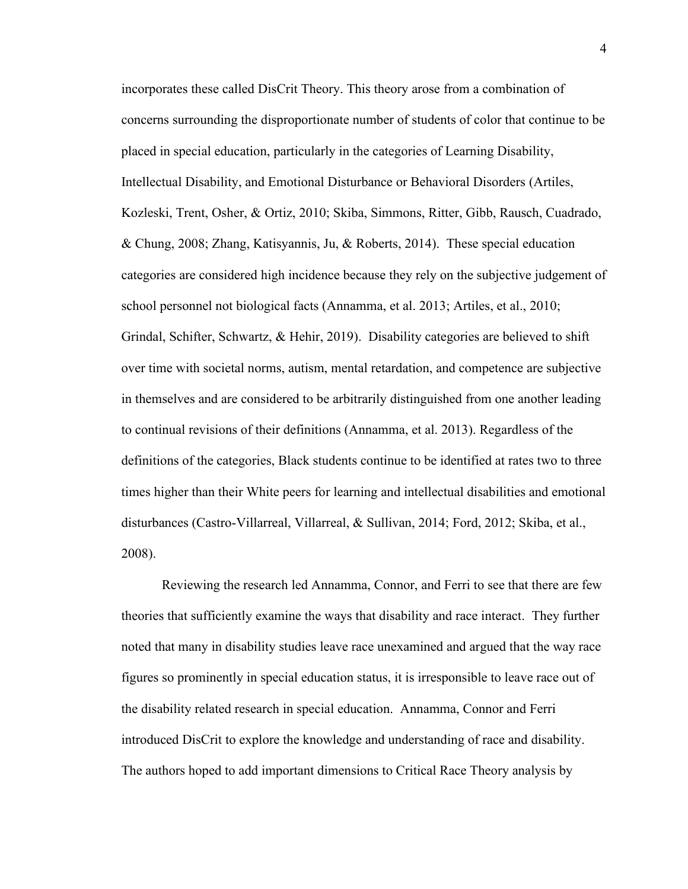incorporates these called DisCrit Theory. This theory arose from a combination of concerns surrounding the disproportionate number of students of color that continue to be placed in special education, particularly in the categories of Learning Disability, Intellectual Disability, and Emotional Disturbance or Behavioral Disorders (Artiles, Kozleski, Trent, Osher, & Ortiz, 2010; Skiba, Simmons, Ritter, Gibb, Rausch, Cuadrado, & Chung, 2008; Zhang, Katisyannis, Ju, & Roberts, 2014). These special education categories are considered high incidence because they rely on the subjective judgement of school personnel not biological facts (Annamma, et al. 2013; Artiles, et al., 2010; Grindal, Schifter, Schwartz, & Hehir, 2019). Disability categories are believed to shift over time with societal norms, autism, mental retardation, and competence are subjective in themselves and are considered to be arbitrarily distinguished from one another leading to continual revisions of their definitions (Annamma, et al. 2013). Regardless of the definitions of the categories, Black students continue to be identified at rates two to three times higher than their White peers for learning and intellectual disabilities and emotional disturbances (Castro-Villarreal, Villarreal, & Sullivan, 2014; Ford, 2012; Skiba, et al., 2008).

Reviewing the research led Annamma, Connor, and Ferri to see that there are few theories that sufficiently examine the ways that disability and race interact. They further noted that many in disability studies leave race unexamined and argued that the way race figures so prominently in special education status, it is irresponsible to leave race out of the disability related research in special education. Annamma, Connor and Ferri introduced DisCrit to explore the knowledge and understanding of race and disability. The authors hoped to add important dimensions to Critical Race Theory analysis by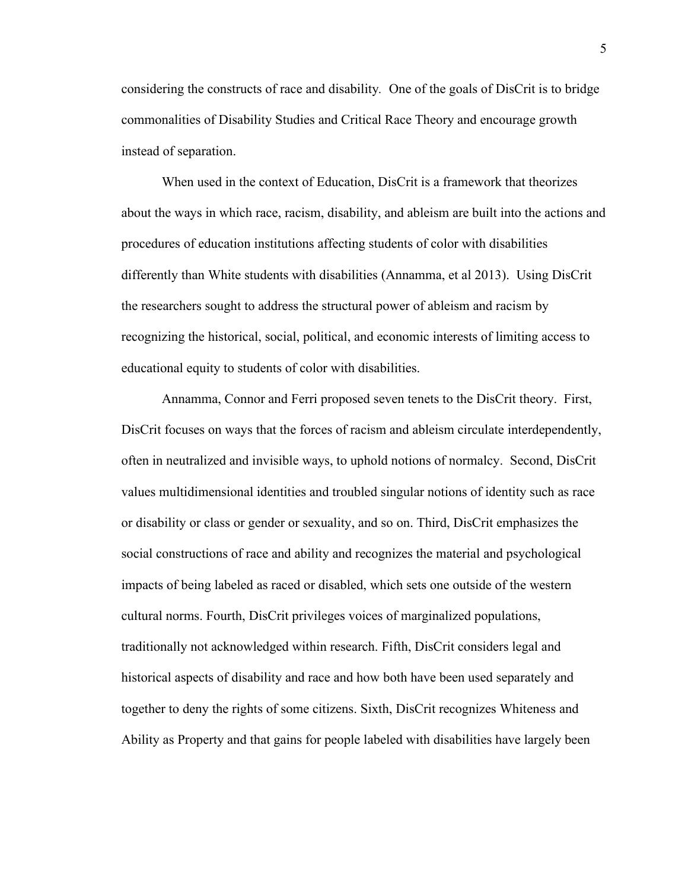considering the constructs of race and disability*.* One of the goals of DisCrit is to bridge commonalities of Disability Studies and Critical Race Theory and encourage growth instead of separation.

When used in the context of Education, DisCrit is a framework that theorizes about the ways in which race, racism, disability, and ableism are built into the actions and procedures of education institutions affecting students of color with disabilities differently than White students with disabilities (Annamma, et al 2013). Using DisCrit the researchers sought to address the structural power of ableism and racism by recognizing the historical, social, political, and economic interests of limiting access to educational equity to students of color with disabilities.

Annamma, Connor and Ferri proposed seven tenets to the DisCrit theory. First, DisCrit focuses on ways that the forces of racism and ableism circulate interdependently, often in neutralized and invisible ways, to uphold notions of normalcy. Second, DisCrit values multidimensional identities and troubled singular notions of identity such as race or disability or class or gender or sexuality, and so on. Third, DisCrit emphasizes the social constructions of race and ability and recognizes the material and psychological impacts of being labeled as raced or disabled, which sets one outside of the western cultural norms. Fourth, DisCrit privileges voices of marginalized populations, traditionally not acknowledged within research. Fifth, DisCrit considers legal and historical aspects of disability and race and how both have been used separately and together to deny the rights of some citizens. Sixth, DisCrit recognizes Whiteness and Ability as Property and that gains for people labeled with disabilities have largely been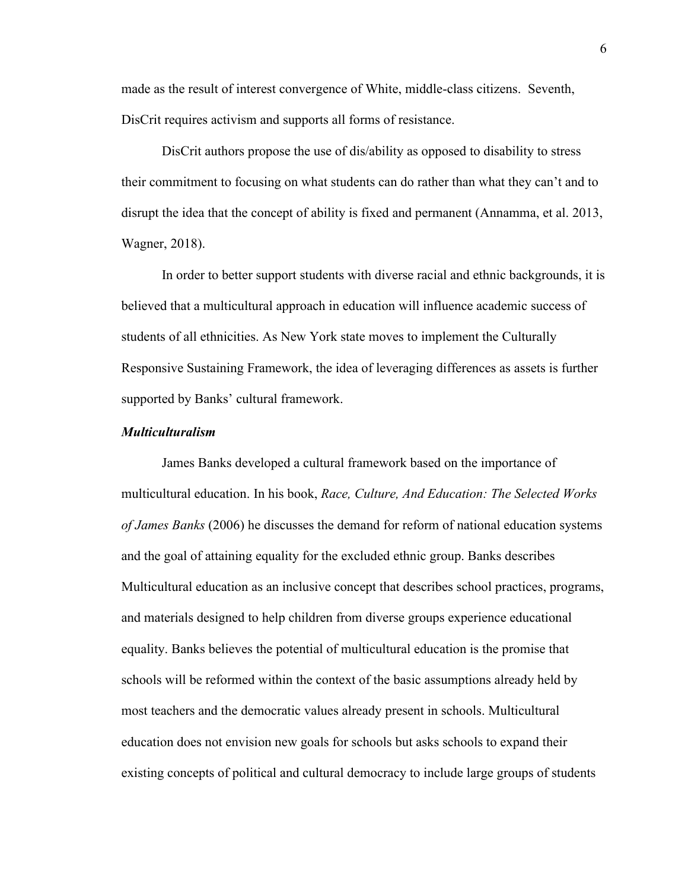made as the result of interest convergence of White, middle-class citizens. Seventh, DisCrit requires activism and supports all forms of resistance.

DisCrit authors propose the use of dis/ability as opposed to disability to stress their commitment to focusing on what students can do rather than what they can't and to disrupt the idea that the concept of ability is fixed and permanent (Annamma, et al. 2013, Wagner, 2018).

In order to better support students with diverse racial and ethnic backgrounds, it is believed that a multicultural approach in education will influence academic success of students of all ethnicities. As New York state moves to implement the Culturally Responsive Sustaining Framework, the idea of leveraging differences as assets is further supported by Banks' cultural framework.

# <span id="page-15-0"></span>*Multiculturalism*

James Banks developed a cultural framework based on the importance of multicultural education. In his book, *Race, Culture, And Education: The Selected Works of James Banks* (2006) he discusses the demand for reform of national education systems and the goal of attaining equality for the excluded ethnic group. Banks describes Multicultural education as an inclusive concept that describes school practices, programs, and materials designed to help children from diverse groups experience educational equality. Banks believes the potential of multicultural education is the promise that schools will be reformed within the context of the basic assumptions already held by most teachers and the democratic values already present in schools. Multicultural education does not envision new goals for schools but asks schools to expand their existing concepts of political and cultural democracy to include large groups of students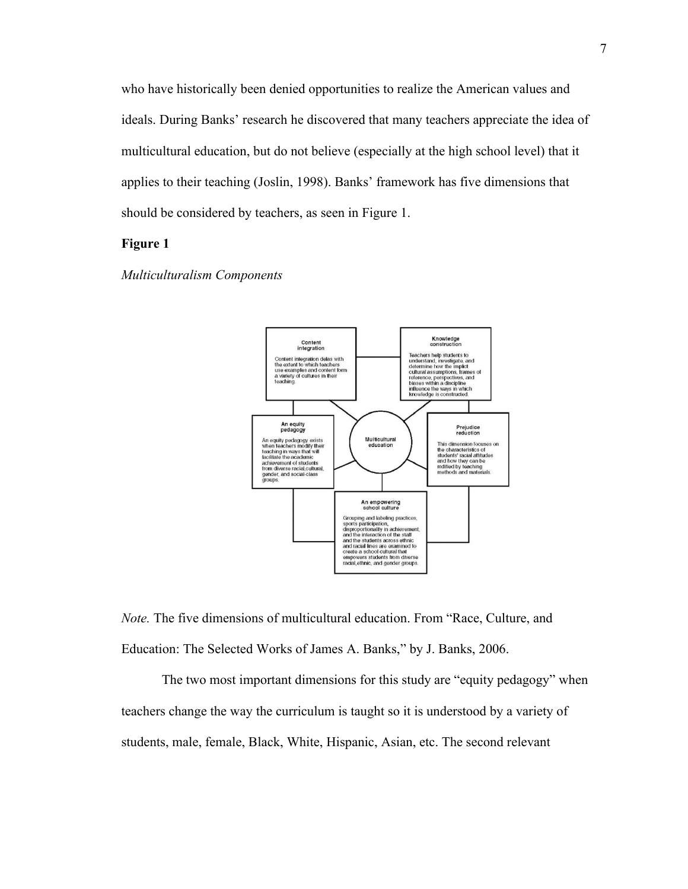who have historically been denied opportunities to realize the American values and ideals. During Banks' research he discovered that many teachers appreciate the idea of multicultural education, but do not believe (especially at the high school level) that it applies to their teaching (Joslin, 1998). Banks' framework has five dimensions that should be considered by teachers, as seen in Figure 1.

# **Figure 1**





*Note.* The five dimensions of multicultural education. From "Race, Culture, and Education: The Selected Works of James A. Banks," by J. Banks, 2006.

The two most important dimensions for this study are "equity pedagogy" when teachers change the way the curriculum is taught so it is understood by a variety of students, male, female, Black, White, Hispanic, Asian, etc. The second relevant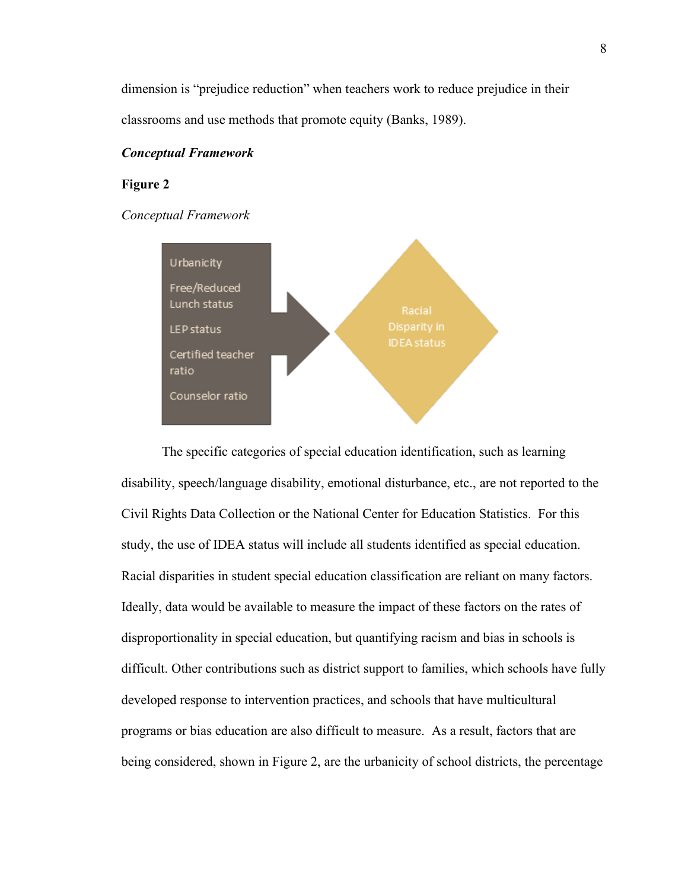dimension is "prejudice reduction" when teachers work to reduce prejudice in their classrooms and use methods that promote equity (Banks, 1989).

# <span id="page-17-0"></span>*Conceptual Framework*

# **Figure 2**

# *Conceptual Framework*



The specific categories of special education identification, such as learning disability, speech/language disability, emotional disturbance, etc., are not reported to the Civil Rights Data Collection or the National Center for Education Statistics. For this study, the use of IDEA status will include all students identified as special education. Racial disparities in student special education classification are reliant on many factors. Ideally, data would be available to measure the impact of these factors on the rates of disproportionality in special education, but quantifying racism and bias in schools is difficult. Other contributions such as district support to families, which schools have fully developed response to intervention practices, and schools that have multicultural programs or bias education are also difficult to measure. As a result, factors that are being considered, shown in Figure 2, are the urbanicity of school districts, the percentage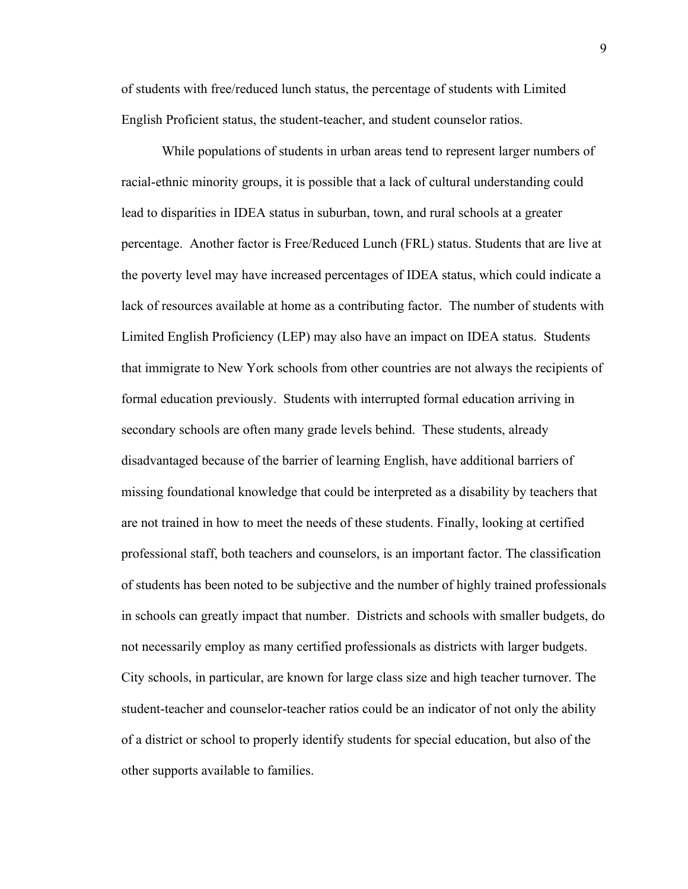of students with free/reduced lunch status, the percentage of students with Limited English Proficient status, the student-teacher, and student counselor ratios.

While populations of students in urban areas tend to represent larger numbers of racial-ethnic minority groups, it is possible that a lack of cultural understanding could lead to disparities in IDEA status in suburban, town, and rural schools at a greater percentage. Another factor is Free/Reduced Lunch (FRL) status. Students that are live at the poverty level may have increased percentages of IDEA status, which could indicate a lack of resources available at home as a contributing factor. The number of students with Limited English Proficiency (LEP) may also have an impact on IDEA status. Students that immigrate to New York schools from other countries are not always the recipients of formal education previously. Students with interrupted formal education arriving in secondary schools are often many grade levels behind. These students, already disadvantaged because of the barrier of learning English, have additional barriers of missing foundational knowledge that could be interpreted as a disability by teachers that are not trained in how to meet the needs of these students. Finally, looking at certified professional staff, both teachers and counselors, is an important factor. The classification of students has been noted to be subjective and the number of highly trained professionals in schools can greatly impact that number. Districts and schools with smaller budgets, do not necessarily employ as many certified professionals as districts with larger budgets. City schools, in particular, are known for large class size and high teacher turnover. The student-teacher and counselor-teacher ratios could be an indicator of not only the ability of a district or school to properly identify students for special education, but also of the other supports available to families.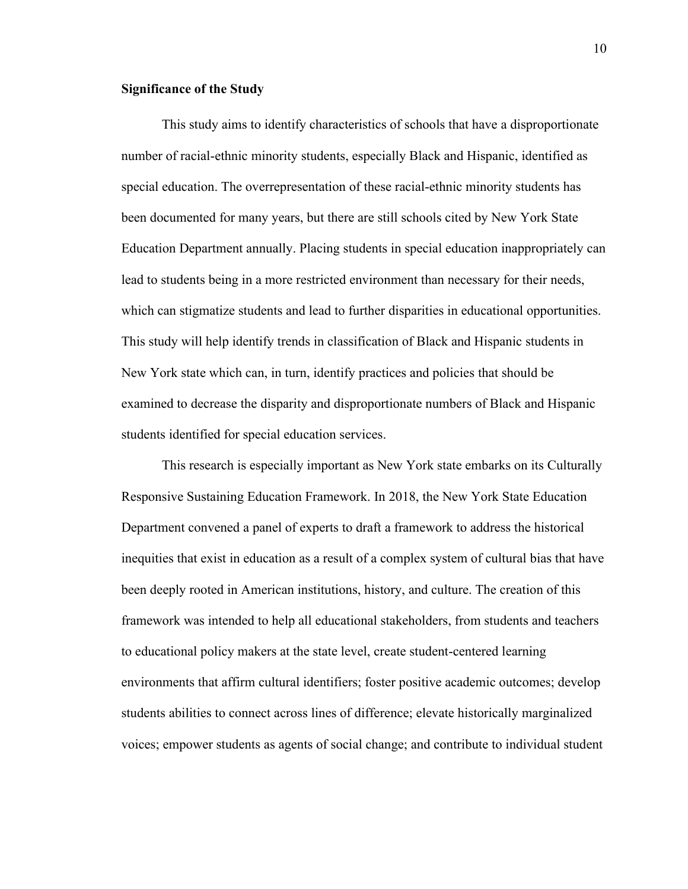# <span id="page-19-0"></span>**Significance of the Study**

This study aims to identify characteristics of schools that have a disproportionate number of racial-ethnic minority students, especially Black and Hispanic, identified as special education. The overrepresentation of these racial-ethnic minority students has been documented for many years, but there are still schools cited by New York State Education Department annually. Placing students in special education inappropriately can lead to students being in a more restricted environment than necessary for their needs, which can stigmatize students and lead to further disparities in educational opportunities. This study will help identify trends in classification of Black and Hispanic students in New York state which can, in turn, identify practices and policies that should be examined to decrease the disparity and disproportionate numbers of Black and Hispanic students identified for special education services.

This research is especially important as New York state embarks on its Culturally Responsive Sustaining Education Framework. In 2018, the New York State Education Department convened a panel of experts to draft a framework to address the historical inequities that exist in education as a result of a complex system of cultural bias that have been deeply rooted in American institutions, history, and culture. The creation of this framework was intended to help all educational stakeholders, from students and teachers to educational policy makers at the state level, create student-centered learning environments that affirm cultural identifiers; foster positive academic outcomes; develop students abilities to connect across lines of difference; elevate historically marginalized voices; empower students as agents of social change; and contribute to individual student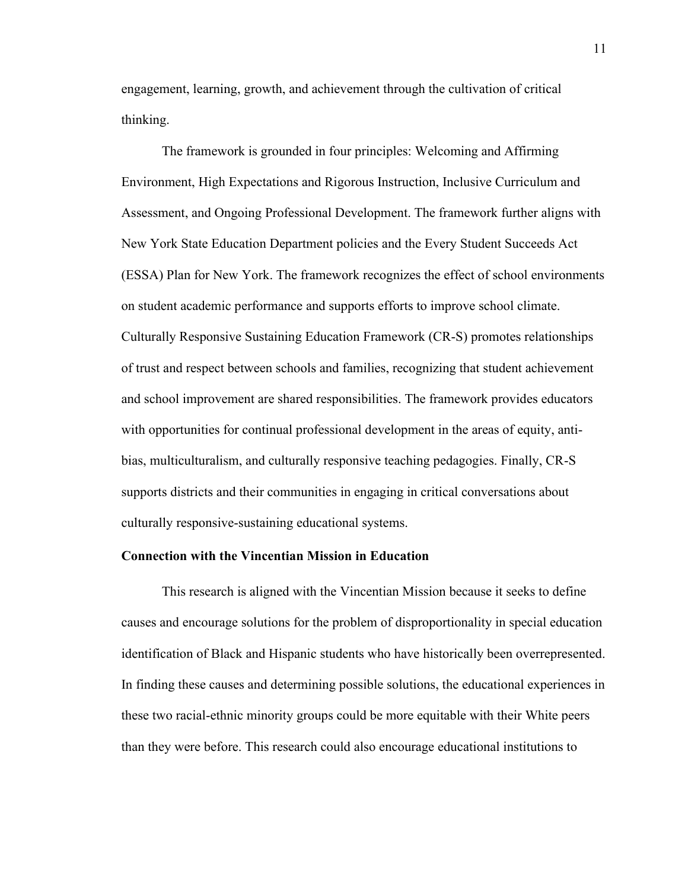engagement, learning, growth, and achievement through the cultivation of critical thinking.

The framework is grounded in four principles: Welcoming and Affirming Environment, High Expectations and Rigorous Instruction, Inclusive Curriculum and Assessment, and Ongoing Professional Development. The framework further aligns with New York State Education Department policies and the Every Student Succeeds Act (ESSA) Plan for New York. The framework recognizes the effect of school environments on student academic performance and supports efforts to improve school climate. Culturally Responsive Sustaining Education Framework (CR-S) promotes relationships of trust and respect between schools and families, recognizing that student achievement and school improvement are shared responsibilities. The framework provides educators with opportunities for continual professional development in the areas of equity, antibias, multiculturalism, and culturally responsive teaching pedagogies. Finally, CR-S supports districts and their communities in engaging in critical conversations about culturally responsive-sustaining educational systems.

#### <span id="page-20-0"></span>**Connection with the Vincentian Mission in Education**

This research is aligned with the Vincentian Mission because it seeks to define causes and encourage solutions for the problem of disproportionality in special education identification of Black and Hispanic students who have historically been overrepresented. In finding these causes and determining possible solutions, the educational experiences in these two racial-ethnic minority groups could be more equitable with their White peers than they were before. This research could also encourage educational institutions to

11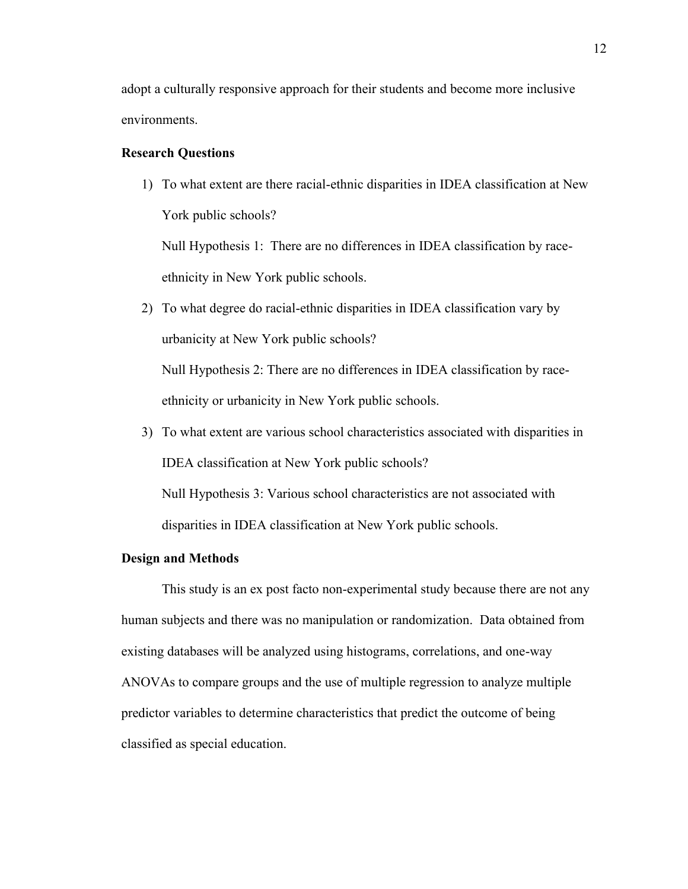adopt a culturally responsive approach for their students and become more inclusive environments.

#### <span id="page-21-0"></span>**Research Questions**

1) To what extent are there racial-ethnic disparities in IDEA classification at New York public schools?

Null Hypothesis 1: There are no differences in IDEA classification by raceethnicity in New York public schools.

2) To what degree do racial-ethnic disparities in IDEA classification vary by urbanicity at New York public schools? Null Hypothesis 2: There are no differences in IDEA classification by race-

ethnicity or urbanicity in New York public schools.

3) To what extent are various school characteristics associated with disparities in IDEA classification at New York public schools?

Null Hypothesis 3: Various school characteristics are not associated with disparities in IDEA classification at New York public schools.

# <span id="page-21-1"></span>**Design and Methods**

This study is an ex post facto non-experimental study because there are not any human subjects and there was no manipulation or randomization. Data obtained from existing databases will be analyzed using histograms, correlations, and one-way ANOVAs to compare groups and the use of multiple regression to analyze multiple predictor variables to determine characteristics that predict the outcome of being classified as special education.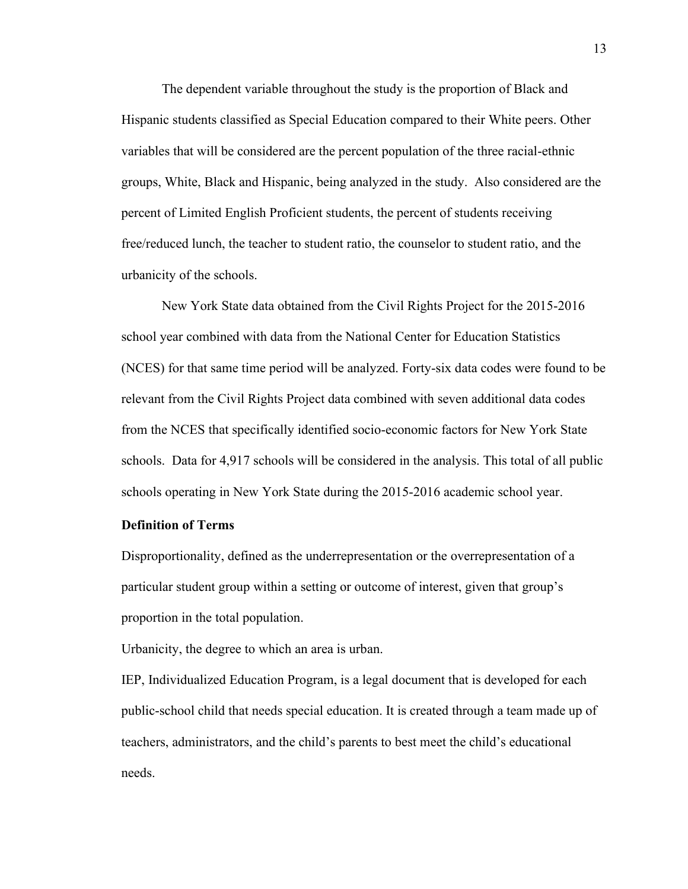The dependent variable throughout the study is the proportion of Black and Hispanic students classified as Special Education compared to their White peers. Other variables that will be considered are the percent population of the three racial-ethnic groups, White, Black and Hispanic, being analyzed in the study. Also considered are the percent of Limited English Proficient students, the percent of students receiving free/reduced lunch, the teacher to student ratio, the counselor to student ratio, and the urbanicity of the schools.

New York State data obtained from the Civil Rights Project for the 2015-2016 school year combined with data from the National Center for Education Statistics (NCES) for that same time period will be analyzed. Forty-six data codes were found to be relevant from the Civil Rights Project data combined with seven additional data codes from the NCES that specifically identified socio-economic factors for New York State schools. Data for 4,917 schools will be considered in the analysis. This total of all public schools operating in New York State during the 2015-2016 academic school year.

# <span id="page-22-0"></span>**Definition of Terms**

Disproportionality, defined as the underrepresentation or the overrepresentation of a particular student group within a setting or outcome of interest, given that group's proportion in the total population.

Urbanicity, the degree to which an area is urban.

IEP, Individualized Education Program, is a legal document that is developed for each public-school child that needs special education. It is created through a team made up of teachers, administrators, and the child's parents to best meet the child's educational needs.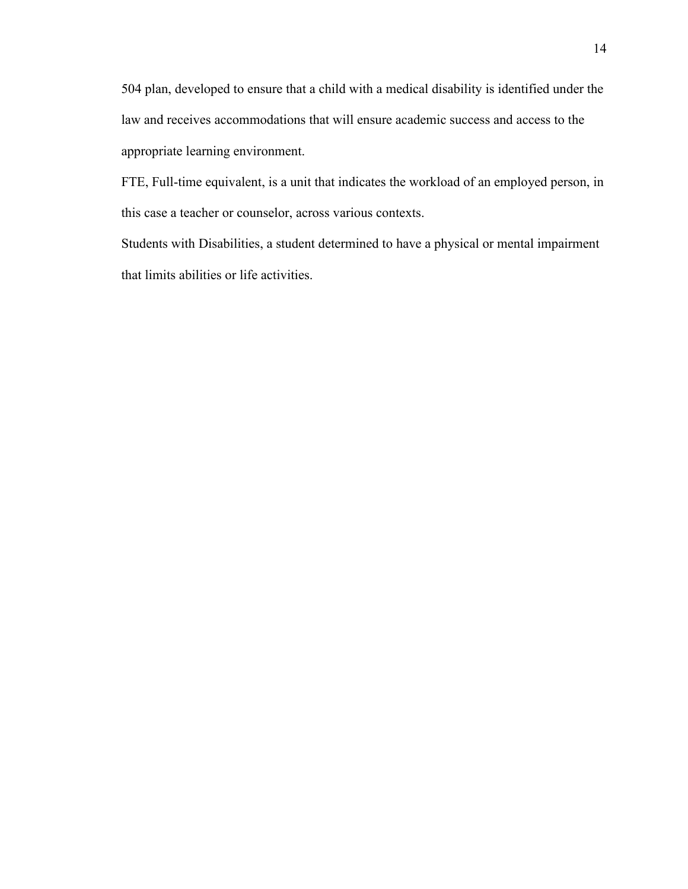504 plan, developed to ensure that a child with a medical disability is identified under the law and receives accommodations that will ensure academic success and access to the appropriate learning environment.

FTE, Full-time equivalent, is a unit that indicates the workload of an employed person, in this case a teacher or counselor, across various contexts.

Students with Disabilities, a student determined to have a physical or mental impairment that limits abilities or life activities.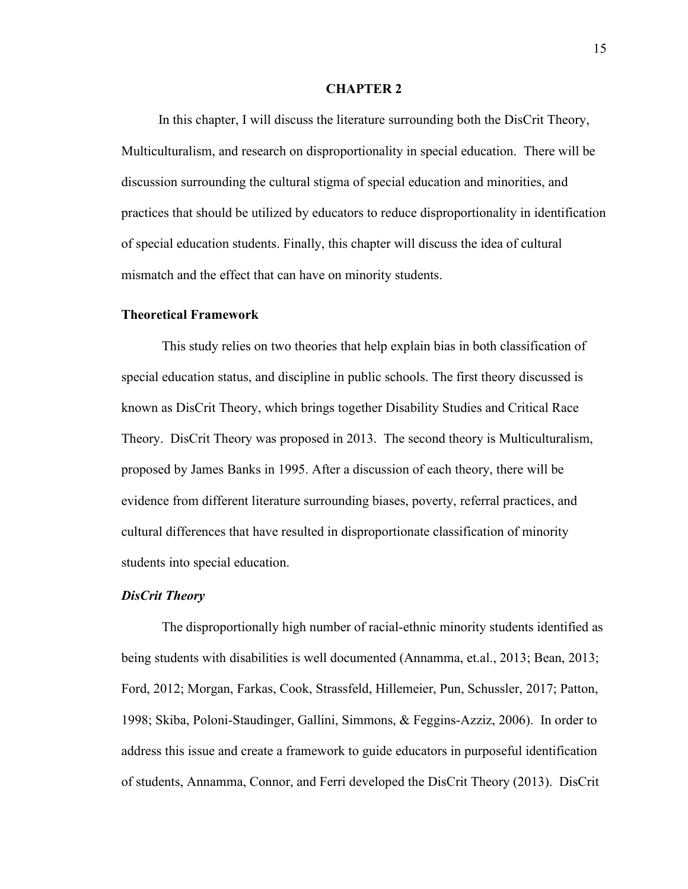#### **CHAPTER 2**

<span id="page-24-0"></span>In this chapter, I will discuss the literature surrounding both the DisCrit Theory, Multiculturalism, and research on disproportionality in special education. There will be discussion surrounding the cultural stigma of special education and minorities, and practices that should be utilized by educators to reduce disproportionality in identification of special education students. Finally, this chapter will discuss the idea of cultural mismatch and the effect that can have on minority students.

#### <span id="page-24-1"></span>**Theoretical Framework**

This study relies on two theories that help explain bias in both classification of special education status, and discipline in public schools. The first theory discussed is known as DisCrit Theory, which brings together Disability Studies and Critical Race Theory. DisCrit Theory was proposed in 2013. The second theory is Multiculturalism, proposed by James Banks in 1995. After a discussion of each theory, there will be evidence from different literature surrounding biases, poverty, referral practices, and cultural differences that have resulted in disproportionate classification of minority students into special education.

# <span id="page-24-2"></span>*DisCrit Theory*

The disproportionally high number of racial-ethnic minority students identified as being students with disabilities is well documented (Annamma, et.al., 2013; Bean, 2013; Ford, 2012; Morgan, Farkas, Cook, Strassfeld, Hillemeier, Pun, Schussler, 2017; Patton, 1998; Skiba, Poloni-Staudinger, Gallini, Simmons, & Feggins-Azziz, 2006). In order to address this issue and create a framework to guide educators in purposeful identification of students, Annamma, Connor, and Ferri developed the DisCrit Theory (2013). DisCrit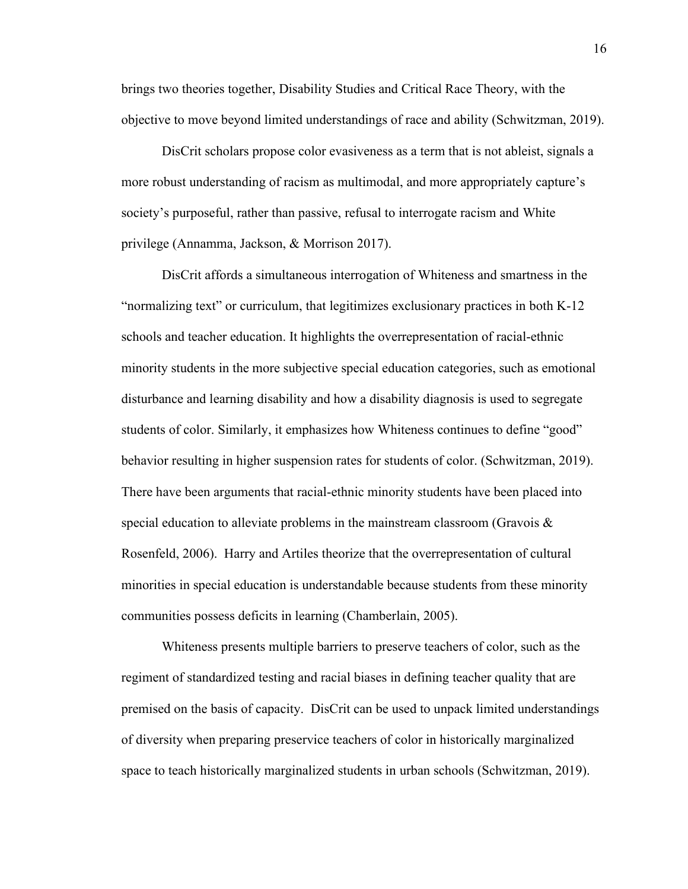brings two theories together, Disability Studies and Critical Race Theory, with the objective to move beyond limited understandings of race and ability (Schwitzman, 2019).

DisCrit scholars propose color evasiveness as a term that is not ableist, signals a more robust understanding of racism as multimodal, and more appropriately capture's society's purposeful, rather than passive, refusal to interrogate racism and White privilege (Annamma, Jackson, & Morrison 2017).

DisCrit affords a simultaneous interrogation of Whiteness and smartness in the "normalizing text" or curriculum, that legitimizes exclusionary practices in both K-12 schools and teacher education. It highlights the overrepresentation of racial-ethnic minority students in the more subjective special education categories, such as emotional disturbance and learning disability and how a disability diagnosis is used to segregate students of color. Similarly, it emphasizes how Whiteness continues to define "good" behavior resulting in higher suspension rates for students of color. (Schwitzman, 2019). There have been arguments that racial-ethnic minority students have been placed into special education to alleviate problems in the mainstream classroom (Gravois  $\&$ Rosenfeld, 2006). Harry and Artiles theorize that the overrepresentation of cultural minorities in special education is understandable because students from these minority communities possess deficits in learning (Chamberlain, 2005).

Whiteness presents multiple barriers to preserve teachers of color, such as the regiment of standardized testing and racial biases in defining teacher quality that are premised on the basis of capacity. DisCrit can be used to unpack limited understandings of diversity when preparing preservice teachers of color in historically marginalized space to teach historically marginalized students in urban schools (Schwitzman, 2019).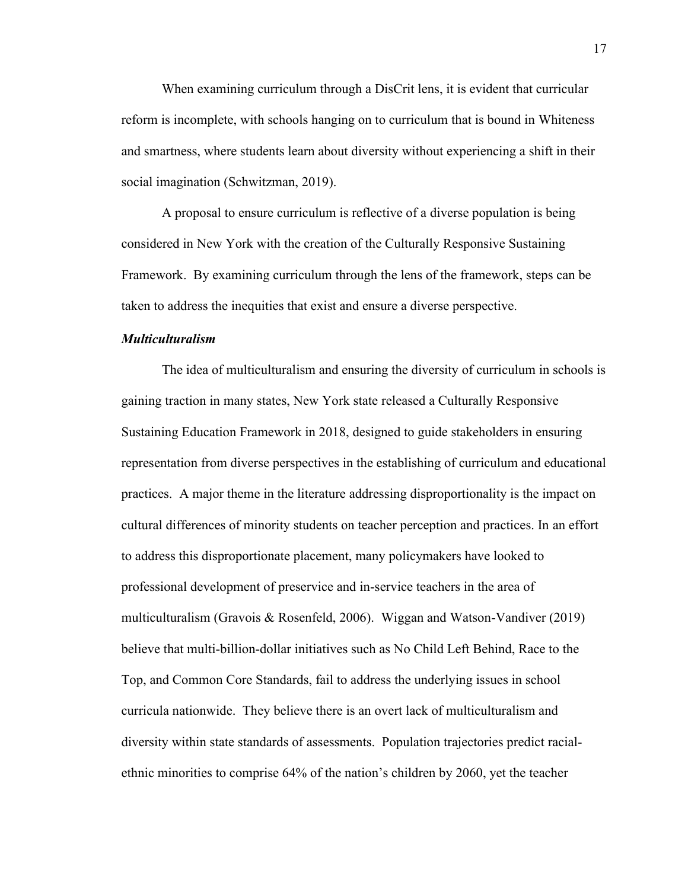When examining curriculum through a DisCrit lens, it is evident that curricular reform is incomplete, with schools hanging on to curriculum that is bound in Whiteness and smartness, where students learn about diversity without experiencing a shift in their social imagination (Schwitzman, 2019).

A proposal to ensure curriculum is reflective of a diverse population is being considered in New York with the creation of the Culturally Responsive Sustaining Framework. By examining curriculum through the lens of the framework, steps can be taken to address the inequities that exist and ensure a diverse perspective.

### <span id="page-26-0"></span>*Multiculturalism*

The idea of multiculturalism and ensuring the diversity of curriculum in schools is gaining traction in many states, New York state released a Culturally Responsive Sustaining Education Framework in 2018, designed to guide stakeholders in ensuring representation from diverse perspectives in the establishing of curriculum and educational practices. A major theme in the literature addressing disproportionality is the impact on cultural differences of minority students on teacher perception and practices. In an effort to address this disproportionate placement, many policymakers have looked to professional development of preservice and in-service teachers in the area of multiculturalism (Gravois & Rosenfeld, 2006). Wiggan and Watson-Vandiver (2019) believe that multi-billion-dollar initiatives such as No Child Left Behind, Race to the Top, and Common Core Standards, fail to address the underlying issues in school curricula nationwide. They believe there is an overt lack of multiculturalism and diversity within state standards of assessments. Population trajectories predict racialethnic minorities to comprise 64% of the nation's children by 2060, yet the teacher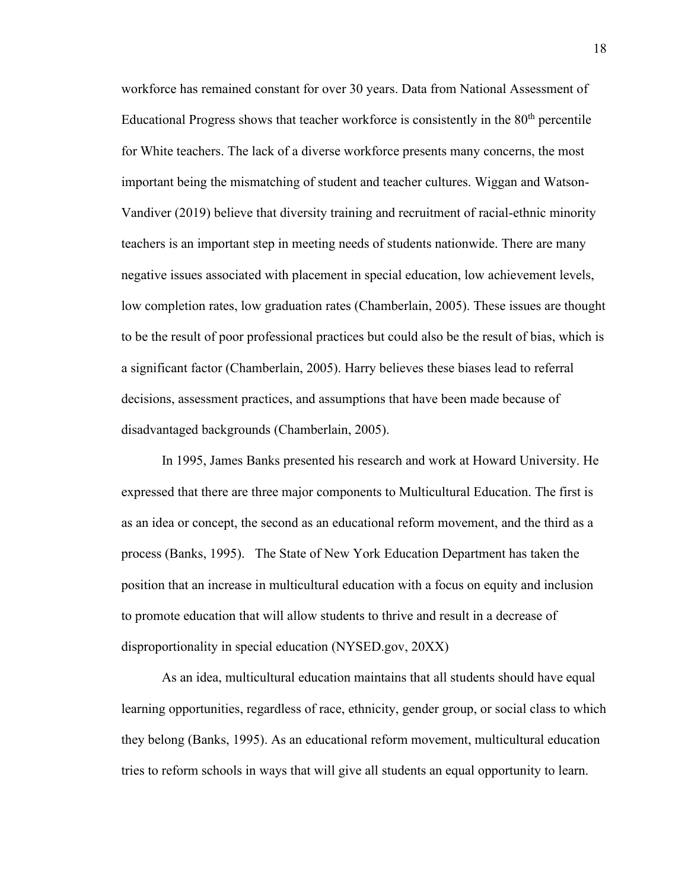workforce has remained constant for over 30 years. Data from National Assessment of Educational Progress shows that teacher workforce is consistently in the  $80<sup>th</sup>$  percentile for White teachers. The lack of a diverse workforce presents many concerns, the most important being the mismatching of student and teacher cultures. Wiggan and Watson-Vandiver (2019) believe that diversity training and recruitment of racial-ethnic minority teachers is an important step in meeting needs of students nationwide. There are many negative issues associated with placement in special education, low achievement levels, low completion rates, low graduation rates (Chamberlain, 2005). These issues are thought to be the result of poor professional practices but could also be the result of bias, which is a significant factor (Chamberlain, 2005). Harry believes these biases lead to referral decisions, assessment practices, and assumptions that have been made because of disadvantaged backgrounds (Chamberlain, 2005).

In 1995, James Banks presented his research and work at Howard University. He expressed that there are three major components to Multicultural Education. The first is as an idea or concept, the second as an educational reform movement, and the third as a process (Banks, 1995). The State of New York Education Department has taken the position that an increase in multicultural education with a focus on equity and inclusion to promote education that will allow students to thrive and result in a decrease of disproportionality in special education (NYSED.gov, 20XX)

As an idea, multicultural education maintains that all students should have equal learning opportunities, regardless of race, ethnicity, gender group, or social class to which they belong (Banks, 1995). As an educational reform movement, multicultural education tries to reform schools in ways that will give all students an equal opportunity to learn.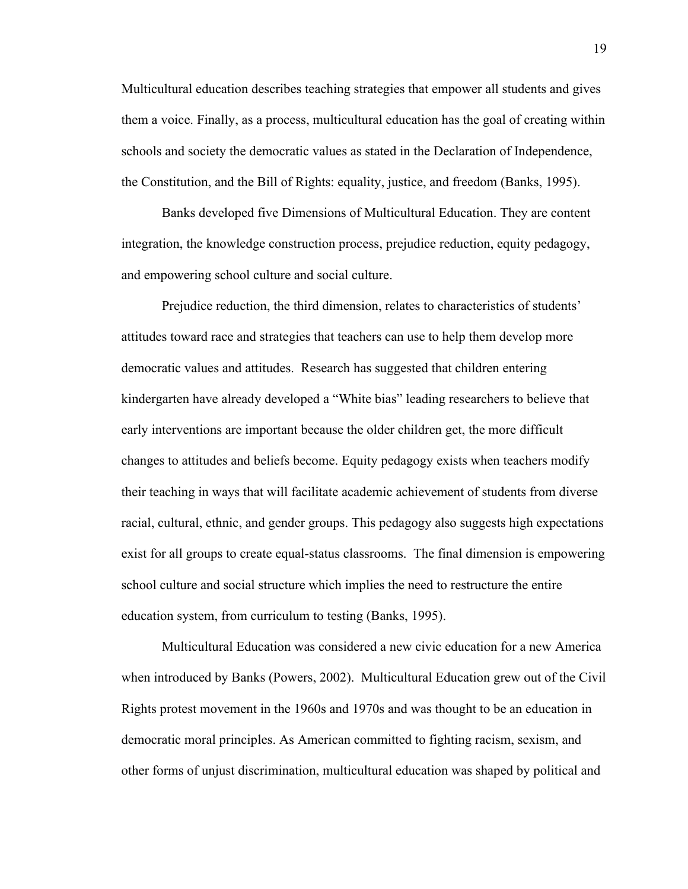Multicultural education describes teaching strategies that empower all students and gives them a voice. Finally, as a process, multicultural education has the goal of creating within schools and society the democratic values as stated in the Declaration of Independence, the Constitution, and the Bill of Rights: equality, justice, and freedom (Banks, 1995).

Banks developed five Dimensions of Multicultural Education. They are content integration, the knowledge construction process, prejudice reduction, equity pedagogy, and empowering school culture and social culture.

Prejudice reduction, the third dimension, relates to characteristics of students' attitudes toward race and strategies that teachers can use to help them develop more democratic values and attitudes. Research has suggested that children entering kindergarten have already developed a "White bias" leading researchers to believe that early interventions are important because the older children get, the more difficult changes to attitudes and beliefs become. Equity pedagogy exists when teachers modify their teaching in ways that will facilitate academic achievement of students from diverse racial, cultural, ethnic, and gender groups. This pedagogy also suggests high expectations exist for all groups to create equal-status classrooms. The final dimension is empowering school culture and social structure which implies the need to restructure the entire education system, from curriculum to testing (Banks, 1995).

Multicultural Education was considered a new civic education for a new America when introduced by Banks (Powers, 2002). Multicultural Education grew out of the Civil Rights protest movement in the 1960s and 1970s and was thought to be an education in democratic moral principles. As American committed to fighting racism, sexism, and other forms of unjust discrimination, multicultural education was shaped by political and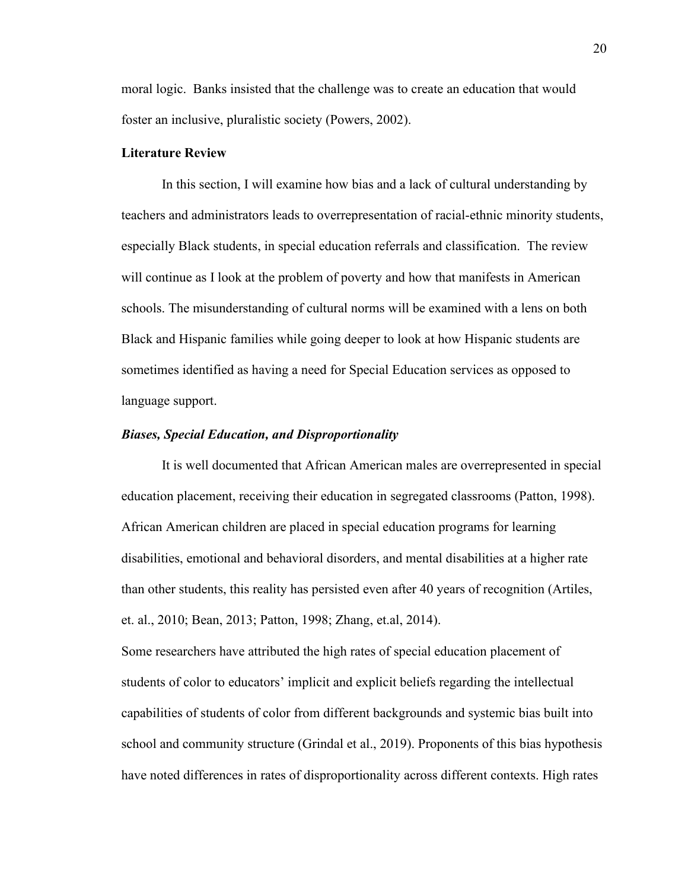moral logic. Banks insisted that the challenge was to create an education that would foster an inclusive, pluralistic society (Powers, 2002).

#### <span id="page-29-0"></span>**Literature Review**

In this section, I will examine how bias and a lack of cultural understanding by teachers and administrators leads to overrepresentation of racial-ethnic minority students, especially Black students, in special education referrals and classification. The review will continue as I look at the problem of poverty and how that manifests in American schools. The misunderstanding of cultural norms will be examined with a lens on both Black and Hispanic families while going deeper to look at how Hispanic students are sometimes identified as having a need for Special Education services as opposed to language support.

### <span id="page-29-1"></span>*Biases, Special Education, and Disproportionality*

It is well documented that African American males are overrepresented in special education placement, receiving their education in segregated classrooms (Patton, 1998). African American children are placed in special education programs for learning disabilities, emotional and behavioral disorders, and mental disabilities at a higher rate than other students, this reality has persisted even after 40 years of recognition (Artiles, et. al., 2010; Bean, 2013; Patton, 1998; Zhang, et.al, 2014).

Some researchers have attributed the high rates of special education placement of students of color to educators' implicit and explicit beliefs regarding the intellectual capabilities of students of color from different backgrounds and systemic bias built into school and community structure (Grindal et al., 2019). Proponents of this bias hypothesis have noted differences in rates of disproportionality across different contexts. High rates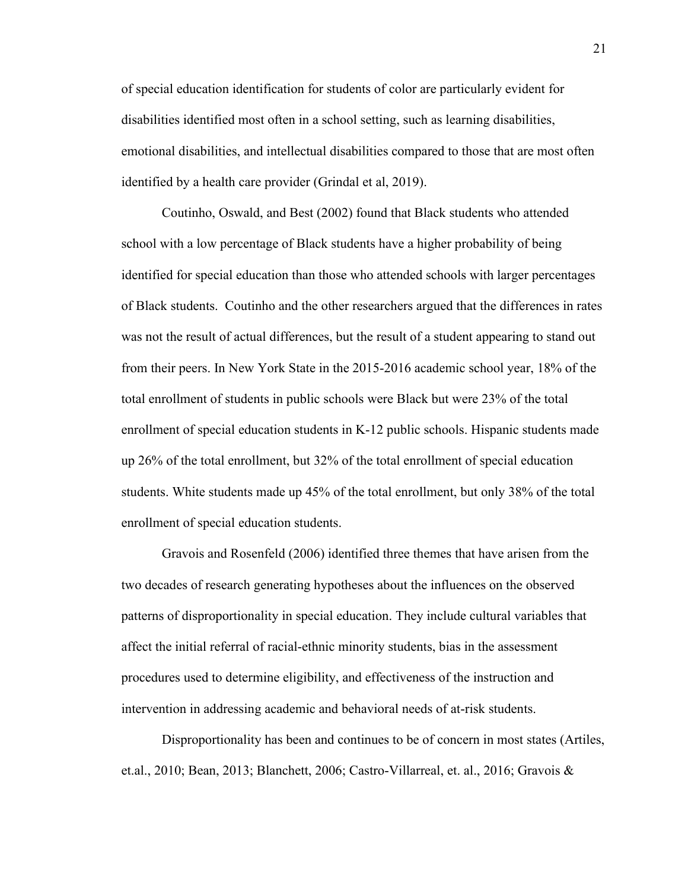of special education identification for students of color are particularly evident for disabilities identified most often in a school setting, such as learning disabilities, emotional disabilities, and intellectual disabilities compared to those that are most often identified by a health care provider (Grindal et al, 2019).

Coutinho, Oswald, and Best (2002) found that Black students who attended school with a low percentage of Black students have a higher probability of being identified for special education than those who attended schools with larger percentages of Black students. Coutinho and the other researchers argued that the differences in rates was not the result of actual differences, but the result of a student appearing to stand out from their peers. In New York State in the 2015-2016 academic school year, 18% of the total enrollment of students in public schools were Black but were 23% of the total enrollment of special education students in K-12 public schools. Hispanic students made up 26% of the total enrollment, but 32% of the total enrollment of special education students. White students made up 45% of the total enrollment, but only 38% of the total enrollment of special education students.

Gravois and Rosenfeld (2006) identified three themes that have arisen from the two decades of research generating hypotheses about the influences on the observed patterns of disproportionality in special education. They include cultural variables that affect the initial referral of racial-ethnic minority students, bias in the assessment procedures used to determine eligibility, and effectiveness of the instruction and intervention in addressing academic and behavioral needs of at-risk students.

Disproportionality has been and continues to be of concern in most states (Artiles, et.al., 2010; Bean, 2013; Blanchett, 2006; Castro-Villarreal, et. al., 2016; Gravois &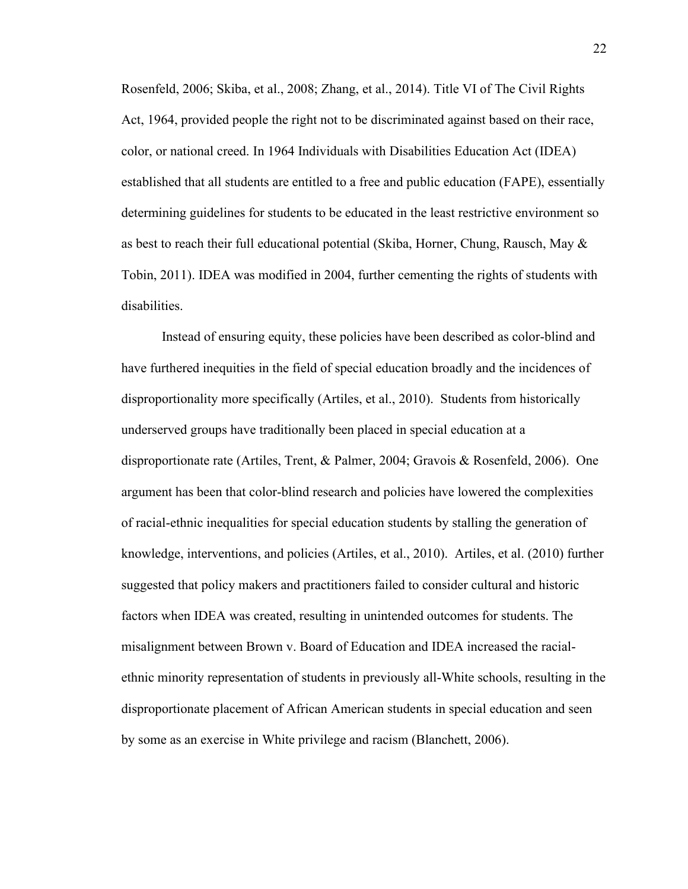Rosenfeld, 2006; Skiba, et al., 2008; Zhang, et al., 2014). Title VI of The Civil Rights Act, 1964, provided people the right not to be discriminated against based on their race, color, or national creed. In 1964 Individuals with Disabilities Education Act (IDEA) established that all students are entitled to a free and public education (FAPE), essentially determining guidelines for students to be educated in the least restrictive environment so as best to reach their full educational potential (Skiba, Horner, Chung, Rausch, May & Tobin, 2011). IDEA was modified in 2004, further cementing the rights of students with disabilities.

Instead of ensuring equity, these policies have been described as color-blind and have furthered inequities in the field of special education broadly and the incidences of disproportionality more specifically (Artiles, et al., 2010). Students from historically underserved groups have traditionally been placed in special education at a disproportionate rate (Artiles, Trent, & Palmer, 2004; Gravois & Rosenfeld, 2006). One argument has been that color-blind research and policies have lowered the complexities of racial-ethnic inequalities for special education students by stalling the generation of knowledge, interventions, and policies (Artiles, et al., 2010). Artiles, et al. (2010) further suggested that policy makers and practitioners failed to consider cultural and historic factors when IDEA was created, resulting in unintended outcomes for students. The misalignment between Brown v. Board of Education and IDEA increased the racialethnic minority representation of students in previously all-White schools, resulting in the disproportionate placement of African American students in special education and seen by some as an exercise in White privilege and racism (Blanchett, 2006).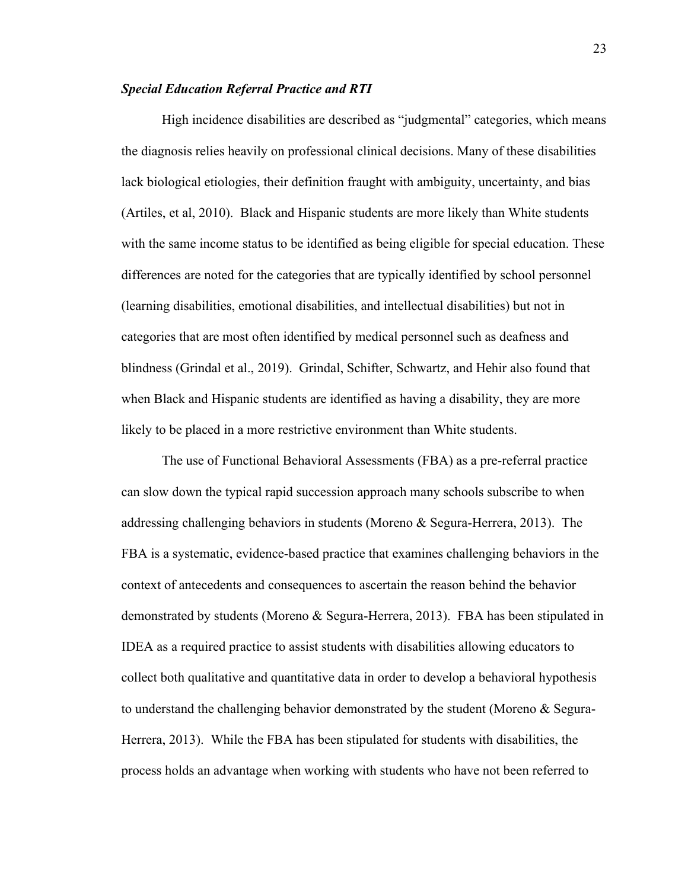#### <span id="page-32-0"></span>*Special Education Referral Practice and RTI*

High incidence disabilities are described as "judgmental" categories, which means the diagnosis relies heavily on professional clinical decisions. Many of these disabilities lack biological etiologies, their definition fraught with ambiguity, uncertainty, and bias (Artiles, et al, 2010). Black and Hispanic students are more likely than White students with the same income status to be identified as being eligible for special education. These differences are noted for the categories that are typically identified by school personnel (learning disabilities, emotional disabilities, and intellectual disabilities) but not in categories that are most often identified by medical personnel such as deafness and blindness (Grindal et al., 2019). Grindal, Schifter, Schwartz, and Hehir also found that when Black and Hispanic students are identified as having a disability, they are more likely to be placed in a more restrictive environment than White students.

The use of Functional Behavioral Assessments (FBA) as a pre-referral practice can slow down the typical rapid succession approach many schools subscribe to when addressing challenging behaviors in students (Moreno & Segura-Herrera, 2013). The FBA is a systematic, evidence-based practice that examines challenging behaviors in the context of antecedents and consequences to ascertain the reason behind the behavior demonstrated by students (Moreno & Segura-Herrera, 2013). FBA has been stipulated in IDEA as a required practice to assist students with disabilities allowing educators to collect both qualitative and quantitative data in order to develop a behavioral hypothesis to understand the challenging behavior demonstrated by the student (Moreno & Segura-Herrera, 2013). While the FBA has been stipulated for students with disabilities, the process holds an advantage when working with students who have not been referred to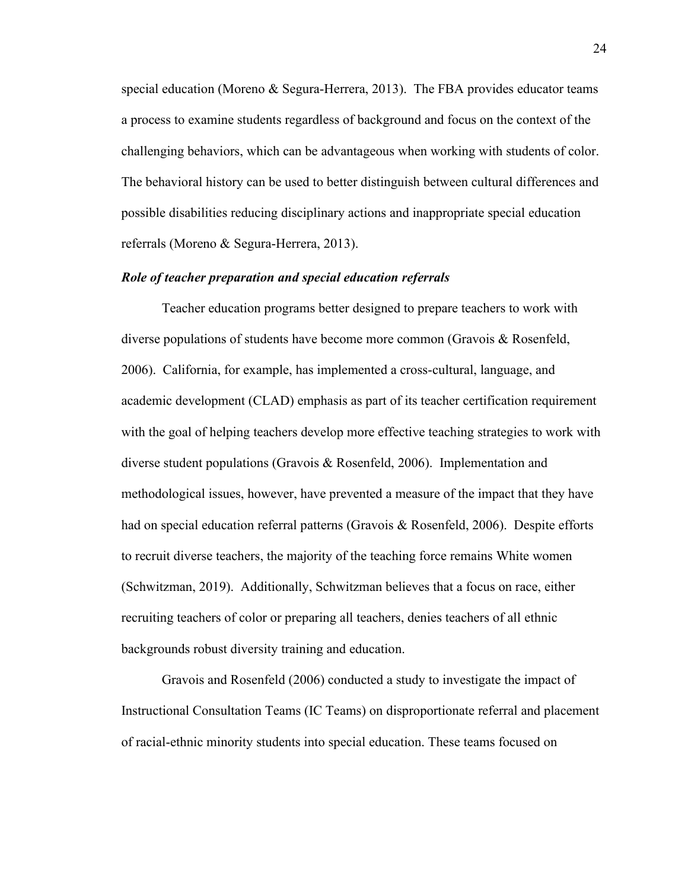special education (Moreno & Segura-Herrera, 2013). The FBA provides educator teams a process to examine students regardless of background and focus on the context of the challenging behaviors, which can be advantageous when working with students of color. The behavioral history can be used to better distinguish between cultural differences and possible disabilities reducing disciplinary actions and inappropriate special education referrals (Moreno & Segura-Herrera, 2013).

### <span id="page-33-0"></span>*Role of teacher preparation and special education referrals*

Teacher education programs better designed to prepare teachers to work with diverse populations of students have become more common (Gravois & Rosenfeld, 2006). California, for example, has implemented a cross-cultural, language, and academic development (CLAD) emphasis as part of its teacher certification requirement with the goal of helping teachers develop more effective teaching strategies to work with diverse student populations (Gravois & Rosenfeld, 2006). Implementation and methodological issues, however, have prevented a measure of the impact that they have had on special education referral patterns (Gravois & Rosenfeld, 2006). Despite efforts to recruit diverse teachers, the majority of the teaching force remains White women (Schwitzman, 2019). Additionally, Schwitzman believes that a focus on race, either recruiting teachers of color or preparing all teachers, denies teachers of all ethnic backgrounds robust diversity training and education.

Gravois and Rosenfeld (2006) conducted a study to investigate the impact of Instructional Consultation Teams (IC Teams) on disproportionate referral and placement of racial-ethnic minority students into special education. These teams focused on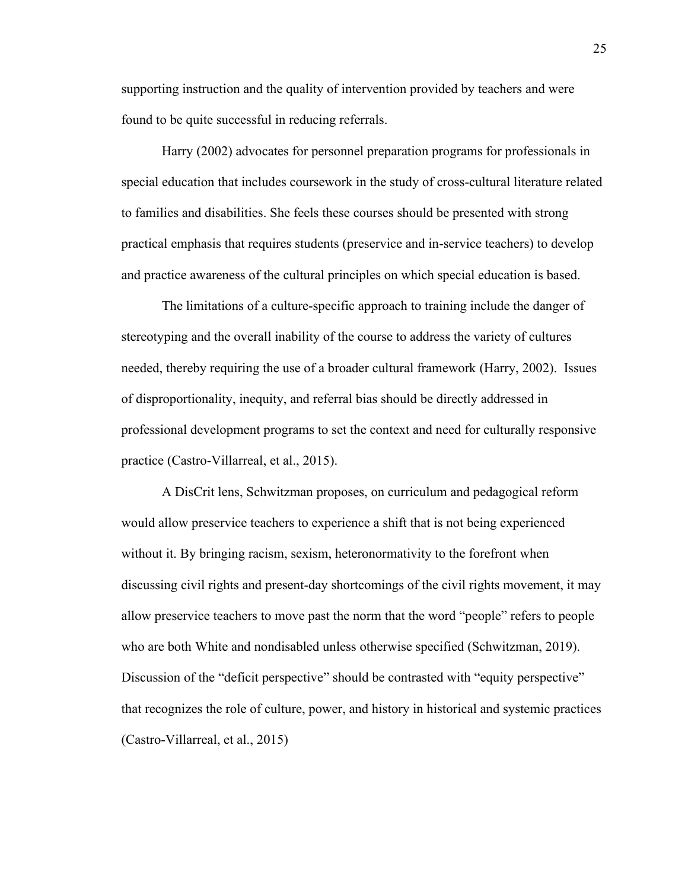supporting instruction and the quality of intervention provided by teachers and were found to be quite successful in reducing referrals.

Harry (2002) advocates for personnel preparation programs for professionals in special education that includes coursework in the study of cross-cultural literature related to families and disabilities. She feels these courses should be presented with strong practical emphasis that requires students (preservice and in-service teachers) to develop and practice awareness of the cultural principles on which special education is based.

The limitations of a culture-specific approach to training include the danger of stereotyping and the overall inability of the course to address the variety of cultures needed, thereby requiring the use of a broader cultural framework (Harry, 2002). Issues of disproportionality, inequity, and referral bias should be directly addressed in professional development programs to set the context and need for culturally responsive practice (Castro-Villarreal, et al., 2015).

A DisCrit lens, Schwitzman proposes, on curriculum and pedagogical reform would allow preservice teachers to experience a shift that is not being experienced without it. By bringing racism, sexism, heteronormativity to the forefront when discussing civil rights and present-day shortcomings of the civil rights movement, it may allow preservice teachers to move past the norm that the word "people" refers to people who are both White and nondisabled unless otherwise specified (Schwitzman, 2019). Discussion of the "deficit perspective" should be contrasted with "equity perspective" that recognizes the role of culture, power, and history in historical and systemic practices (Castro-Villarreal, et al., 2015)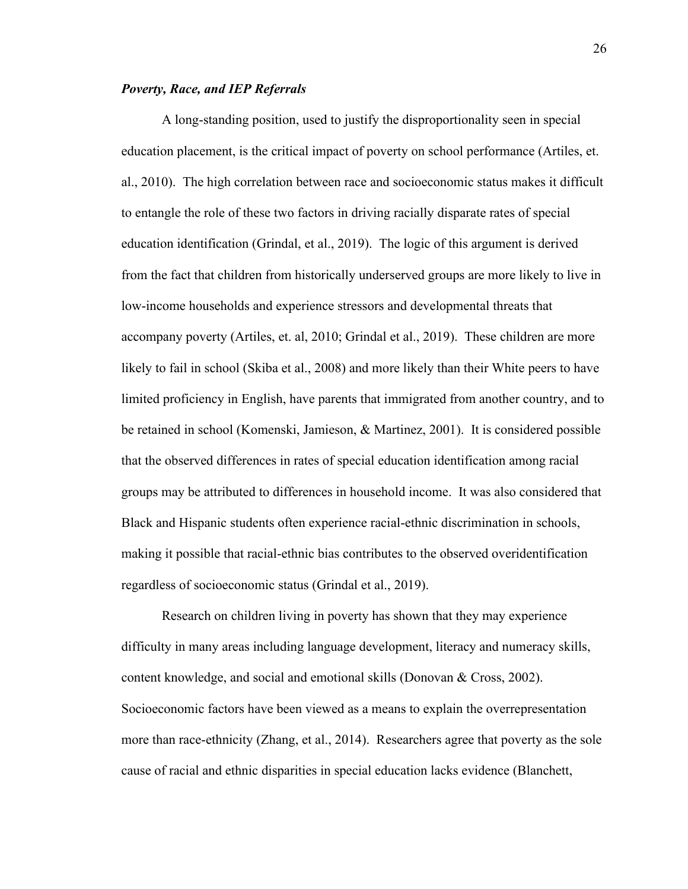#### <span id="page-35-0"></span>*Poverty, Race, and IEP Referrals*

A long-standing position, used to justify the disproportionality seen in special education placement, is the critical impact of poverty on school performance (Artiles, et. al., 2010). The high correlation between race and socioeconomic status makes it difficult to entangle the role of these two factors in driving racially disparate rates of special education identification (Grindal, et al., 2019). The logic of this argument is derived from the fact that children from historically underserved groups are more likely to live in low-income households and experience stressors and developmental threats that accompany poverty (Artiles, et. al, 2010; Grindal et al., 2019). These children are more likely to fail in school (Skiba et al., 2008) and more likely than their White peers to have limited proficiency in English, have parents that immigrated from another country, and to be retained in school (Komenski, Jamieson, & Martinez, 2001). It is considered possible that the observed differences in rates of special education identification among racial groups may be attributed to differences in household income. It was also considered that Black and Hispanic students often experience racial-ethnic discrimination in schools, making it possible that racial-ethnic bias contributes to the observed overidentification regardless of socioeconomic status (Grindal et al., 2019).

Research on children living in poverty has shown that they may experience difficulty in many areas including language development, literacy and numeracy skills, content knowledge, and social and emotional skills (Donovan & Cross, 2002). Socioeconomic factors have been viewed as a means to explain the overrepresentation more than race-ethnicity (Zhang, et al., 2014). Researchers agree that poverty as the sole cause of racial and ethnic disparities in special education lacks evidence (Blanchett,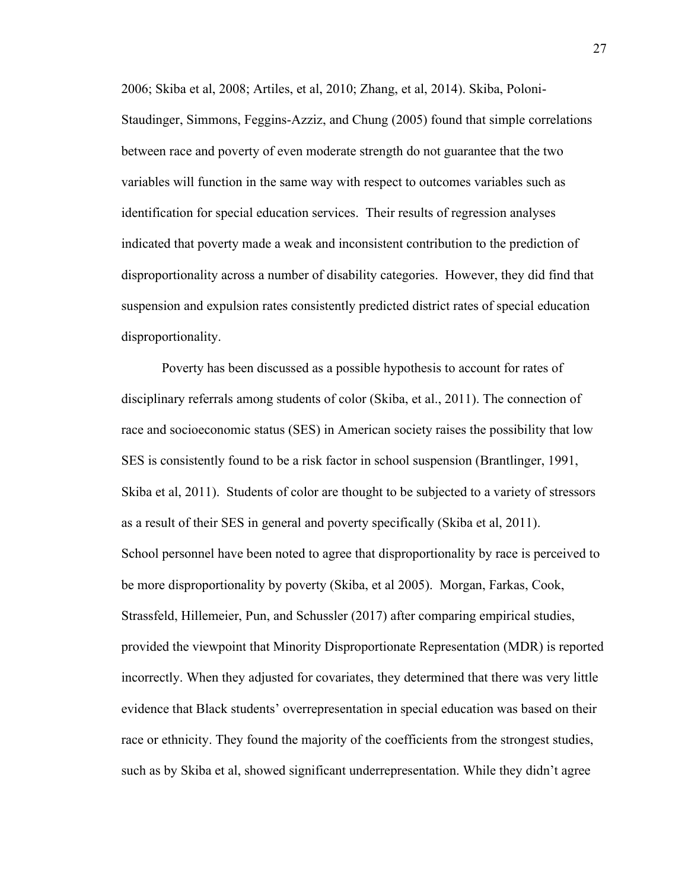2006; Skiba et al, 2008; Artiles, et al, 2010; Zhang, et al, 2014). Skiba, Poloni-Staudinger, Simmons, Feggins-Azziz, and Chung (2005) found that simple correlations between race and poverty of even moderate strength do not guarantee that the two variables will function in the same way with respect to outcomes variables such as identification for special education services. Their results of regression analyses indicated that poverty made a weak and inconsistent contribution to the prediction of disproportionality across a number of disability categories. However, they did find that suspension and expulsion rates consistently predicted district rates of special education disproportionality.

Poverty has been discussed as a possible hypothesis to account for rates of disciplinary referrals among students of color (Skiba, et al., 2011). The connection of race and socioeconomic status (SES) in American society raises the possibility that low SES is consistently found to be a risk factor in school suspension (Brantlinger, 1991, Skiba et al, 2011). Students of color are thought to be subjected to a variety of stressors as a result of their SES in general and poverty specifically (Skiba et al, 2011). School personnel have been noted to agree that disproportionality by race is perceived to be more disproportionality by poverty (Skiba, et al 2005). Morgan, Farkas, Cook, Strassfeld, Hillemeier, Pun, and Schussler (2017) after comparing empirical studies, provided the viewpoint that Minority Disproportionate Representation (MDR) is reported incorrectly. When they adjusted for covariates, they determined that there was very little evidence that Black students' overrepresentation in special education was based on their race or ethnicity. They found the majority of the coefficients from the strongest studies, such as by Skiba et al, showed significant underrepresentation. While they didn't agree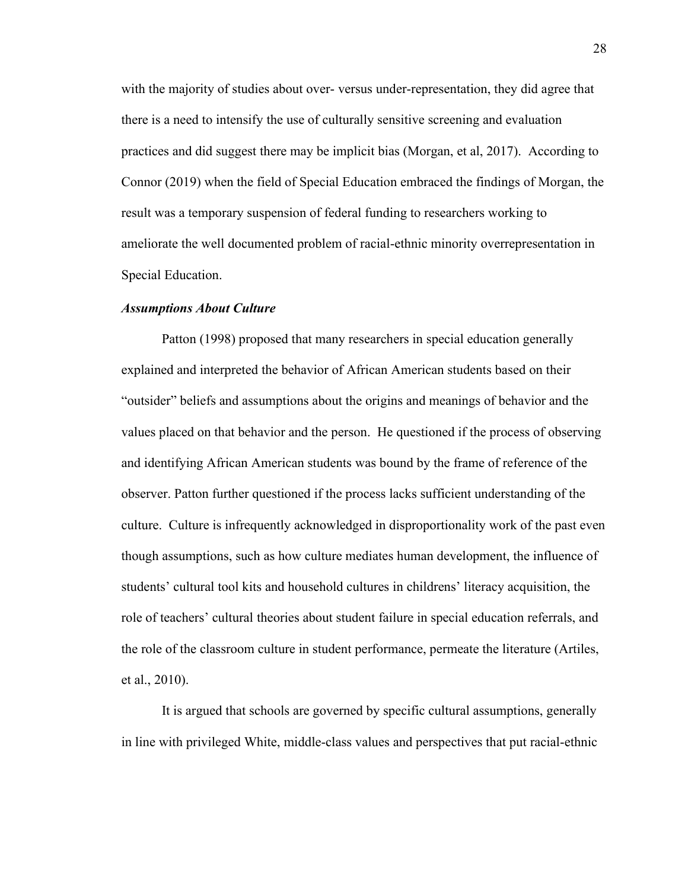with the majority of studies about over- versus under-representation, they did agree that there is a need to intensify the use of culturally sensitive screening and evaluation practices and did suggest there may be implicit bias (Morgan, et al, 2017). According to Connor (2019) when the field of Special Education embraced the findings of Morgan, the result was a temporary suspension of federal funding to researchers working to ameliorate the well documented problem of racial-ethnic minority overrepresentation in Special Education.

## *Assumptions About Culture*

Patton (1998) proposed that many researchers in special education generally explained and interpreted the behavior of African American students based on their "outsider" beliefs and assumptions about the origins and meanings of behavior and the values placed on that behavior and the person. He questioned if the process of observing and identifying African American students was bound by the frame of reference of the observer. Patton further questioned if the process lacks sufficient understanding of the culture. Culture is infrequently acknowledged in disproportionality work of the past even though assumptions, such as how culture mediates human development, the influence of students' cultural tool kits and household cultures in childrens' literacy acquisition, the role of teachers' cultural theories about student failure in special education referrals, and the role of the classroom culture in student performance, permeate the literature (Artiles, et al., 2010).

It is argued that schools are governed by specific cultural assumptions, generally in line with privileged White, middle-class values and perspectives that put racial-ethnic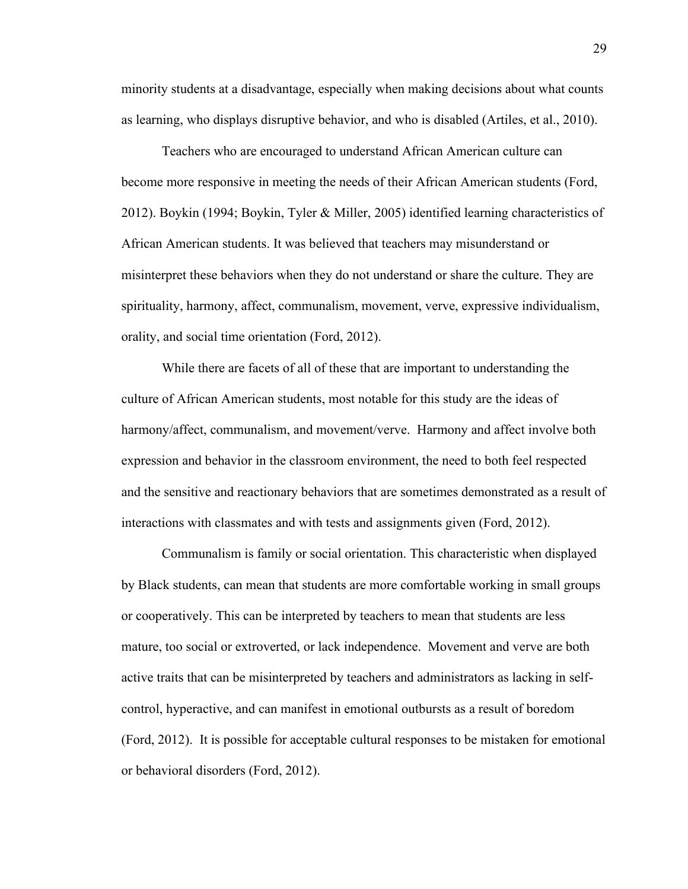minority students at a disadvantage, especially when making decisions about what counts as learning, who displays disruptive behavior, and who is disabled (Artiles, et al., 2010).

Teachers who are encouraged to understand African American culture can become more responsive in meeting the needs of their African American students (Ford, 2012). Boykin (1994; Boykin, Tyler & Miller, 2005) identified learning characteristics of African American students. It was believed that teachers may misunderstand or misinterpret these behaviors when they do not understand or share the culture. They are spirituality, harmony, affect, communalism, movement, verve, expressive individualism, orality, and social time orientation (Ford, 2012).

While there are facets of all of these that are important to understanding the culture of African American students, most notable for this study are the ideas of harmony/affect, communalism, and movement/verve. Harmony and affect involve both expression and behavior in the classroom environment, the need to both feel respected and the sensitive and reactionary behaviors that are sometimes demonstrated as a result of interactions with classmates and with tests and assignments given (Ford, 2012).

Communalism is family or social orientation. This characteristic when displayed by Black students, can mean that students are more comfortable working in small groups or cooperatively. This can be interpreted by teachers to mean that students are less mature, too social or extroverted, or lack independence. Movement and verve are both active traits that can be misinterpreted by teachers and administrators as lacking in selfcontrol, hyperactive, and can manifest in emotional outbursts as a result of boredom (Ford, 2012). It is possible for acceptable cultural responses to be mistaken for emotional or behavioral disorders (Ford, 2012).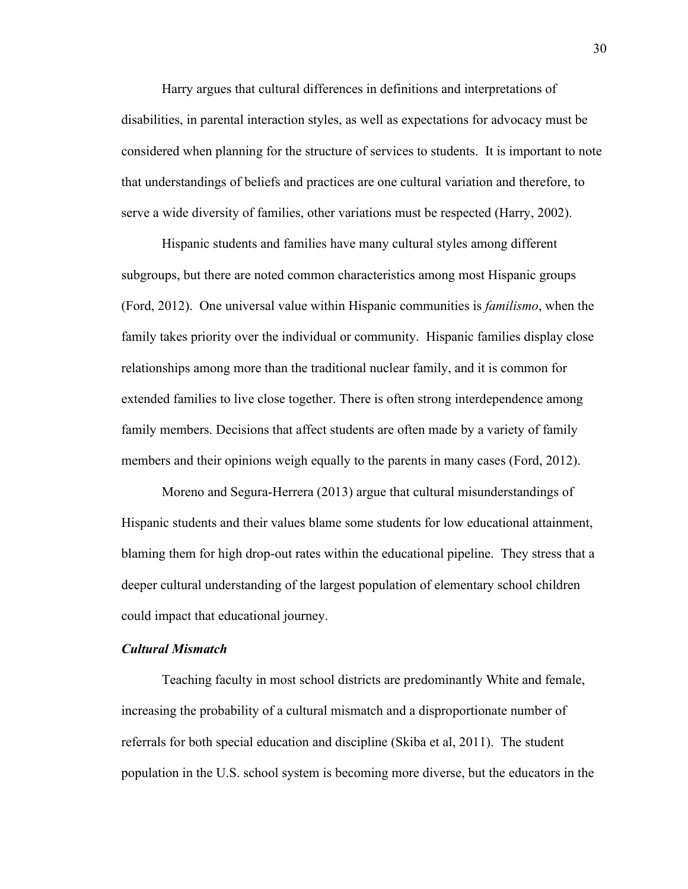Harry argues that cultural differences in definitions and interpretations of disabilities, in parental interaction styles, as well as expectations for advocacy must be considered when planning for the structure of services to students. It is important to note that understandings of beliefs and practices are one cultural variation and therefore, to serve a wide diversity of families, other variations must be respected (Harry, 2002).

Hispanic students and families have many cultural styles among different subgroups, but there are noted common characteristics among most Hispanic groups (Ford, 2012). One universal value within Hispanic communities is *familismo*, when the family takes priority over the individual or community. Hispanic families display close relationships among more than the traditional nuclear family, and it is common for extended families to live close together. There is often strong interdependence among family members. Decisions that affect students are often made by a variety of family members and their opinions weigh equally to the parents in many cases (Ford, 2012).

Moreno and Segura-Herrera (2013) argue that cultural misunderstandings of Hispanic students and their values blame some students for low educational attainment, blaming them for high drop-out rates within the educational pipeline. They stress that a deeper cultural understanding of the largest population of elementary school children could impact that educational journey.

## *Cultural Mismatch*

Teaching faculty in most school districts are predominantly White and female, increasing the probability of a cultural mismatch and a disproportionate number of referrals for both special education and discipline (Skiba et al, 2011). The student population in the U.S. school system is becoming more diverse, but the educators in the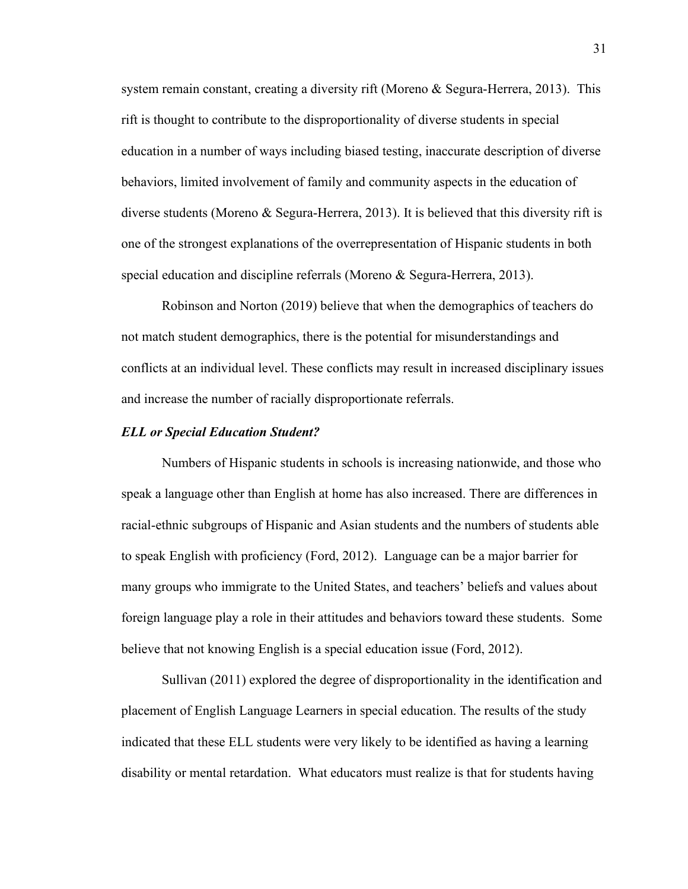system remain constant, creating a diversity rift (Moreno & Segura-Herrera, 2013). This rift is thought to contribute to the disproportionality of diverse students in special education in a number of ways including biased testing, inaccurate description of diverse behaviors, limited involvement of family and community aspects in the education of diverse students (Moreno & Segura-Herrera, 2013). It is believed that this diversity rift is one of the strongest explanations of the overrepresentation of Hispanic students in both special education and discipline referrals (Moreno & Segura-Herrera, 2013).

Robinson and Norton (2019) believe that when the demographics of teachers do not match student demographics, there is the potential for misunderstandings and conflicts at an individual level. These conflicts may result in increased disciplinary issues and increase the number of racially disproportionate referrals.

### *ELL or Special Education Student?*

Numbers of Hispanic students in schools is increasing nationwide, and those who speak a language other than English at home has also increased. There are differences in racial-ethnic subgroups of Hispanic and Asian students and the numbers of students able to speak English with proficiency (Ford, 2012). Language can be a major barrier for many groups who immigrate to the United States, and teachers' beliefs and values about foreign language play a role in their attitudes and behaviors toward these students. Some believe that not knowing English is a special education issue (Ford, 2012).

Sullivan (2011) explored the degree of disproportionality in the identification and placement of English Language Learners in special education. The results of the study indicated that these ELL students were very likely to be identified as having a learning disability or mental retardation. What educators must realize is that for students having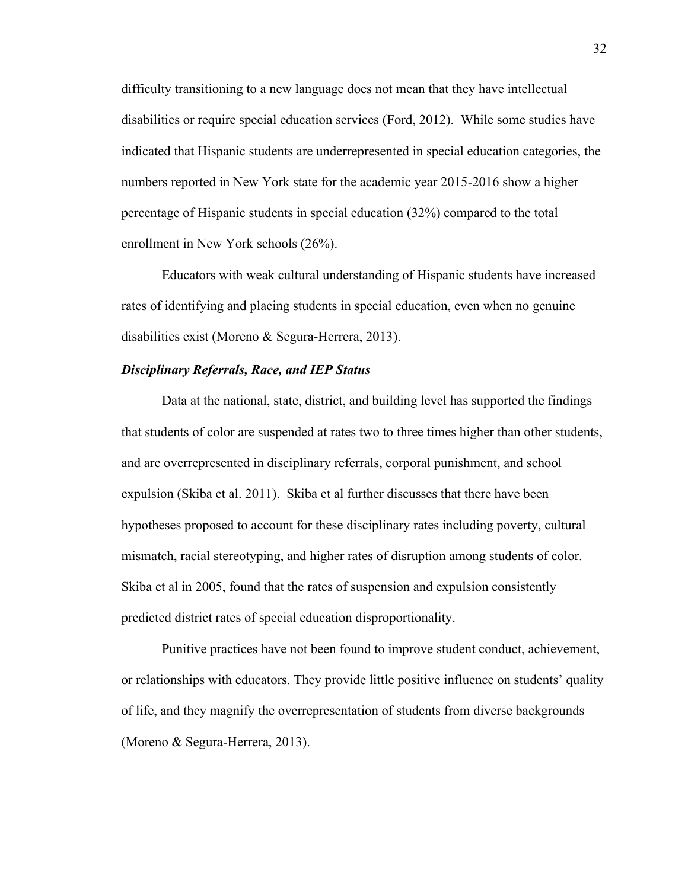difficulty transitioning to a new language does not mean that they have intellectual disabilities or require special education services (Ford, 2012). While some studies have indicated that Hispanic students are underrepresented in special education categories, the numbers reported in New York state for the academic year 2015-2016 show a higher percentage of Hispanic students in special education (32%) compared to the total enrollment in New York schools (26%).

Educators with weak cultural understanding of Hispanic students have increased rates of identifying and placing students in special education, even when no genuine disabilities exist (Moreno & Segura-Herrera, 2013).

## *Disciplinary Referrals, Race, and IEP Status*

Data at the national, state, district, and building level has supported the findings that students of color are suspended at rates two to three times higher than other students, and are overrepresented in disciplinary referrals, corporal punishment, and school expulsion (Skiba et al. 2011). Skiba et al further discusses that there have been hypotheses proposed to account for these disciplinary rates including poverty, cultural mismatch, racial stereotyping, and higher rates of disruption among students of color. Skiba et al in 2005, found that the rates of suspension and expulsion consistently predicted district rates of special education disproportionality.

Punitive practices have not been found to improve student conduct, achievement, or relationships with educators. They provide little positive influence on students' quality of life, and they magnify the overrepresentation of students from diverse backgrounds (Moreno & Segura-Herrera, 2013).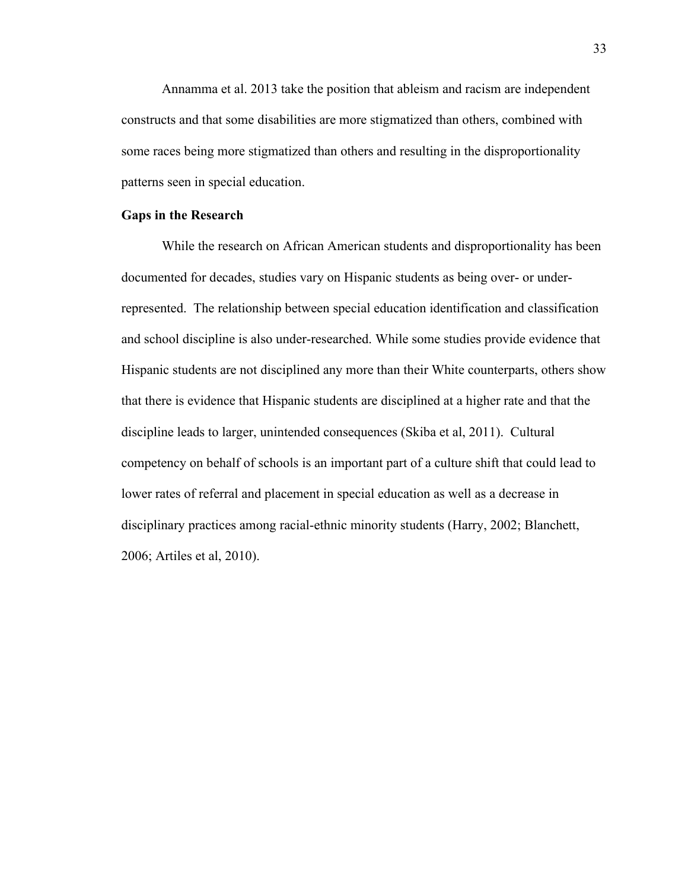Annamma et al. 2013 take the position that ableism and racism are independent constructs and that some disabilities are more stigmatized than others, combined with some races being more stigmatized than others and resulting in the disproportionality patterns seen in special education.

## **Gaps in the Research**

While the research on African American students and disproportionality has been documented for decades, studies vary on Hispanic students as being over- or underrepresented. The relationship between special education identification and classification and school discipline is also under-researched. While some studies provide evidence that Hispanic students are not disciplined any more than their White counterparts, others show that there is evidence that Hispanic students are disciplined at a higher rate and that the discipline leads to larger, unintended consequences (Skiba et al, 2011). Cultural competency on behalf of schools is an important part of a culture shift that could lead to lower rates of referral and placement in special education as well as a decrease in disciplinary practices among racial-ethnic minority students (Harry, 2002; Blanchett, 2006; Artiles et al, 2010).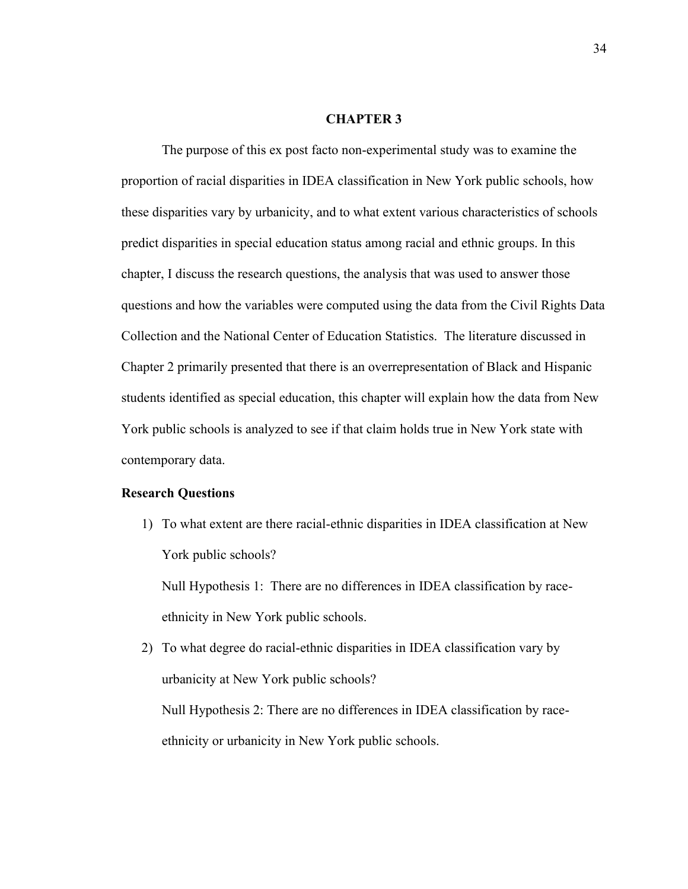#### **CHAPTER 3**

The purpose of this ex post facto non-experimental study was to examine the proportion of racial disparities in IDEA classification in New York public schools, how these disparities vary by urbanicity, and to what extent various characteristics of schools predict disparities in special education status among racial and ethnic groups. In this chapter, I discuss the research questions, the analysis that was used to answer those questions and how the variables were computed using the data from the Civil Rights Data Collection and the National Center of Education Statistics. The literature discussed in Chapter 2 primarily presented that there is an overrepresentation of Black and Hispanic students identified as special education, this chapter will explain how the data from New York public schools is analyzed to see if that claim holds true in New York state with contemporary data.

## **Research Questions**

1) To what extent are there racial-ethnic disparities in IDEA classification at New York public schools?

Null Hypothesis 1: There are no differences in IDEA classification by raceethnicity in New York public schools.

2) To what degree do racial-ethnic disparities in IDEA classification vary by urbanicity at New York public schools? Null Hypothesis 2: There are no differences in IDEA classification by raceethnicity or urbanicity in New York public schools.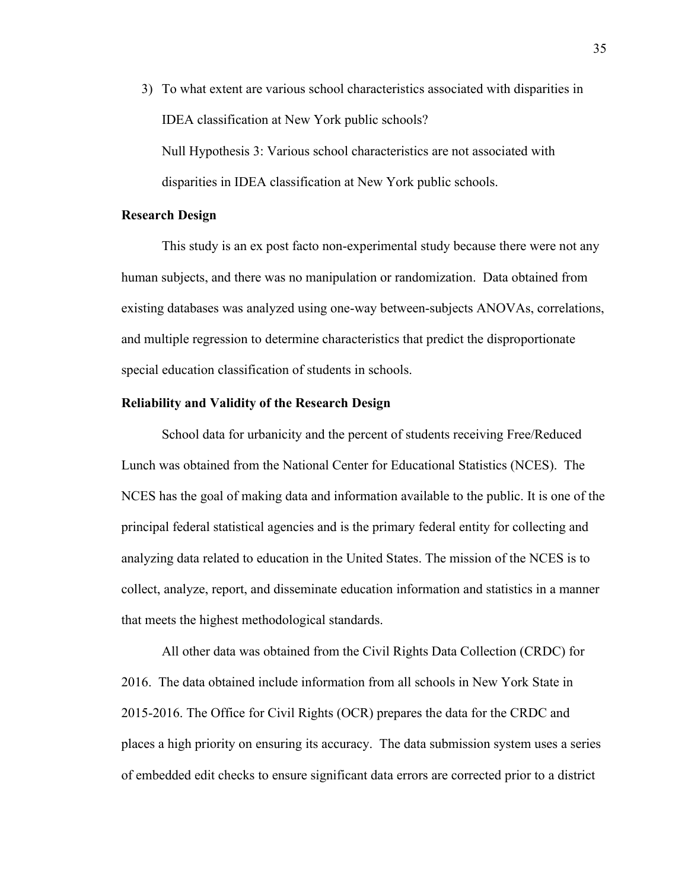3) To what extent are various school characteristics associated with disparities in IDEA classification at New York public schools?

Null Hypothesis 3: Various school characteristics are not associated with disparities in IDEA classification at New York public schools.

## **Research Design**

This study is an ex post facto non-experimental study because there were not any human subjects, and there was no manipulation or randomization. Data obtained from existing databases was analyzed using one-way between-subjects ANOVAs, correlations, and multiple regression to determine characteristics that predict the disproportionate special education classification of students in schools.

#### **Reliability and Validity of the Research Design**

School data for urbanicity and the percent of students receiving Free/Reduced Lunch was obtained from the National Center for Educational Statistics (NCES). The NCES has the goal of making data and information available to the public. It is one of the principal federal statistical agencies and is the primary federal entity for collecting and analyzing data related to education in the United States. The mission of the NCES is to collect, analyze, report, and disseminate education information and statistics in a manner that meets the highest methodological standards.

All other data was obtained from the Civil Rights Data Collection (CRDC) for 2016. The data obtained include information from all schools in New York State in 2015-2016. The Office for Civil Rights (OCR) prepares the data for the CRDC and places a high priority on ensuring its accuracy. The data submission system uses a series of embedded edit checks to ensure significant data errors are corrected prior to a district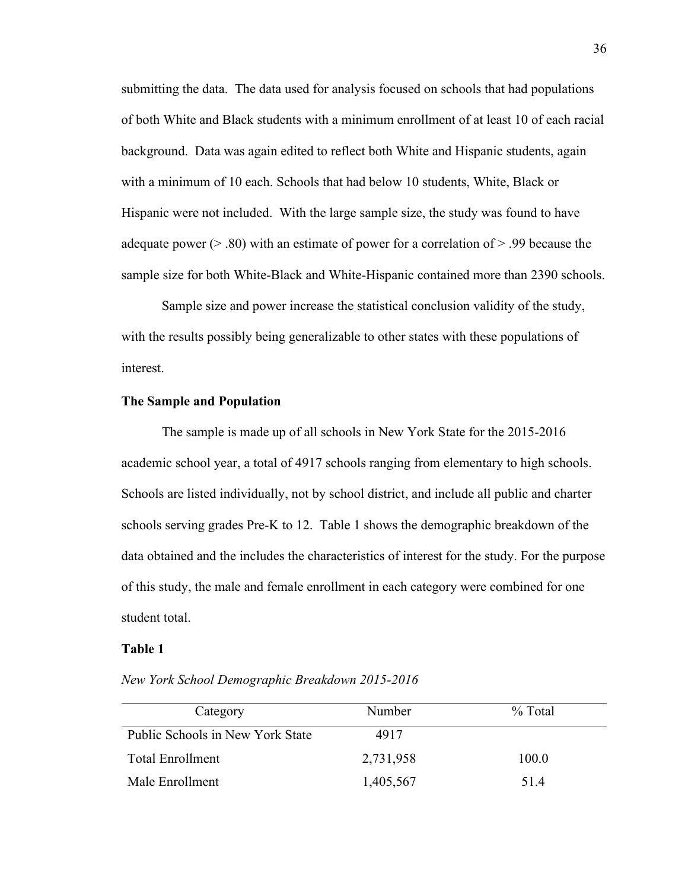submitting the data. The data used for analysis focused on schools that had populations of both White and Black students with a minimum enrollment of at least 10 of each racial background. Data was again edited to reflect both White and Hispanic students, again with a minimum of 10 each. Schools that had below 10 students, White, Black or Hispanic were not included. With the large sample size, the study was found to have adequate power (> .80) with an estimate of power for a correlation of > .99 because the sample size for both White-Black and White-Hispanic contained more than 2390 schools.

Sample size and power increase the statistical conclusion validity of the study, with the results possibly being generalizable to other states with these populations of interest.

## **The Sample and Population**

The sample is made up of all schools in New York State for the 2015-2016 academic school year, a total of 4917 schools ranging from elementary to high schools. Schools are listed individually, not by school district, and include all public and charter schools serving grades Pre-K to 12. Table 1 shows the demographic breakdown of the data obtained and the includes the characteristics of interest for the study. For the purpose of this study, the male and female enrollment in each category were combined for one student total.

#### **Table 1**

*New York School Demographic Breakdown 2015-2016*

| Category                         | Number    | $\%$ Total |
|----------------------------------|-----------|------------|
| Public Schools in New York State | 4917      |            |
| Total Enrollment                 | 2,731,958 | 100.0      |
| Male Enrollment                  | 1,405,567 | 51.4       |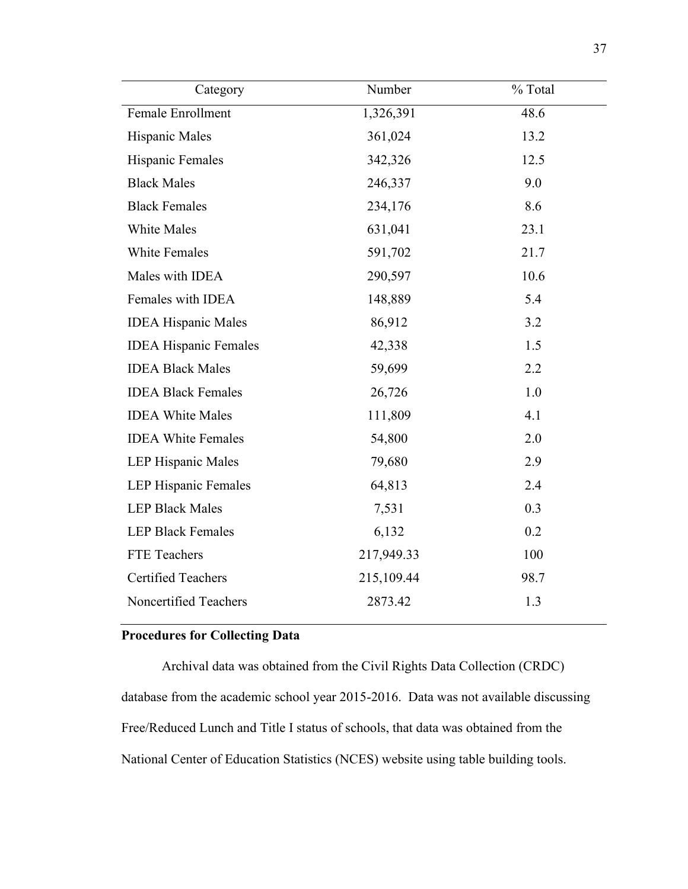| Category                     | Number     | % Total |
|------------------------------|------------|---------|
| Female Enrollment            | 1,326,391  | 48.6    |
| Hispanic Males               | 361,024    | 13.2    |
| Hispanic Females             | 342,326    | 12.5    |
| <b>Black Males</b>           | 246,337    | 9.0     |
| <b>Black Females</b>         | 234,176    | 8.6     |
| <b>White Males</b>           | 631,041    | 23.1    |
| <b>White Females</b>         | 591,702    | 21.7    |
| Males with IDEA              | 290,597    | 10.6    |
| Females with IDEA            | 148,889    | 5.4     |
| <b>IDEA Hispanic Males</b>   | 86,912     | 3.2     |
| <b>IDEA Hispanic Females</b> | 42,338     | 1.5     |
| <b>IDEA Black Males</b>      | 59,699     | 2.2     |
| <b>IDEA Black Females</b>    | 26,726     | 1.0     |
| <b>IDEA White Males</b>      | 111,809    | 4.1     |
| <b>IDEA White Females</b>    | 54,800     | 2.0     |
| LEP Hispanic Males           | 79,680     | 2.9     |
| <b>LEP Hispanic Females</b>  | 64,813     | 2.4     |
| <b>LEP Black Males</b>       | 7,531      | 0.3     |
| <b>LEP Black Females</b>     | 6,132      | 0.2     |
| FTE Teachers                 | 217,949.33 | 100     |
| <b>Certified Teachers</b>    | 215,109.44 | 98.7    |
| Noncertified Teachers        | 2873.42    | 1.3     |

# **Procedures for Collecting Data**

Archival data was obtained from the Civil Rights Data Collection (CRDC) database from the academic school year 2015-2016. Data was not available discussing Free/Reduced Lunch and Title I status of schools, that data was obtained from the National Center of Education Statistics (NCES) website using table building tools.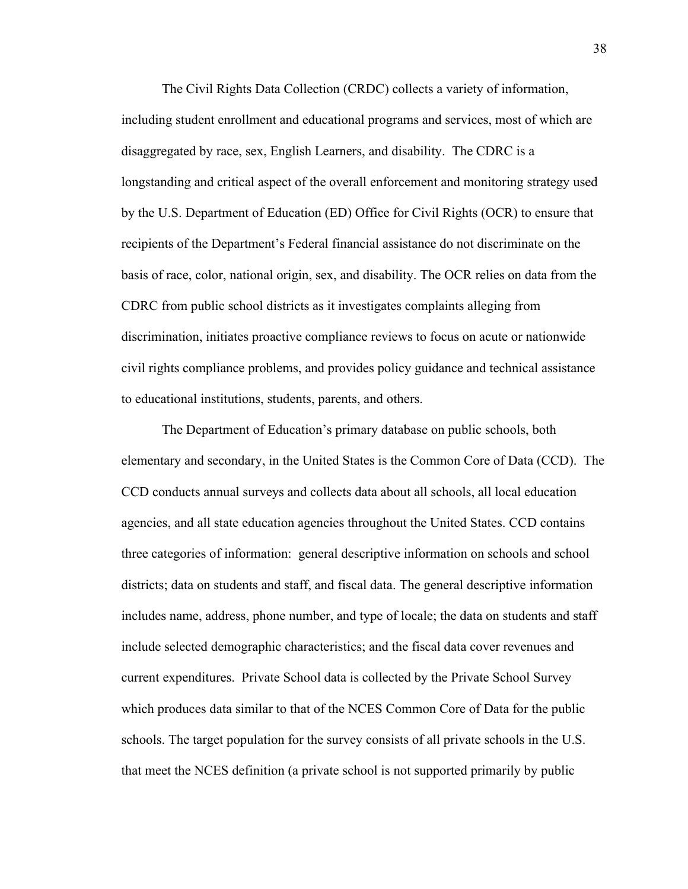The Civil Rights Data Collection (CRDC) collects a variety of information, including student enrollment and educational programs and services, most of which are disaggregated by race, sex, English Learners, and disability. The CDRC is a longstanding and critical aspect of the overall enforcement and monitoring strategy used by the U.S. Department of Education (ED) Office for Civil Rights (OCR) to ensure that recipients of the Department's Federal financial assistance do not discriminate on the basis of race, color, national origin, sex, and disability. The OCR relies on data from the CDRC from public school districts as it investigates complaints alleging from discrimination, initiates proactive compliance reviews to focus on acute or nationwide civil rights compliance problems, and provides policy guidance and technical assistance to educational institutions, students, parents, and others.

The Department of Education's primary database on public schools, both elementary and secondary, in the United States is the Common Core of Data (CCD). The CCD conducts annual surveys and collects data about all schools, all local education agencies, and all state education agencies throughout the United States. CCD contains three categories of information: general descriptive information on schools and school districts; data on students and staff, and fiscal data. The general descriptive information includes name, address, phone number, and type of locale; the data on students and staff include selected demographic characteristics; and the fiscal data cover revenues and current expenditures. Private School data is collected by the Private School Survey which produces data similar to that of the NCES Common Core of Data for the public schools. The target population for the survey consists of all private schools in the U.S. that meet the NCES definition (a private school is not supported primarily by public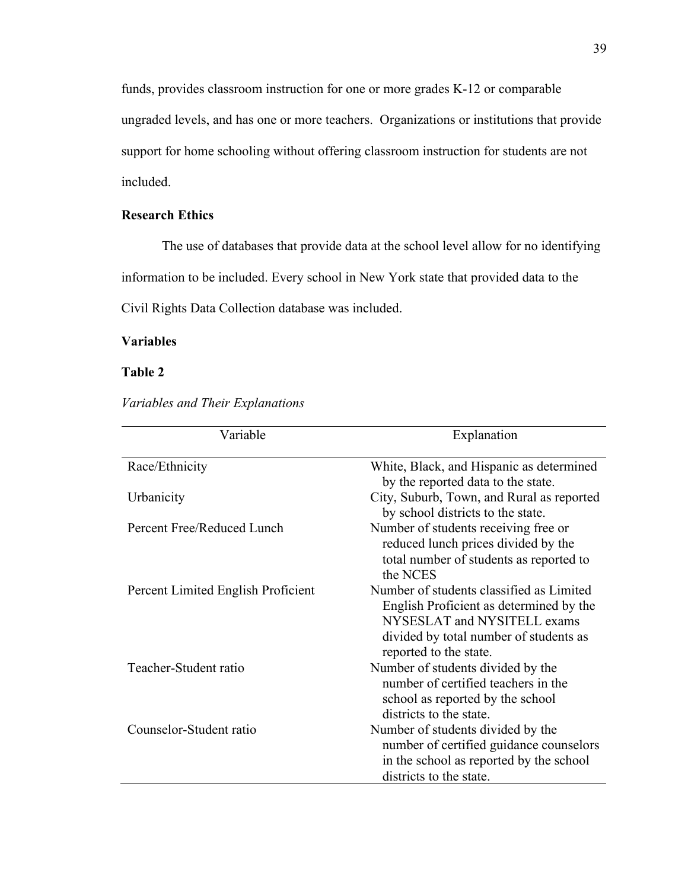funds, provides classroom instruction for one or more grades K-12 or comparable ungraded levels, and has one or more teachers. Organizations or institutions that provide support for home schooling without offering classroom instruction for students are not included.

## **Research Ethics**

The use of databases that provide data at the school level allow for no identifying

information to be included. Every school in New York state that provided data to the

Civil Rights Data Collection database was included.

## **Variables**

## **Table 2**

*Variables and Their Explanations*

| Variable                           | Explanation                                                                                                                                                                            |
|------------------------------------|----------------------------------------------------------------------------------------------------------------------------------------------------------------------------------------|
| Race/Ethnicity                     | White, Black, and Hispanic as determined<br>by the reported data to the state.                                                                                                         |
| Urbanicity                         | City, Suburb, Town, and Rural as reported<br>by school districts to the state.                                                                                                         |
| Percent Free/Reduced Lunch         | Number of students receiving free or<br>reduced lunch prices divided by the<br>total number of students as reported to<br>the NCES                                                     |
| Percent Limited English Proficient | Number of students classified as Limited<br>English Proficient as determined by the<br>NYSESLAT and NYSITELL exams<br>divided by total number of students as<br>reported to the state. |
| Teacher-Student ratio              | Number of students divided by the<br>number of certified teachers in the<br>school as reported by the school<br>districts to the state.                                                |
| Counselor-Student ratio            | Number of students divided by the<br>number of certified guidance counselors<br>in the school as reported by the school<br>districts to the state.                                     |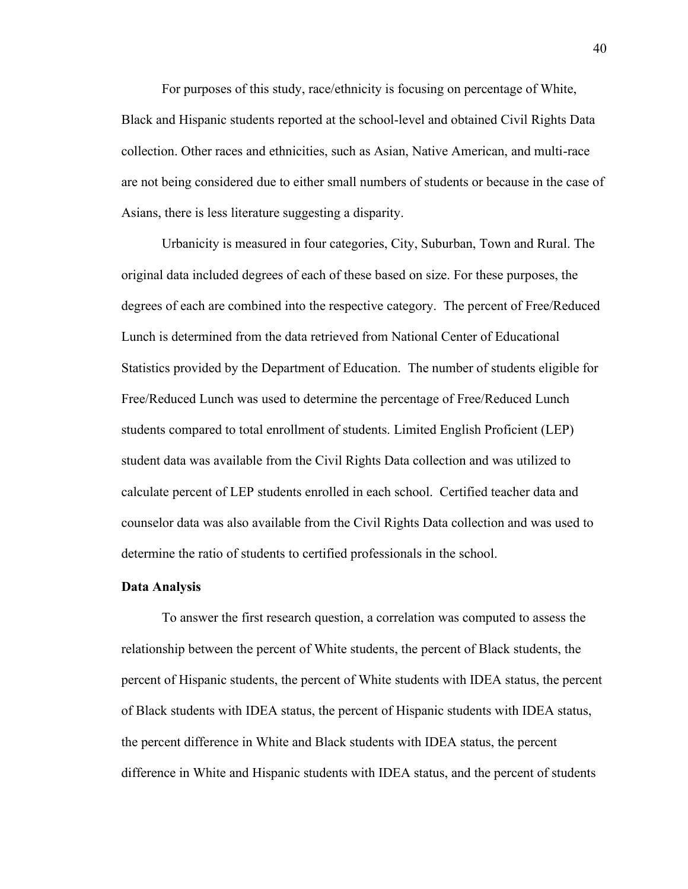For purposes of this study, race/ethnicity is focusing on percentage of White, Black and Hispanic students reported at the school-level and obtained Civil Rights Data collection. Other races and ethnicities, such as Asian, Native American, and multi-race are not being considered due to either small numbers of students or because in the case of Asians, there is less literature suggesting a disparity.

Urbanicity is measured in four categories, City, Suburban, Town and Rural. The original data included degrees of each of these based on size. For these purposes, the degrees of each are combined into the respective category. The percent of Free/Reduced Lunch is determined from the data retrieved from National Center of Educational Statistics provided by the Department of Education. The number of students eligible for Free/Reduced Lunch was used to determine the percentage of Free/Reduced Lunch students compared to total enrollment of students. Limited English Proficient (LEP) student data was available from the Civil Rights Data collection and was utilized to calculate percent of LEP students enrolled in each school. Certified teacher data and counselor data was also available from the Civil Rights Data collection and was used to determine the ratio of students to certified professionals in the school.

#### **Data Analysis**

To answer the first research question, a correlation was computed to assess the relationship between the percent of White students, the percent of Black students, the percent of Hispanic students, the percent of White students with IDEA status, the percent of Black students with IDEA status, the percent of Hispanic students with IDEA status, the percent difference in White and Black students with IDEA status, the percent difference in White and Hispanic students with IDEA status, and the percent of students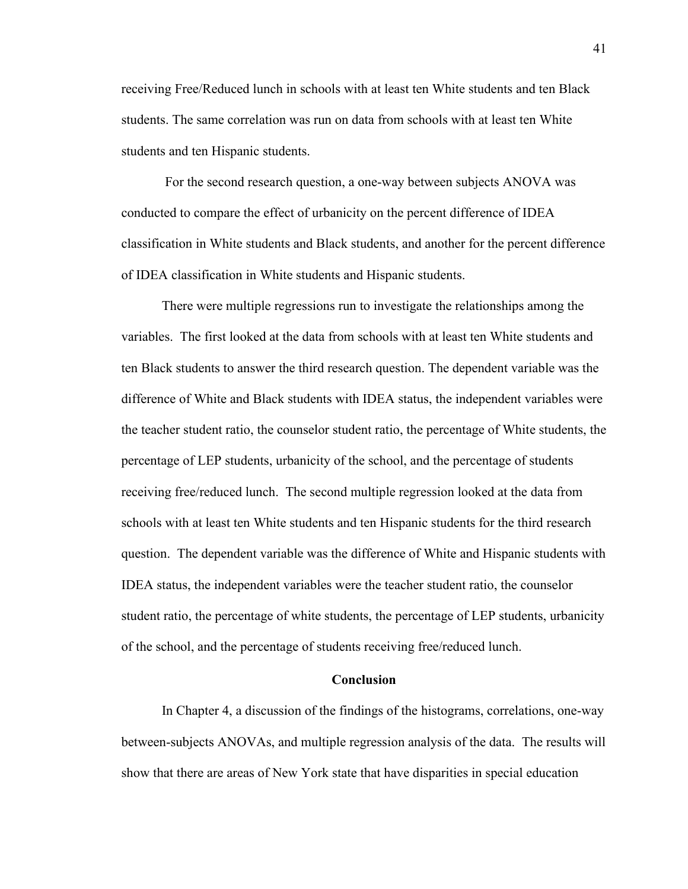receiving Free/Reduced lunch in schools with at least ten White students and ten Black students. The same correlation was run on data from schools with at least ten White students and ten Hispanic students.

For the second research question, a one-way between subjects ANOVA was conducted to compare the effect of urbanicity on the percent difference of IDEA classification in White students and Black students, and another for the percent difference of IDEA classification in White students and Hispanic students.

There were multiple regressions run to investigate the relationships among the variables. The first looked at the data from schools with at least ten White students and ten Black students to answer the third research question. The dependent variable was the difference of White and Black students with IDEA status, the independent variables were the teacher student ratio, the counselor student ratio, the percentage of White students, the percentage of LEP students, urbanicity of the school, and the percentage of students receiving free/reduced lunch. The second multiple regression looked at the data from schools with at least ten White students and ten Hispanic students for the third research question. The dependent variable was the difference of White and Hispanic students with IDEA status, the independent variables were the teacher student ratio, the counselor student ratio, the percentage of white students, the percentage of LEP students, urbanicity of the school, and the percentage of students receiving free/reduced lunch.

#### **Conclusion**

In Chapter 4, a discussion of the findings of the histograms, correlations, one-way between-subjects ANOVAs, and multiple regression analysis of the data. The results will show that there are areas of New York state that have disparities in special education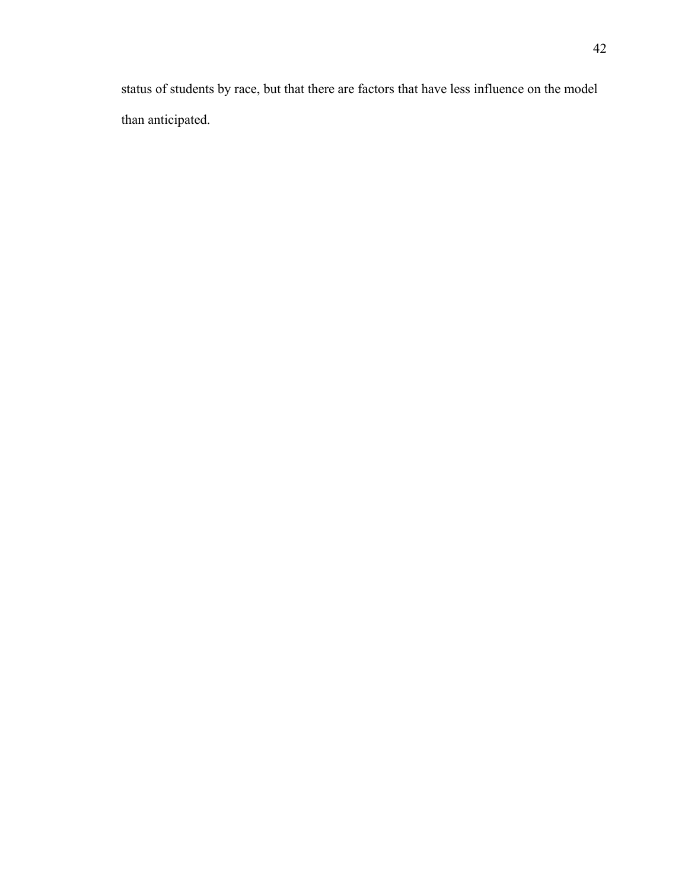status of students by race, but that there are factors that have less influence on the model than anticipated.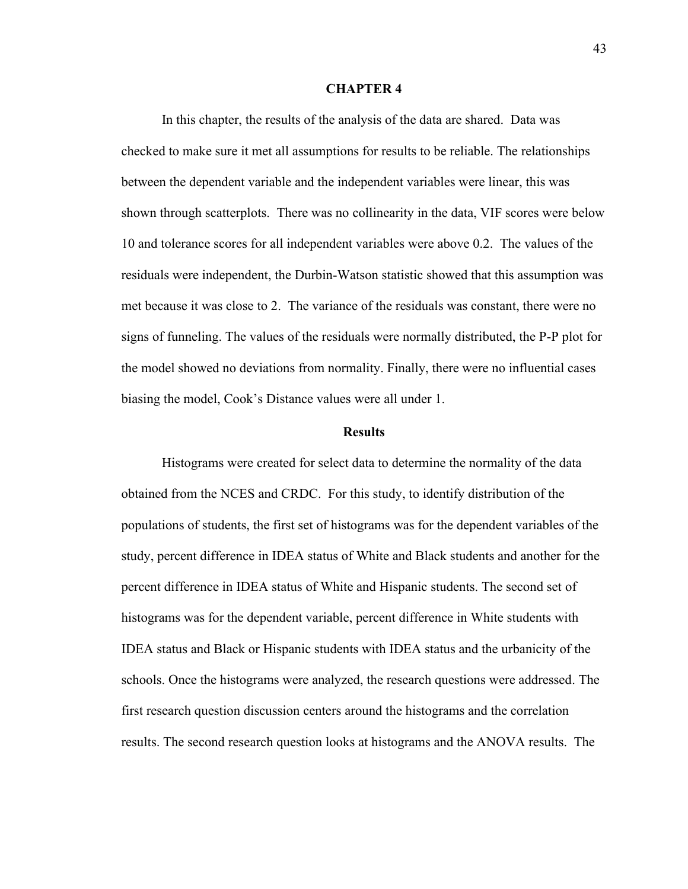#### **CHAPTER 4**

In this chapter, the results of the analysis of the data are shared. Data was checked to make sure it met all assumptions for results to be reliable. The relationships between the dependent variable and the independent variables were linear, this was shown through scatterplots. There was no collinearity in the data, VIF scores were below 10 and tolerance scores for all independent variables were above 0.2. The values of the residuals were independent, the Durbin-Watson statistic showed that this assumption was met because it was close to 2. The variance of the residuals was constant, there were no signs of funneling. The values of the residuals were normally distributed, the P-P plot for the model showed no deviations from normality. Finally, there were no influential cases biasing the model, Cook's Distance values were all under 1.

#### **Results**

Histograms were created for select data to determine the normality of the data obtained from the NCES and CRDC. For this study, to identify distribution of the populations of students, the first set of histograms was for the dependent variables of the study, percent difference in IDEA status of White and Black students and another for the percent difference in IDEA status of White and Hispanic students. The second set of histograms was for the dependent variable, percent difference in White students with IDEA status and Black or Hispanic students with IDEA status and the urbanicity of the schools. Once the histograms were analyzed, the research questions were addressed. The first research question discussion centers around the histograms and the correlation results. The second research question looks at histograms and the ANOVA results. The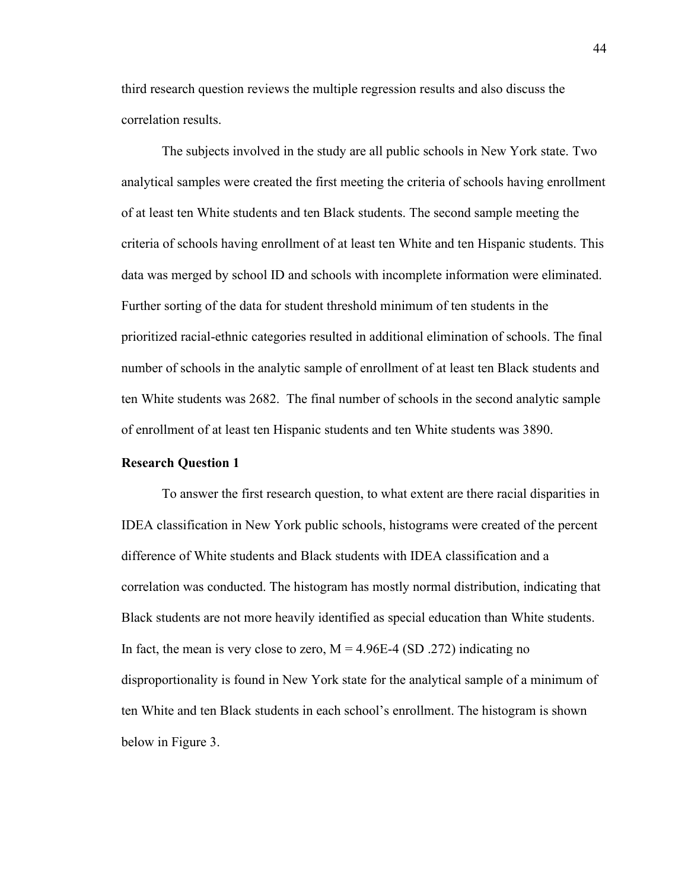third research question reviews the multiple regression results and also discuss the correlation results.

The subjects involved in the study are all public schools in New York state. Two analytical samples were created the first meeting the criteria of schools having enrollment of at least ten White students and ten Black students. The second sample meeting the criteria of schools having enrollment of at least ten White and ten Hispanic students. This data was merged by school ID and schools with incomplete information were eliminated. Further sorting of the data for student threshold minimum of ten students in the prioritized racial-ethnic categories resulted in additional elimination of schools. The final number of schools in the analytic sample of enrollment of at least ten Black students and ten White students was 2682. The final number of schools in the second analytic sample of enrollment of at least ten Hispanic students and ten White students was 3890.

#### **Research Question 1**

To answer the first research question, to what extent are there racial disparities in IDEA classification in New York public schools, histograms were created of the percent difference of White students and Black students with IDEA classification and a correlation was conducted. The histogram has mostly normal distribution, indicating that Black students are not more heavily identified as special education than White students. In fact, the mean is very close to zero,  $M = 4.96E-4$  (SD .272) indicating no disproportionality is found in New York state for the analytical sample of a minimum of ten White and ten Black students in each school's enrollment. The histogram is shown below in Figure 3.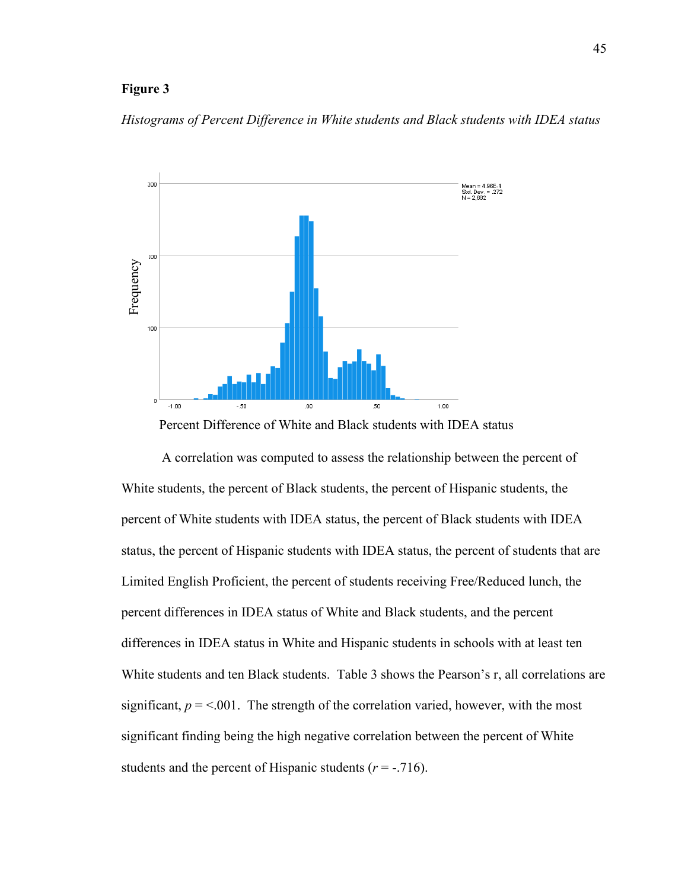## **Figure 3**

*Histograms of Percent Difference in White students and Black students with IDEA status*



Percent Difference of White and Black students with IDEA status

A correlation was computed to assess the relationship between the percent of White students, the percent of Black students, the percent of Hispanic students, the percent of White students with IDEA status, the percent of Black students with IDEA status, the percent of Hispanic students with IDEA status, the percent of students that are Limited English Proficient, the percent of students receiving Free/Reduced lunch, the percent differences in IDEA status of White and Black students, and the percent differences in IDEA status in White and Hispanic students in schools with at least ten White students and ten Black students. Table 3 shows the Pearson's r, all correlations are significant,  $p = 0.001$ . The strength of the correlation varied, however, with the most significant finding being the high negative correlation between the percent of White students and the percent of Hispanic students  $(r = -0.716)$ .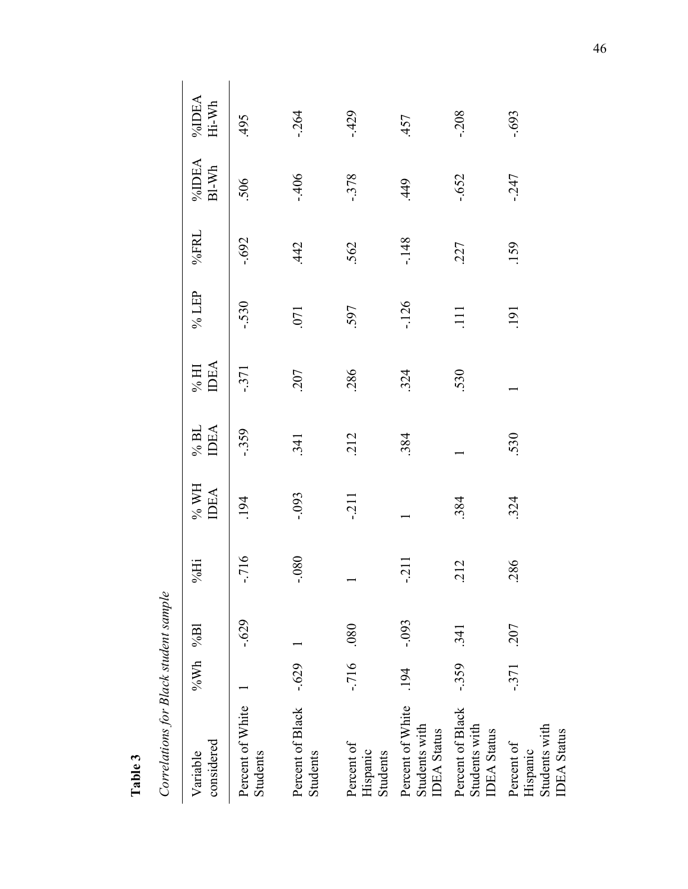Correlations for Black student sample *Correlations for Black student sample*

**Table 3**

| considered<br>Variable                                        | %Wh %Bl    |          | $% \overline{H}$     | % WH<br><b>IDEA</b> | <b>IDEA</b><br>$\%$ BL | <b>IDEA</b><br>$\%$ HI | % LEP      | %FRL     | %IDEA<br>BI-Wh | $\%$ DEA Hi-Wh |
|---------------------------------------------------------------|------------|----------|----------------------|---------------------|------------------------|------------------------|------------|----------|----------------|----------------|
| Percent of White<br>Students                                  |            | $-0.629$ | $-716$               | .194                | $-359$                 | $-371$                 | $-530$     | $-0.692$ | 506            | 495            |
| Percent of Black -.629<br>Students                            |            |          | 080<br>ι,            | $-0.093$            | 341                    | 207                    | .071       | 442      | $-406$         | $-264$         |
| Percent of<br>Hispanic<br>Students                            | $-716$ 080 |          |                      | $-211$              | 212                    | .286                   | 597        | 562      | $-378$         | $-429$         |
| Percent of White<br>Students with<br><b>IDEA</b> Status       | .194       | $-0.093$ | $\overline{c}$<br>í, |                     | .384                   | 324                    | $-126$     | $-.148$  | 449            | .457           |
| Percent of Black<br>Students with<br><b>IDEA</b> Status       | $-359$     | .341     | .212                 | .384                |                        | 530                    |            | 227      | $-652$         | $-208$         |
| Students with<br><b>IDEA</b> Status<br>Percent of<br>Hispanic | $-371$     | .207     | .86<br>ĆЙ            | 324                 | 530                    |                        | <b>191</b> | .159     | $-247$         | $-0.693$       |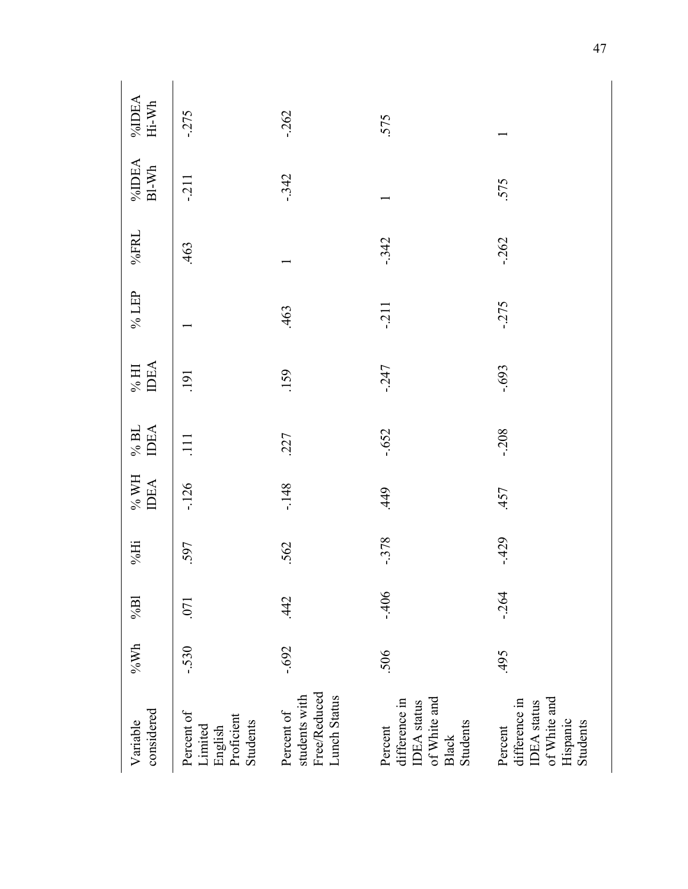| considered<br>Variable                                                                   | $\rm 96Wh$ | $\%$ Bl | $% \overline{H}$ | $\%$ WH<br><b>IDEA</b> | IDEA<br>$\%$ BL | <b>IDEA</b><br>$\%$ HI | % $LEP$ | %FRL   | %IDEA<br>BI-Wh | %IDEA<br>Hi-Wh |
|------------------------------------------------------------------------------------------|------------|---------|------------------|------------------------|-----------------|------------------------|---------|--------|----------------|----------------|
| Percent of<br>Proficient<br>Students<br>Limited<br>English                               | $-530$     | .071    | 597              | $-126$                 | $\Xi$           | .191                   |         | .463   | $-211$         | $-275$         |
| Free/Reduced<br>students with<br>Lunch Status<br>Percent of                              | $-0.692$   | 442     | 562              | $-148$                 | .227            | .159                   | .463    |        | $-342$         | $-262$         |
| of White and ${\bf Black}$<br>difference in<br><b>IDEA</b> status<br>Students<br>Percent | 506        | $-406$  | $-378$           | 449                    | $-0.652$        | $-247$                 | $-211$  | $-342$ |                | 575            |
| of White and<br>difference in<br><b>IDEA</b> status<br>Hispanic<br>Students<br>Percent   | .495       | $-264$  | $-429$           | .457                   | $-208$          | $-0.693$               | $-275$  | $-262$ | 575            |                |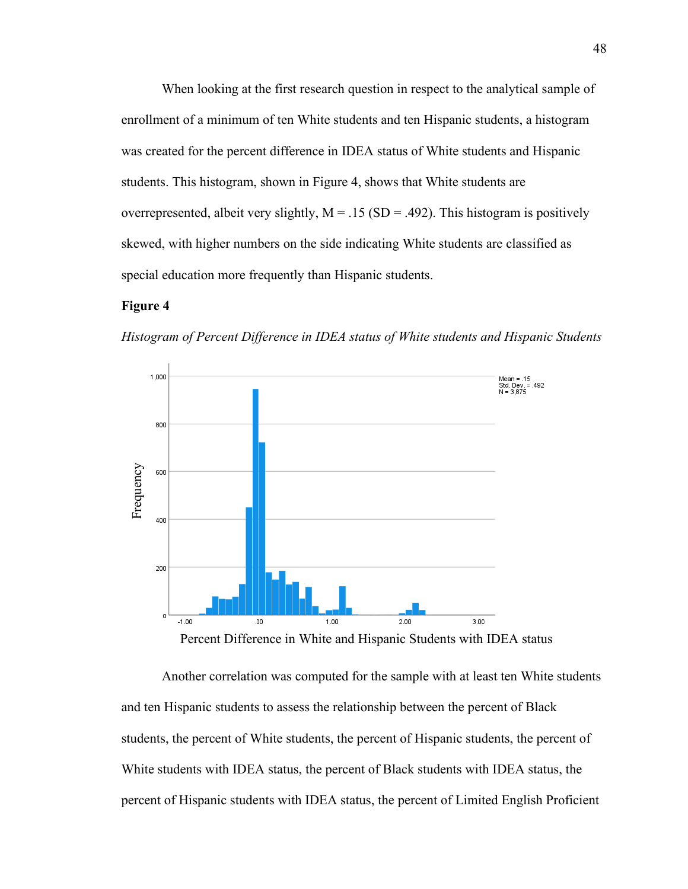When looking at the first research question in respect to the analytical sample of enrollment of a minimum of ten White students and ten Hispanic students, a histogram was created for the percent difference in IDEA status of White students and Hispanic students. This histogram, shown in Figure 4, shows that White students are overrepresented, albeit very slightly,  $M = .15$  (SD = .492). This histogram is positively skewed, with higher numbers on the side indicating White students are classified as special education more frequently than Hispanic students.

## **Figure 4**

*Histogram of Percent Difference in IDEA status of White students and Hispanic Students*



Percent Difference in White and Hispanic Students with IDEA status

Another correlation was computed for the sample with at least ten White students and ten Hispanic students to assess the relationship between the percent of Black students, the percent of White students, the percent of Hispanic students, the percent of White students with IDEA status, the percent of Black students with IDEA status, the percent of Hispanic students with IDEA status, the percent of Limited English Proficient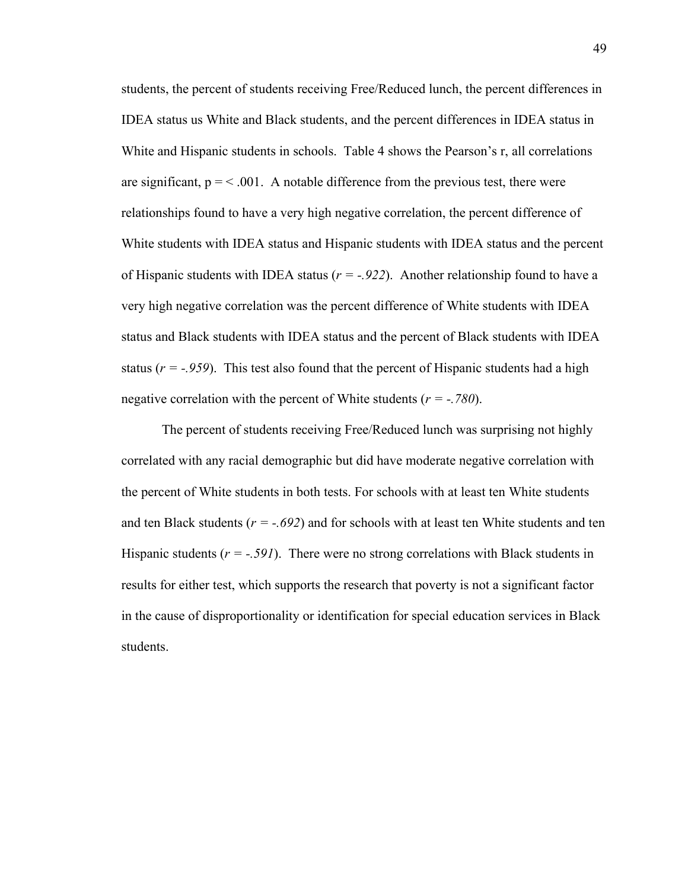students, the percent of students receiving Free/Reduced lunch, the percent differences in IDEA status us White and Black students, and the percent differences in IDEA status in White and Hispanic students in schools. Table 4 shows the Pearson's r, all correlations are significant,  $p = 0.001$ . A notable difference from the previous test, there were relationships found to have a very high negative correlation, the percent difference of White students with IDEA status and Hispanic students with IDEA status and the percent of Hispanic students with IDEA status  $(r = -0.922)$ . Another relationship found to have a very high negative correlation was the percent difference of White students with IDEA status and Black students with IDEA status and the percent of Black students with IDEA status  $(r = -0.959)$ . This test also found that the percent of Hispanic students had a high negative correlation with the percent of White students (*r = -.780*).

The percent of students receiving Free/Reduced lunch was surprising not highly correlated with any racial demographic but did have moderate negative correlation with the percent of White students in both tests. For schools with at least ten White students and ten Black students ( $r = -.692$ ) and for schools with at least ten White students and ten Hispanic students  $(r = -.591)$ . There were no strong correlations with Black students in results for either test, which supports the research that poverty is not a significant factor in the cause of disproportionality or identification for special education services in Black students.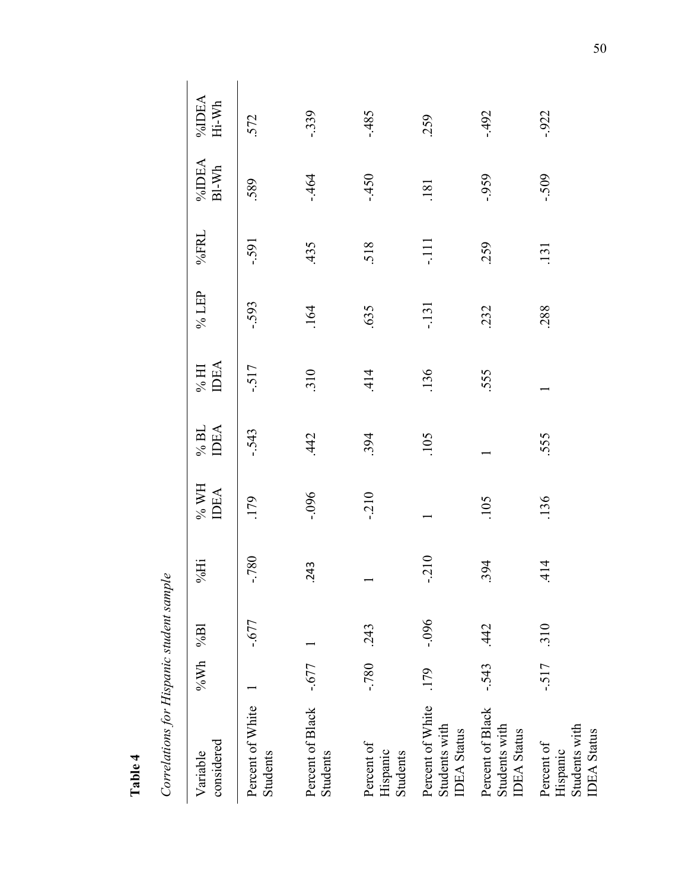| d      |
|--------|
| ω      |
| -      |
| ż<br>_ |

Correlations for Hispanic student sample *Correlations for Hispanic student sample*

| considered<br>Variable                                        | % $Wh \sim 86$ Bl |          | %Hi       | $\%$ WH<br><b>IDEA</b> | $96$ BL<br><b>IDEA</b> | $\%$ HI IDEA | % LEP  | %FRL   | %IDEA<br>BI-Wh | $\%$ DEA Hi-Wh |
|---------------------------------------------------------------|-------------------|----------|-----------|------------------------|------------------------|--------------|--------|--------|----------------|----------------|
| Percent of White<br>Students                                  |                   | $-677$   | $-780$    | .179                   | $-543$                 | $-517$       | $-593$ | $-591$ | 589            | 572            |
| Percent of Black<br>Students                                  | $-0.677$          |          | .243      | $-0.096$               | 442                    | 310          | .164   | 435    | $-464$         | $-339$         |
| Percent of<br>Hispanic<br>Students                            | $08C$ -           | .243     |           | $-210$                 | 394                    | 414          | 635    | 518    | $-450$         | $-485$         |
| Percent of White<br>Students with<br><b>IDEA</b> Status       | .179              | $-0.096$ | 210<br>J, |                        | .105                   | .136         | $-131$ | コ<br>了 | .181           | 259            |
| Percent of Black<br>Students with<br><b>IDEA</b> Status       | $-543$            | .442     | .394      | 105                    |                        | 555          | 232    | 259    | $-0.959$       | $-492$         |
| Students with<br><b>IDEA</b> Status<br>Percent of<br>Hispanic | $-517$            | .310     | .414      | .136                   | 555                    |              | 288    | .131   | $-509$         | $-0.922$       |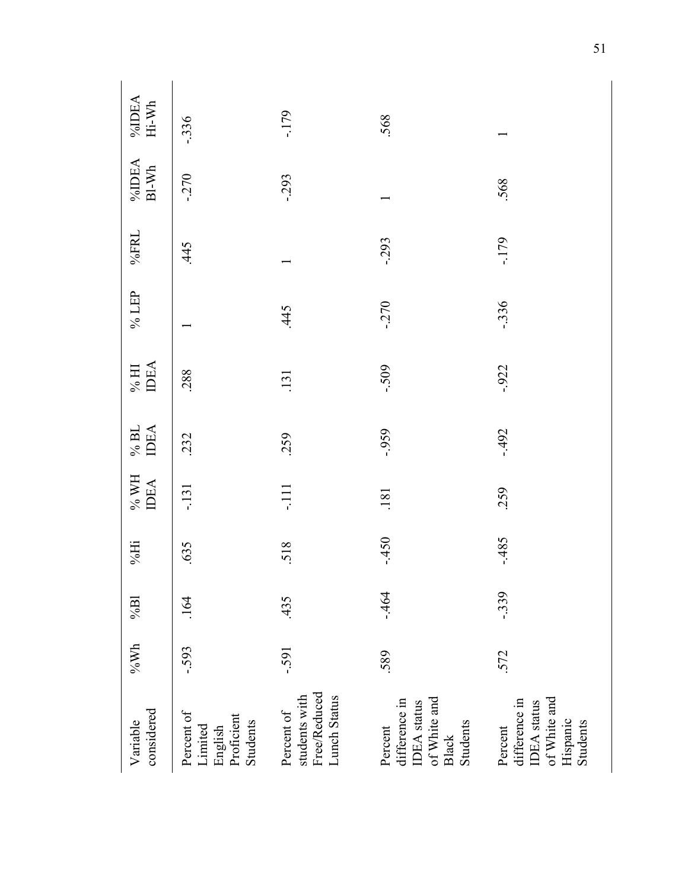| considered<br>Variable                                                          | $\rm 96Wh$ | $\%$ Bl | $\% Hi$ | $\%$ WH IDEA | $\%$ BL<br>IDEA | $\%$ HI<br>IDEA | $\%$ LEP | %FRL     | $\sqrt[9]{\text{dDEA}}$ Bl-Wh | $\% \mathbf{IDEA}$<br>Hi-Wh |
|---------------------------------------------------------------------------------|------------|---------|---------|--------------|-----------------|-----------------|----------|----------|-------------------------------|-----------------------------|
| Percent of<br>Limited<br>English<br>Proficient<br>Students                      | $-593$     | .164    | .635    | -.131        | 232             | 288             |          | 445      | $-270$                        | $-336$                      |
| students with<br>Free/Reduced<br>Lunch Status<br>Percent of                     | $-591$     | .435    | 518     | $-111$       | 259             | .131            | 445      |          | $-293$                        | $-179$                      |
| difference in<br>IDEA status<br>of White and<br>Black<br>Students<br>Percent    | 589        | $-464$  | $-450$  | .181         | $-0.959$        | $-509$          | $-270$   | $-0.293$ |                               | 568                         |
| IDEA status<br>of White and<br>Percent<br>difference in<br>Hispanic<br>Students | 572        | $-339$  | $-485$  | 259          | $-492$          | $-0.922$        | $-336$   | $-179$   | 568                           |                             |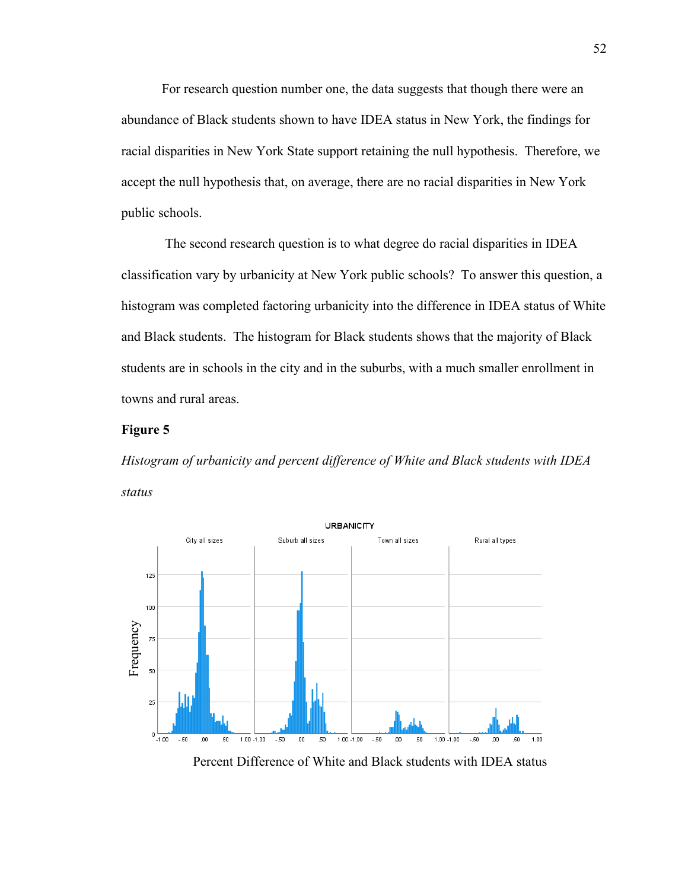For research question number one, the data suggests that though there were an abundance of Black students shown to have IDEA status in New York, the findings for racial disparities in New York State support retaining the null hypothesis. Therefore, we accept the null hypothesis that, on average, there are no racial disparities in New York public schools.

The second research question is to what degree do racial disparities in IDEA classification vary by urbanicity at New York public schools? To answer this question, a histogram was completed factoring urbanicity into the difference in IDEA status of White and Black students. The histogram for Black students shows that the majority of Black students are in schools in the city and in the suburbs, with a much smaller enrollment in towns and rural areas.

## **Figure 5**

*Histogram of urbanicity and percent difference of White and Black students with IDEA status*



Percent Difference of White and Black students with IDEA status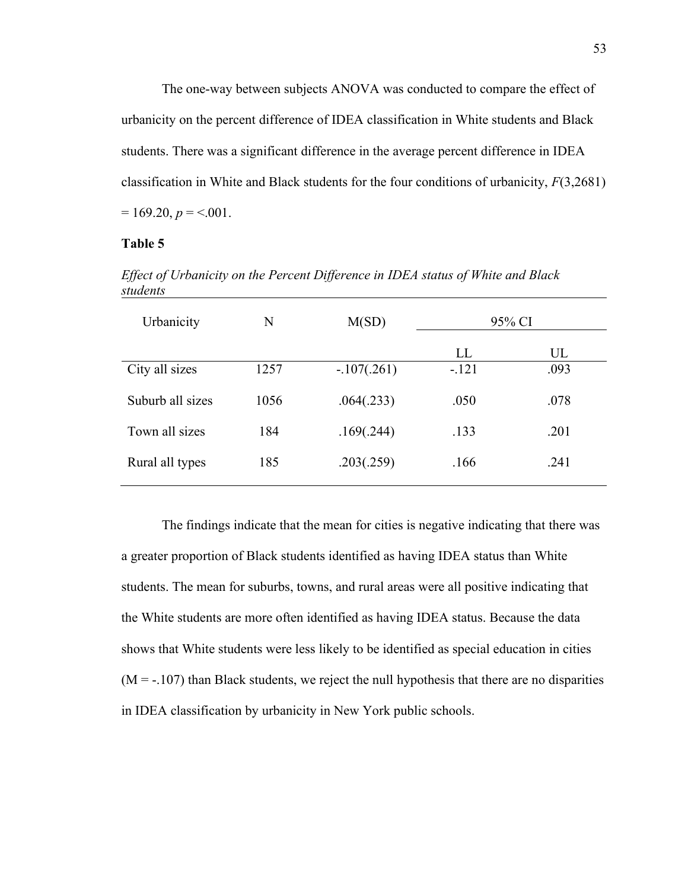The one-way between subjects ANOVA was conducted to compare the effect of urbanicity on the percent difference of IDEA classification in White students and Black students. There was a significant difference in the average percent difference in IDEA classification in White and Black students for the four conditions of urbanicity, *F*(3,2681)  $= 169.20, p = 0.001.$ 

## **Table 5**

| Urbanicity       | N    | M(SD)         |         | 95% CI |
|------------------|------|---------------|---------|--------|
|                  |      |               | LL      | UL     |
| City all sizes   | 1257 | $-.107(.261)$ | $-.121$ | .093   |
| Suburb all sizes | 1056 | .064(.233)    | .050    | .078   |
| Town all sizes   | 184  | .169(.244)    | .133    | .201   |
| Rural all types  | 185  | .203(.259)    | .166    | .241   |

*Effect of Urbanicity on the Percent Difference in IDEA status of White and Black students*

The findings indicate that the mean for cities is negative indicating that there was a greater proportion of Black students identified as having IDEA status than White students. The mean for suburbs, towns, and rural areas were all positive indicating that the White students are more often identified as having IDEA status. Because the data shows that White students were less likely to be identified as special education in cities  $(M = -107)$  than Black students, we reject the null hypothesis that there are no disparities in IDEA classification by urbanicity in New York public schools.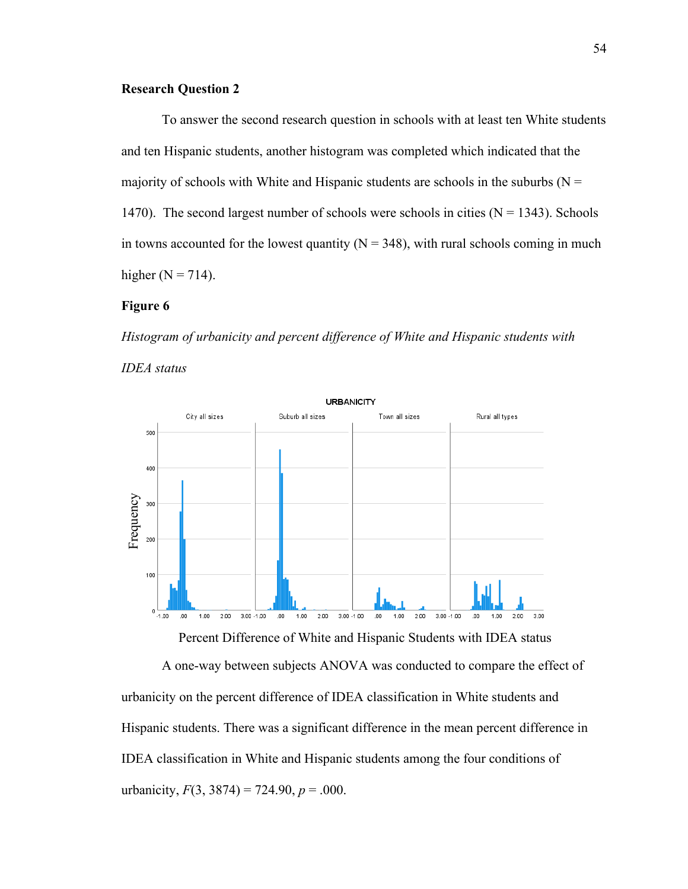## **Research Question 2**

To answer the second research question in schools with at least ten White students and ten Hispanic students, another histogram was completed which indicated that the majority of schools with White and Hispanic students are schools in the suburbs ( $N =$ 1470). The second largest number of schools were schools in cities  $(N = 1343)$ . Schools in towns accounted for the lowest quantity ( $N = 348$ ), with rural schools coming in much higher ( $N = 714$ ).

## **Figure 6**

*Histogram of urbanicity and percent difference of White and Hispanic students with IDEA status*



Percent Difference of White and Hispanic Students with IDEA status

A one-way between subjects ANOVA was conducted to compare the effect of urbanicity on the percent difference of IDEA classification in White students and Hispanic students. There was a significant difference in the mean percent difference in IDEA classification in White and Hispanic students among the four conditions of urbanicity,  $F(3, 3874) = 724.90$ ,  $p = .000$ .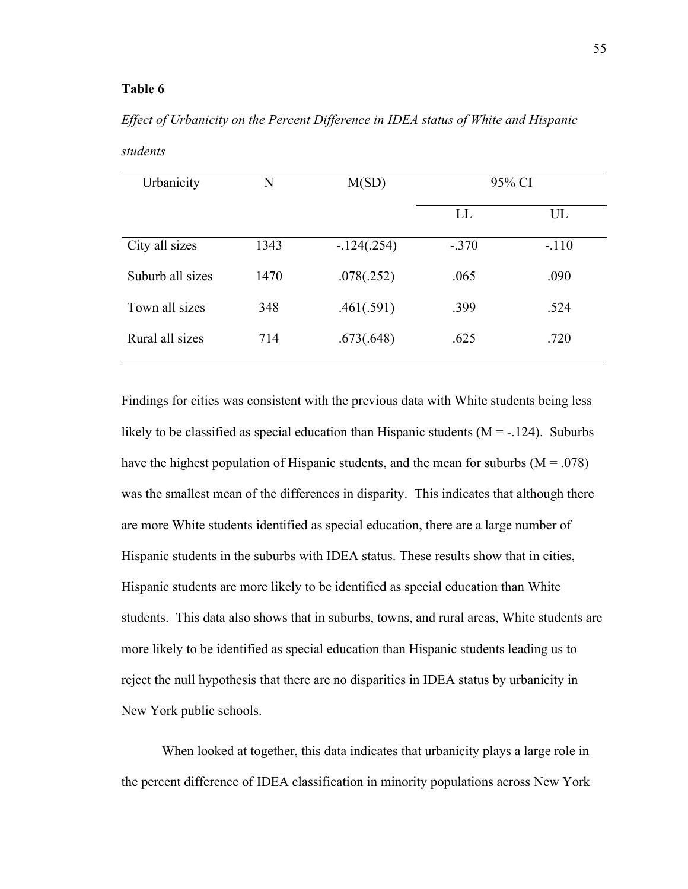### **Table 6**

*Effect of Urbanicity on the Percent Difference in IDEA status of White and Hispanic students*

| Urbanicity       | N    | M(SD)        | 95% CI  |         |
|------------------|------|--------------|---------|---------|
|                  |      |              | LL      | UL      |
| City all sizes   | 1343 | $-124(.254)$ | $-.370$ | $-.110$ |
| Suburb all sizes | 1470 | .078(.252)   | .065    | .090    |
| Town all sizes   | 348  | .461(.591)   | .399    | .524    |
| Rural all sizes  | 714  | .673(.648)   | .625    | .720    |

Findings for cities was consistent with the previous data with White students being less likely to be classified as special education than Hispanic students ( $M = -124$ ). Suburbs have the highest population of Hispanic students, and the mean for suburbs ( $M = .078$ ) was the smallest mean of the differences in disparity. This indicates that although there are more White students identified as special education, there are a large number of Hispanic students in the suburbs with IDEA status. These results show that in cities, Hispanic students are more likely to be identified as special education than White students. This data also shows that in suburbs, towns, and rural areas, White students are more likely to be identified as special education than Hispanic students leading us to reject the null hypothesis that there are no disparities in IDEA status by urbanicity in New York public schools.

When looked at together, this data indicates that urbanicity plays a large role in the percent difference of IDEA classification in minority populations across New York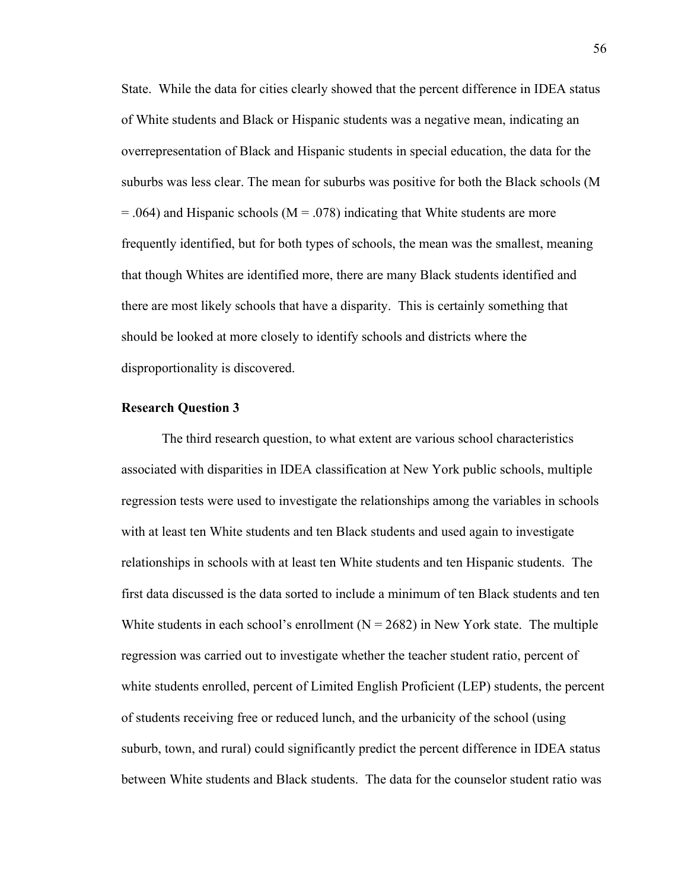State. While the data for cities clearly showed that the percent difference in IDEA status of White students and Black or Hispanic students was a negative mean, indicating an overrepresentation of Black and Hispanic students in special education, the data for the suburbs was less clear. The mean for suburbs was positive for both the Black schools (M  $=$  .064) and Hispanic schools (M  $=$  .078) indicating that White students are more frequently identified, but for both types of schools, the mean was the smallest, meaning that though Whites are identified more, there are many Black students identified and there are most likely schools that have a disparity. This is certainly something that should be looked at more closely to identify schools and districts where the disproportionality is discovered.

## **Research Question 3**

The third research question, to what extent are various school characteristics associated with disparities in IDEA classification at New York public schools, multiple regression tests were used to investigate the relationships among the variables in schools with at least ten White students and ten Black students and used again to investigate relationships in schools with at least ten White students and ten Hispanic students. The first data discussed is the data sorted to include a minimum of ten Black students and ten White students in each school's enrollment  $(N = 2682)$  in New York state. The multiple regression was carried out to investigate whether the teacher student ratio, percent of white students enrolled, percent of Limited English Proficient (LEP) students, the percent of students receiving free or reduced lunch, and the urbanicity of the school (using suburb, town, and rural) could significantly predict the percent difference in IDEA status between White students and Black students. The data for the counselor student ratio was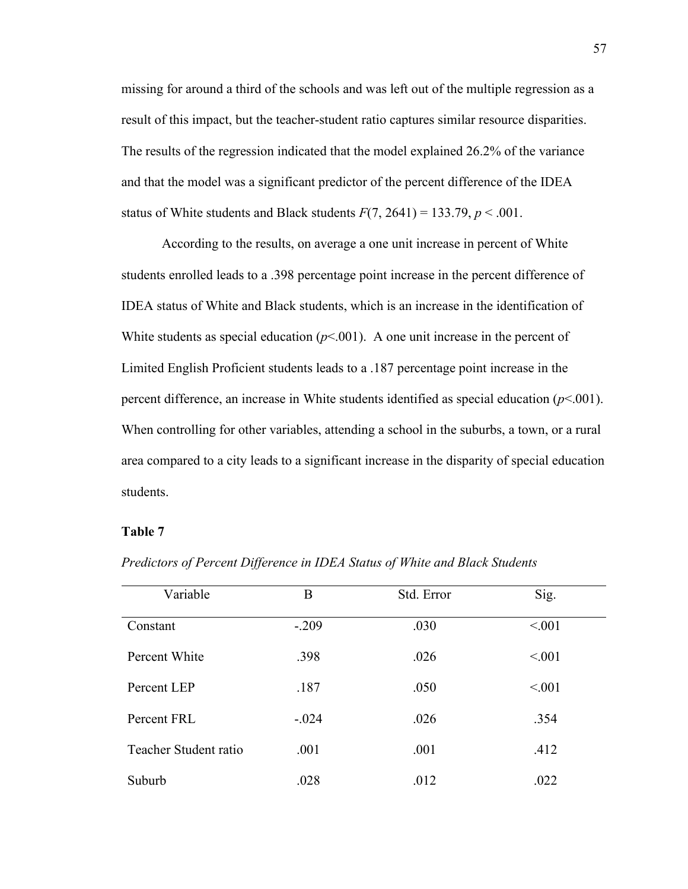missing for around a third of the schools and was left out of the multiple regression as a result of this impact, but the teacher-student ratio captures similar resource disparities. The results of the regression indicated that the model explained 26.2% of the variance and that the model was a significant predictor of the percent difference of the IDEA status of White students and Black students  $F(7, 2641) = 133.79, p < .001$ .

According to the results, on average a one unit increase in percent of White students enrolled leads to a .398 percentage point increase in the percent difference of IDEA status of White and Black students, which is an increase in the identification of White students as special education  $(p< 0.001)$ . A one unit increase in the percent of Limited English Proficient students leads to a .187 percentage point increase in the percent difference, an increase in White students identified as special education (*p*<.001). When controlling for other variables, attending a school in the suburbs, a town, or a rural area compared to a city leads to a significant increase in the disparity of special education students.

#### **Table 7**

| Variable              | B       | Std. Error | Sig.   |
|-----------------------|---------|------------|--------|
| Constant              | $-.209$ | .030       | < 0.01 |
| Percent White         | .398    | .026       | < 0.01 |
| Percent LEP           | .187    | .050       | < 0.01 |
| Percent FRL           | $-.024$ | .026       | .354   |
| Teacher Student ratio | .001    | .001       | .412   |
| Suburb                | .028    | .012       | .022   |

*Predictors of Percent Difference in IDEA Status of White and Black Students*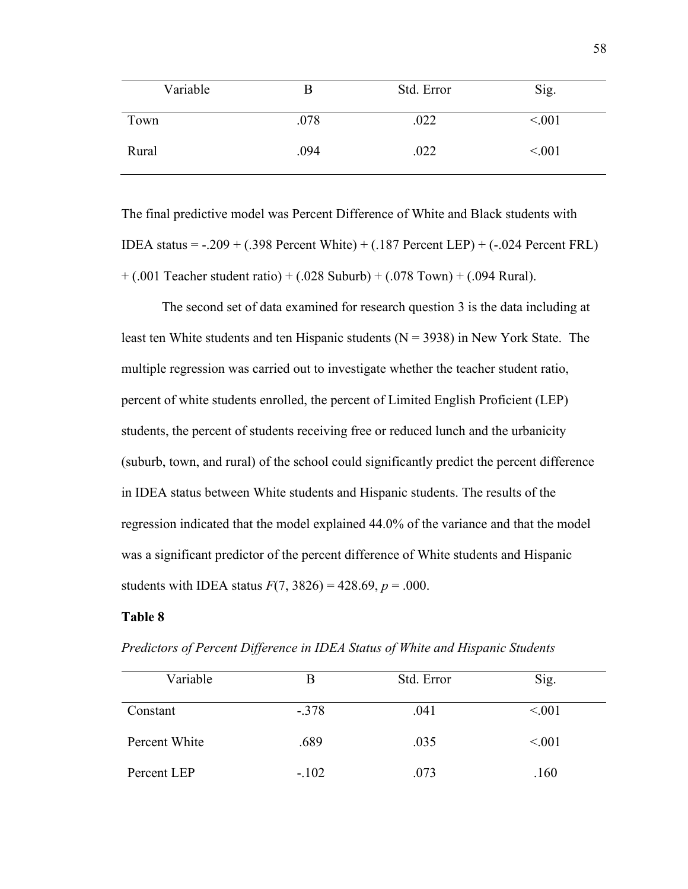| Variable |      | Std. Error | Sig.    |
|----------|------|------------|---------|
| Town     | .078 | .022       | < 0.01  |
| Rural    | .094 | .022       | < 0.001 |

The final predictive model was Percent Difference of White and Black students with IDEA status =  $-0.209 + 0.398$  Percent White) +  $0.187$  Percent LEP) +  $(-0.024$  Percent FRL  $+ (.001$  Teacher student ratio)  $+ (.028$  Suburb)  $+ (.078$  Town)  $+ (.094$  Rural).

The second set of data examined for research question 3 is the data including at least ten White students and ten Hispanic students  $(N = 3938)$  in New York State. The multiple regression was carried out to investigate whether the teacher student ratio, percent of white students enrolled, the percent of Limited English Proficient (LEP) students, the percent of students receiving free or reduced lunch and the urbanicity (suburb, town, and rural) of the school could significantly predict the percent difference in IDEA status between White students and Hispanic students. The results of the regression indicated that the model explained 44.0% of the variance and that the model was a significant predictor of the percent difference of White students and Hispanic students with IDEA status  $F(7, 3826) = 428.69, p = .000$ .

### **Table 8**

| Variable      | В       | Std. Error | Sig.   |  |
|---------------|---------|------------|--------|--|
|               |         |            |        |  |
| Constant      | $-.378$ | .041       | < 0.01 |  |
|               |         |            |        |  |
| Percent White | .689    | .035       | < 0.01 |  |
|               |         |            |        |  |
| Percent LEP   | $-.102$ | .073       | .160   |  |

*Predictors of Percent Difference in IDEA Status of White and Hispanic Students*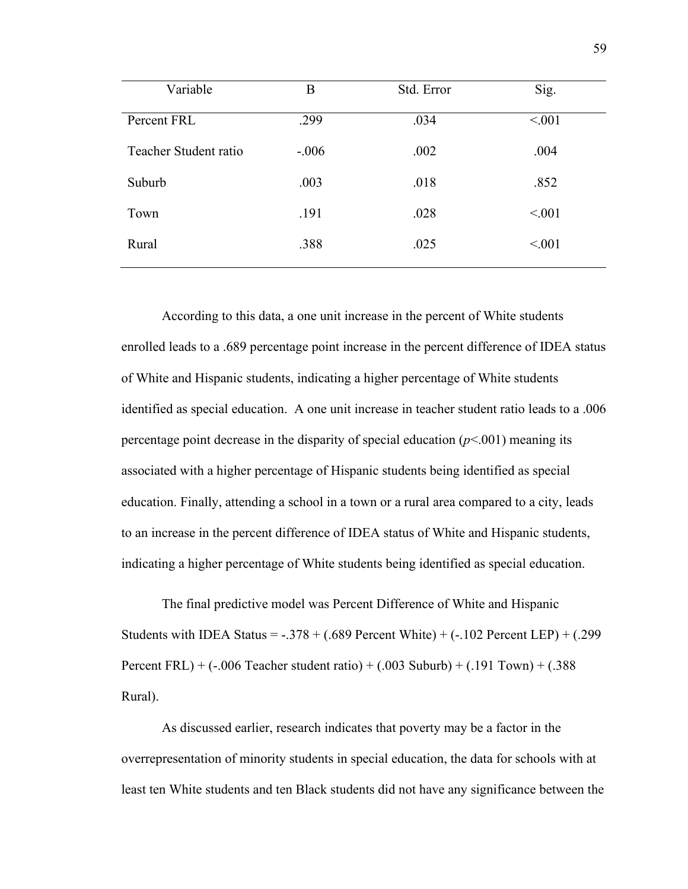| Variable              | B       | Std. Error | Sig.   |
|-----------------------|---------|------------|--------|
| Percent FRL           | .299    | .034       | < 0.01 |
| Teacher Student ratio | $-.006$ | .002       | .004   |
| Suburb                | .003    | .018       | .852   |
| Town                  | .191    | .028       | < 0.01 |
| Rural                 | .388    | .025       | < 0.01 |

According to this data, a one unit increase in the percent of White students enrolled leads to a .689 percentage point increase in the percent difference of IDEA status of White and Hispanic students, indicating a higher percentage of White students identified as special education. A one unit increase in teacher student ratio leads to a .006 percentage point decrease in the disparity of special education  $(p<.001)$  meaning its associated with a higher percentage of Hispanic students being identified as special education. Finally, attending a school in a town or a rural area compared to a city, leads to an increase in the percent difference of IDEA status of White and Hispanic students, indicating a higher percentage of White students being identified as special education.

The final predictive model was Percent Difference of White and Hispanic Students with IDEA Status =  $-.378 + (.689$  Percent White) +  $(.102$  Percent LEP) +  $(.299$ Percent FRL) +  $(-.006$  Teacher student ratio) +  $(.003$  Suburb) +  $(.191$  Town) +  $(.388$ Rural).

As discussed earlier, research indicates that poverty may be a factor in the overrepresentation of minority students in special education, the data for schools with at least ten White students and ten Black students did not have any significance between the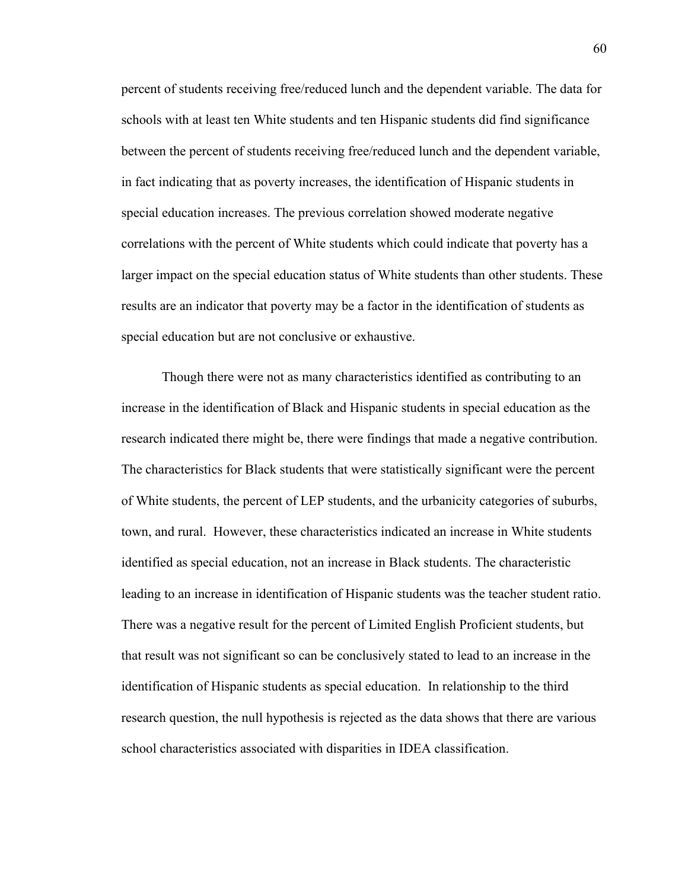percent of students receiving free/reduced lunch and the dependent variable. The data for schools with at least ten White students and ten Hispanic students did find significance between the percent of students receiving free/reduced lunch and the dependent variable, in fact indicating that as poverty increases, the identification of Hispanic students in special education increases. The previous correlation showed moderate negative correlations with the percent of White students which could indicate that poverty has a larger impact on the special education status of White students than other students. These results are an indicator that poverty may be a factor in the identification of students as special education but are not conclusive or exhaustive.

Though there were not as many characteristics identified as contributing to an increase in the identification of Black and Hispanic students in special education as the research indicated there might be, there were findings that made a negative contribution. The characteristics for Black students that were statistically significant were the percent of White students, the percent of LEP students, and the urbanicity categories of suburbs, town, and rural. However, these characteristics indicated an increase in White students identified as special education, not an increase in Black students. The characteristic leading to an increase in identification of Hispanic students was the teacher student ratio. There was a negative result for the percent of Limited English Proficient students, but that result was not significant so can be conclusively stated to lead to an increase in the identification of Hispanic students as special education. In relationship to the third research question, the null hypothesis is rejected as the data shows that there are various school characteristics associated with disparities in IDEA classification.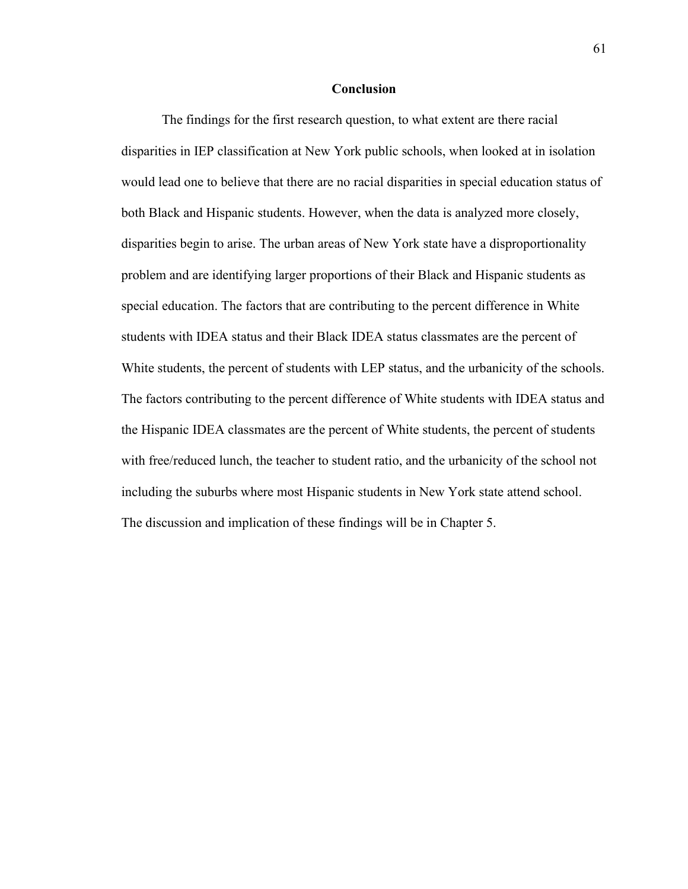#### **Conclusion**

The findings for the first research question, to what extent are there racial disparities in IEP classification at New York public schools, when looked at in isolation would lead one to believe that there are no racial disparities in special education status of both Black and Hispanic students. However, when the data is analyzed more closely, disparities begin to arise. The urban areas of New York state have a disproportionality problem and are identifying larger proportions of their Black and Hispanic students as special education. The factors that are contributing to the percent difference in White students with IDEA status and their Black IDEA status classmates are the percent of White students, the percent of students with LEP status, and the urbanicity of the schools. The factors contributing to the percent difference of White students with IDEA status and the Hispanic IDEA classmates are the percent of White students, the percent of students with free/reduced lunch, the teacher to student ratio, and the urbanicity of the school not including the suburbs where most Hispanic students in New York state attend school. The discussion and implication of these findings will be in Chapter 5.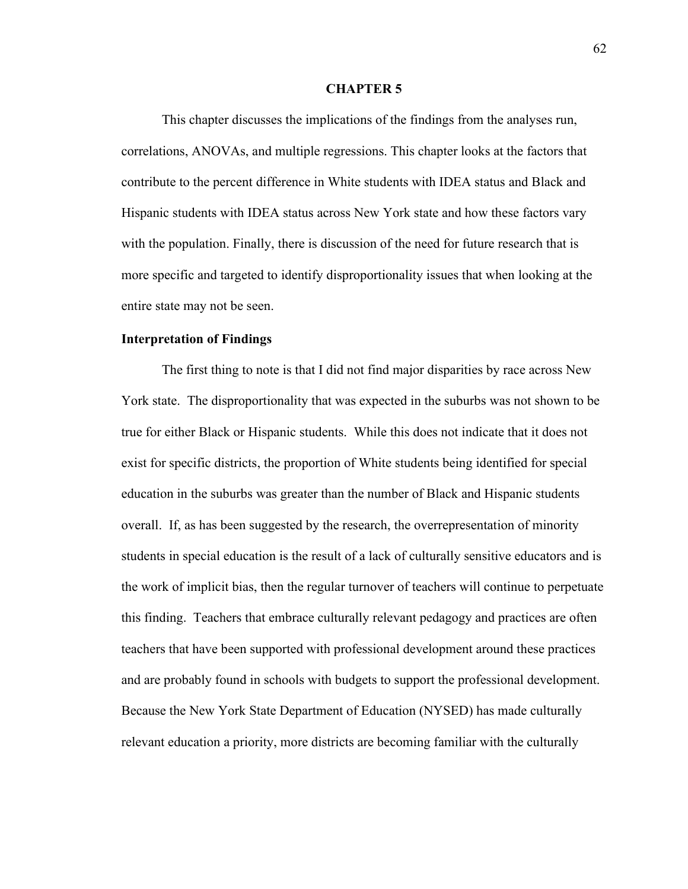#### **CHAPTER 5**

This chapter discusses the implications of the findings from the analyses run, correlations, ANOVAs, and multiple regressions. This chapter looks at the factors that contribute to the percent difference in White students with IDEA status and Black and Hispanic students with IDEA status across New York state and how these factors vary with the population. Finally, there is discussion of the need for future research that is more specific and targeted to identify disproportionality issues that when looking at the entire state may not be seen.

## **Interpretation of Findings**

The first thing to note is that I did not find major disparities by race across New York state. The disproportionality that was expected in the suburbs was not shown to be true for either Black or Hispanic students. While this does not indicate that it does not exist for specific districts, the proportion of White students being identified for special education in the suburbs was greater than the number of Black and Hispanic students overall. If, as has been suggested by the research, the overrepresentation of minority students in special education is the result of a lack of culturally sensitive educators and is the work of implicit bias, then the regular turnover of teachers will continue to perpetuate this finding. Teachers that embrace culturally relevant pedagogy and practices are often teachers that have been supported with professional development around these practices and are probably found in schools with budgets to support the professional development. Because the New York State Department of Education (NYSED) has made culturally relevant education a priority, more districts are becoming familiar with the culturally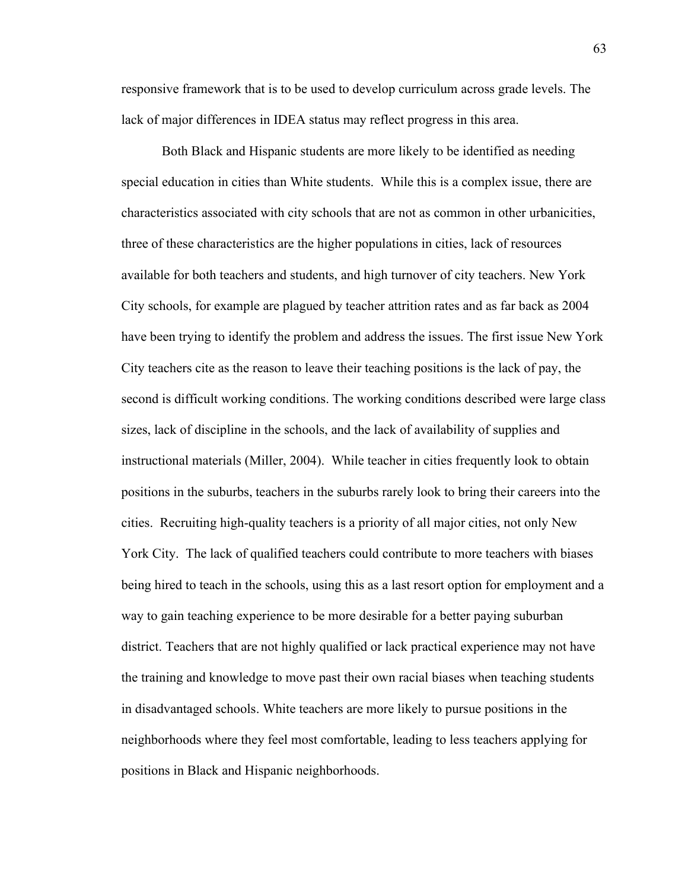responsive framework that is to be used to develop curriculum across grade levels. The lack of major differences in IDEA status may reflect progress in this area.

Both Black and Hispanic students are more likely to be identified as needing special education in cities than White students. While this is a complex issue, there are characteristics associated with city schools that are not as common in other urbanicities, three of these characteristics are the higher populations in cities, lack of resources available for both teachers and students, and high turnover of city teachers. New York City schools, for example are plagued by teacher attrition rates and as far back as 2004 have been trying to identify the problem and address the issues. The first issue New York City teachers cite as the reason to leave their teaching positions is the lack of pay, the second is difficult working conditions. The working conditions described were large class sizes, lack of discipline in the schools, and the lack of availability of supplies and instructional materials (Miller, 2004). While teacher in cities frequently look to obtain positions in the suburbs, teachers in the suburbs rarely look to bring their careers into the cities. Recruiting high-quality teachers is a priority of all major cities, not only New York City. The lack of qualified teachers could contribute to more teachers with biases being hired to teach in the schools, using this as a last resort option for employment and a way to gain teaching experience to be more desirable for a better paying suburban district. Teachers that are not highly qualified or lack practical experience may not have the training and knowledge to move past their own racial biases when teaching students in disadvantaged schools. White teachers are more likely to pursue positions in the neighborhoods where they feel most comfortable, leading to less teachers applying for positions in Black and Hispanic neighborhoods.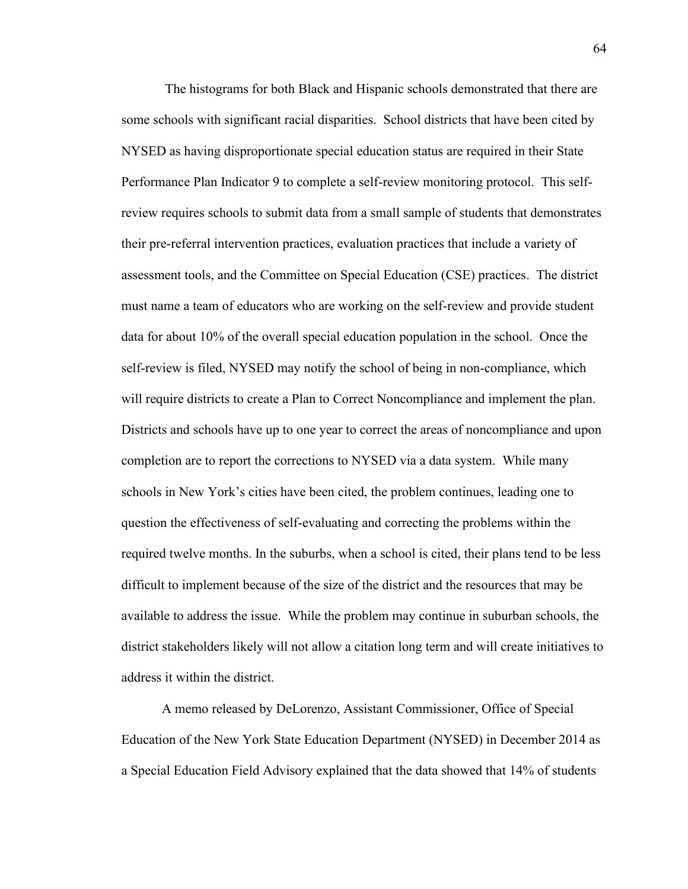The histograms for both Black and Hispanic schools demonstrated that there are some schools with significant racial disparities. School districts that have been cited by NYSED as having disproportionate special education status are required in their State Performance Plan Indicator 9 to complete a self-review monitoring protocol. This selfreview requires schools to submit data from a small sample of students that demonstrates their pre-referral intervention practices, evaluation practices that include a variety of assessment tools, and the Committee on Special Education (CSE) practices. The district must name a team of educators who are working on the self-review and provide student data for about 10% of the overall special education population in the school. Once the self-review is filed, NYSED may notify the school of being in non-compliance, which will require districts to create a Plan to Correct Noncompliance and implement the plan. Districts and schools have up to one year to correct the areas of noncompliance and upon completion are to report the corrections to NYSED via a data system. While many schools in New York's cities have been cited, the problem continues, leading one to question the effectiveness of self-evaluating and correcting the problems within the required twelve months. In the suburbs, when a school is cited, their plans tend to be less difficult to implement because of the size of the district and the resources that may be available to address the issue. While the problem may continue in suburban schools, the district stakeholders likely will not allow a citation long term and will create initiatives to address it within the district.

A memo released by DeLorenzo, Assistant Commissioner, Office of Special Education of the New York State Education Department (NYSED) in December 2014 as a Special Education Field Advisory explained that the data showed that 14% of students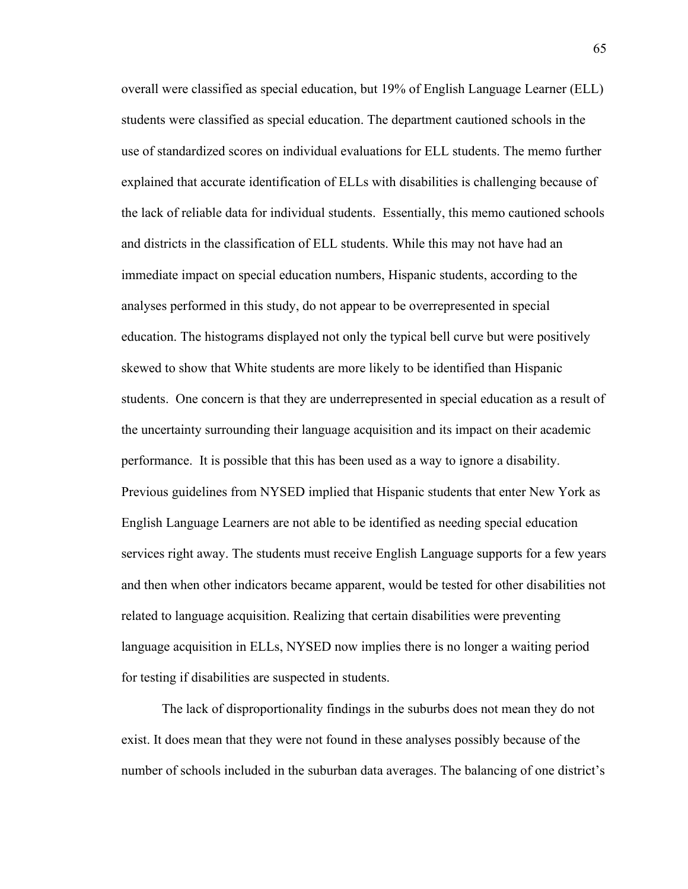overall were classified as special education, but 19% of English Language Learner (ELL) students were classified as special education. The department cautioned schools in the use of standardized scores on individual evaluations for ELL students. The memo further explained that accurate identification of ELLs with disabilities is challenging because of the lack of reliable data for individual students. Essentially, this memo cautioned schools and districts in the classification of ELL students. While this may not have had an immediate impact on special education numbers, Hispanic students, according to the analyses performed in this study, do not appear to be overrepresented in special education. The histograms displayed not only the typical bell curve but were positively skewed to show that White students are more likely to be identified than Hispanic students. One concern is that they are underrepresented in special education as a result of the uncertainty surrounding their language acquisition and its impact on their academic performance. It is possible that this has been used as a way to ignore a disability. Previous guidelines from NYSED implied that Hispanic students that enter New York as English Language Learners are not able to be identified as needing special education services right away. The students must receive English Language supports for a few years and then when other indicators became apparent, would be tested for other disabilities not related to language acquisition. Realizing that certain disabilities were preventing language acquisition in ELLs, NYSED now implies there is no longer a waiting period for testing if disabilities are suspected in students.

The lack of disproportionality findings in the suburbs does not mean they do not exist. It does mean that they were not found in these analyses possibly because of the number of schools included in the suburban data averages. The balancing of one district's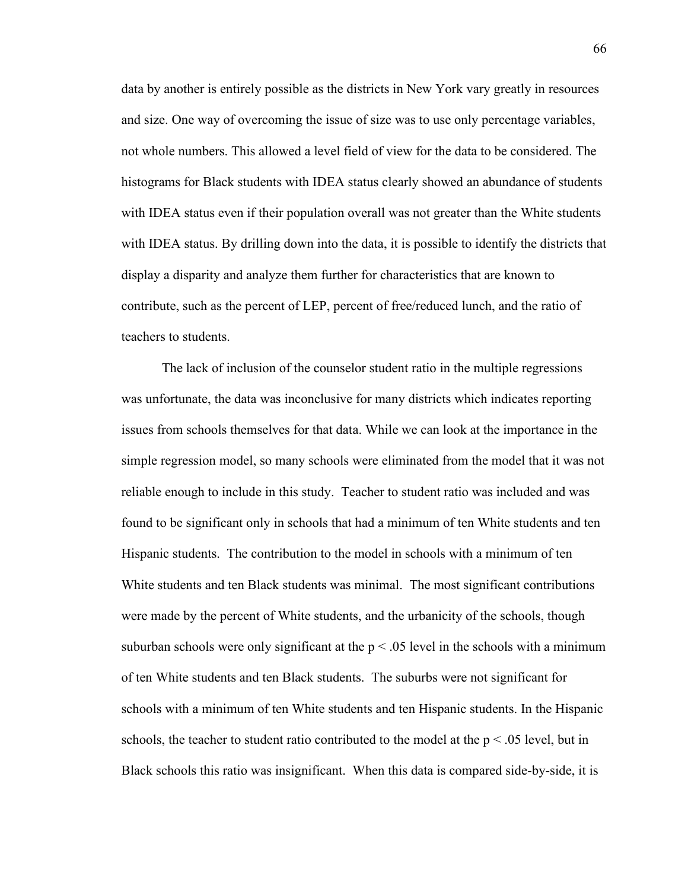data by another is entirely possible as the districts in New York vary greatly in resources and size. One way of overcoming the issue of size was to use only percentage variables, not whole numbers. This allowed a level field of view for the data to be considered. The histograms for Black students with IDEA status clearly showed an abundance of students with IDEA status even if their population overall was not greater than the White students with IDEA status. By drilling down into the data, it is possible to identify the districts that display a disparity and analyze them further for characteristics that are known to contribute, such as the percent of LEP, percent of free/reduced lunch, and the ratio of teachers to students.

The lack of inclusion of the counselor student ratio in the multiple regressions was unfortunate, the data was inconclusive for many districts which indicates reporting issues from schools themselves for that data. While we can look at the importance in the simple regression model, so many schools were eliminated from the model that it was not reliable enough to include in this study. Teacher to student ratio was included and was found to be significant only in schools that had a minimum of ten White students and ten Hispanic students. The contribution to the model in schools with a minimum of ten White students and ten Black students was minimal. The most significant contributions were made by the percent of White students, and the urbanicity of the schools, though suburban schools were only significant at the  $p < .05$  level in the schools with a minimum of ten White students and ten Black students. The suburbs were not significant for schools with a minimum of ten White students and ten Hispanic students. In the Hispanic schools, the teacher to student ratio contributed to the model at the  $p < .05$  level, but in Black schools this ratio was insignificant. When this data is compared side-by-side, it is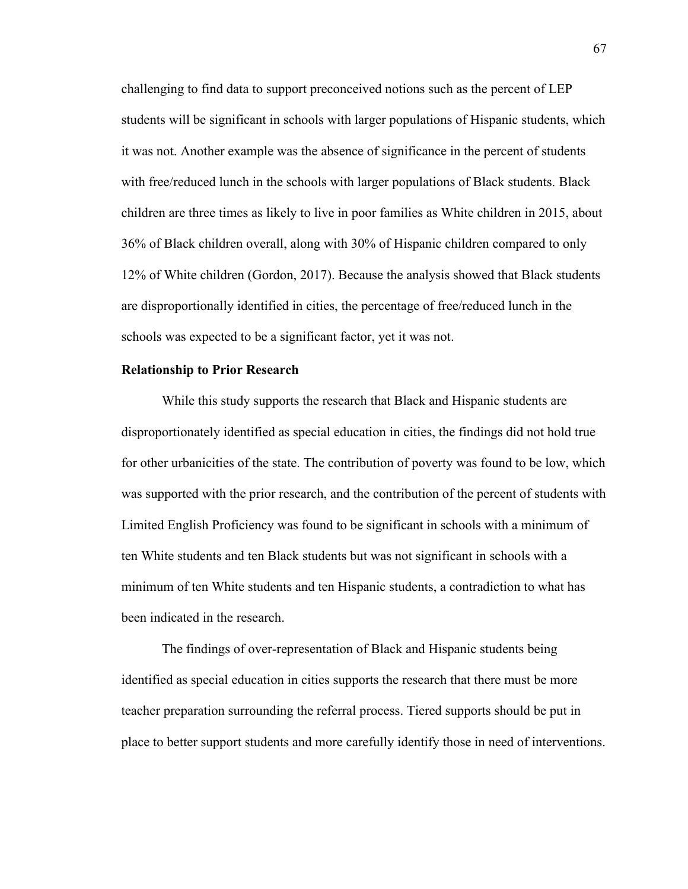challenging to find data to support preconceived notions such as the percent of LEP students will be significant in schools with larger populations of Hispanic students, which it was not. Another example was the absence of significance in the percent of students with free/reduced lunch in the schools with larger populations of Black students. Black children are three times as likely to live in poor families as White children in 2015, about 36% of Black children overall, along with 30% of Hispanic children compared to only 12% of White children (Gordon, 2017). Because the analysis showed that Black students are disproportionally identified in cities, the percentage of free/reduced lunch in the schools was expected to be a significant factor, yet it was not.

## **Relationship to Prior Research**

While this study supports the research that Black and Hispanic students are disproportionately identified as special education in cities, the findings did not hold true for other urbanicities of the state. The contribution of poverty was found to be low, which was supported with the prior research, and the contribution of the percent of students with Limited English Proficiency was found to be significant in schools with a minimum of ten White students and ten Black students but was not significant in schools with a minimum of ten White students and ten Hispanic students, a contradiction to what has been indicated in the research.

The findings of over-representation of Black and Hispanic students being identified as special education in cities supports the research that there must be more teacher preparation surrounding the referral process. Tiered supports should be put in place to better support students and more carefully identify those in need of interventions.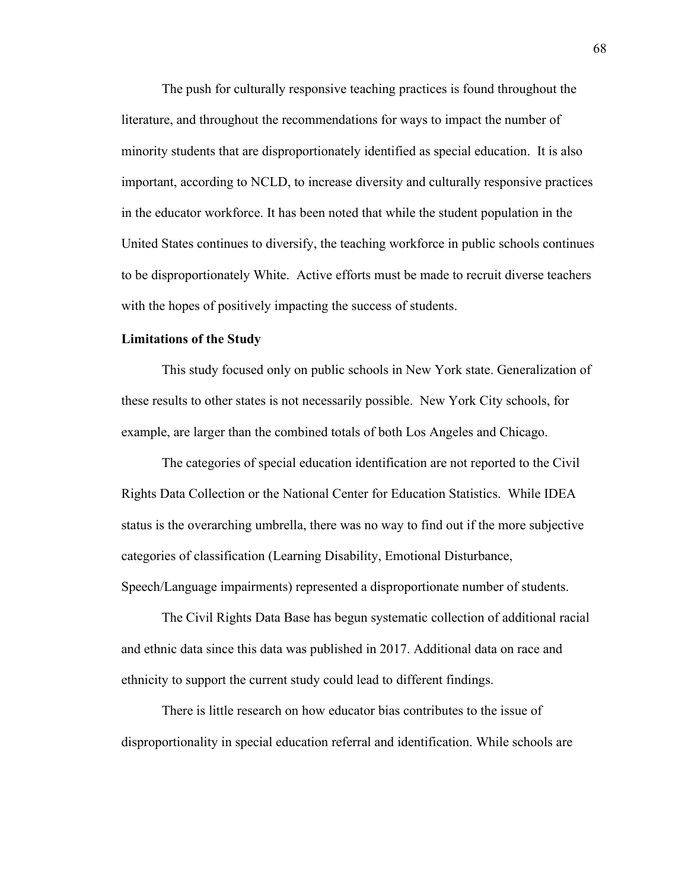The push for culturally responsive teaching practices is found throughout the literature, and throughout the recommendations for ways to impact the number of minority students that are disproportionately identified as special education. It is also important, according to NCLD, to increase diversity and culturally responsive practices in the educator workforce. It has been noted that while the student population in the United States continues to diversify, the teaching workforce in public schools continues to be disproportionately White. Active efforts must be made to recruit diverse teachers with the hopes of positively impacting the success of students.

## **Limitations of the Study**

This study focused only on public schools in New York state. Generalization of these results to other states is not necessarily possible. New York City schools, for example, are larger than the combined totals of both Los Angeles and Chicago.

The categories of special education identification are not reported to the Civil Rights Data Collection or the National Center for Education Statistics. While IDEA status is the overarching umbrella, there was no way to find out if the more subjective categories of classification (Learning Disability, Emotional Disturbance, Speech/Language impairments) represented a disproportionate number of students.

The Civil Rights Data Base has begun systematic collection of additional racial and ethnic data since this data was published in 2017. Additional data on race and ethnicity to support the current study could lead to different findings.

There is little research on how educator bias contributes to the issue of disproportionality in special education referral and identification. While schools are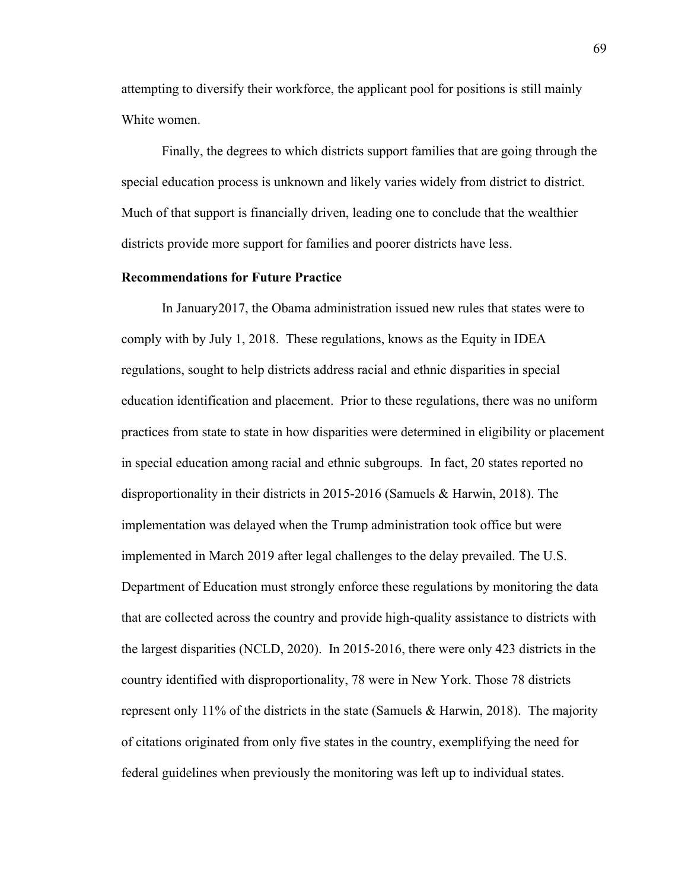attempting to diversify their workforce, the applicant pool for positions is still mainly White women.

Finally, the degrees to which districts support families that are going through the special education process is unknown and likely varies widely from district to district. Much of that support is financially driven, leading one to conclude that the wealthier districts provide more support for families and poorer districts have less.

### **Recommendations for Future Practice**

In January2017, the Obama administration issued new rules that states were to comply with by July 1, 2018. These regulations, knows as the Equity in IDEA regulations, sought to help districts address racial and ethnic disparities in special education identification and placement. Prior to these regulations, there was no uniform practices from state to state in how disparities were determined in eligibility or placement in special education among racial and ethnic subgroups. In fact, 20 states reported no disproportionality in their districts in 2015-2016 (Samuels & Harwin, 2018). The implementation was delayed when the Trump administration took office but were implemented in March 2019 after legal challenges to the delay prevailed. The U.S. Department of Education must strongly enforce these regulations by monitoring the data that are collected across the country and provide high-quality assistance to districts with the largest disparities (NCLD, 2020). In 2015-2016, there were only 423 districts in the country identified with disproportionality, 78 were in New York. Those 78 districts represent only 11% of the districts in the state (Samuels & Harwin, 2018). The majority of citations originated from only five states in the country, exemplifying the need for federal guidelines when previously the monitoring was left up to individual states.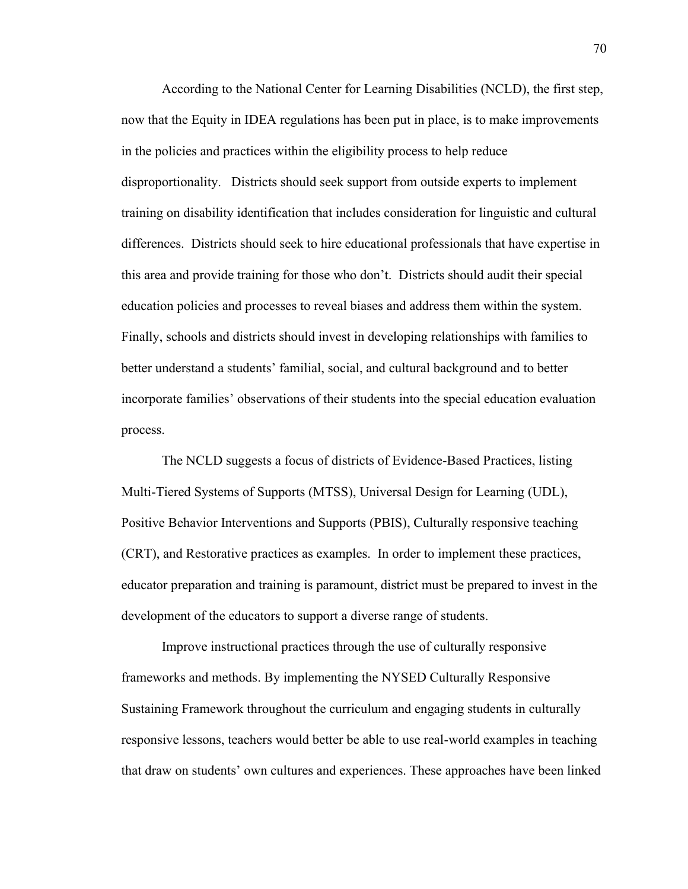According to the National Center for Learning Disabilities (NCLD), the first step, now that the Equity in IDEA regulations has been put in place, is to make improvements in the policies and practices within the eligibility process to help reduce disproportionality. Districts should seek support from outside experts to implement training on disability identification that includes consideration for linguistic and cultural differences. Districts should seek to hire educational professionals that have expertise in this area and provide training for those who don't. Districts should audit their special education policies and processes to reveal biases and address them within the system. Finally, schools and districts should invest in developing relationships with families to better understand a students' familial, social, and cultural background and to better incorporate families' observations of their students into the special education evaluation process.

The NCLD suggests a focus of districts of Evidence-Based Practices, listing Multi-Tiered Systems of Supports (MTSS), Universal Design for Learning (UDL), Positive Behavior Interventions and Supports (PBIS), Culturally responsive teaching (CRT), and Restorative practices as examples. In order to implement these practices, educator preparation and training is paramount, district must be prepared to invest in the development of the educators to support a diverse range of students.

Improve instructional practices through the use of culturally responsive frameworks and methods. By implementing the NYSED Culturally Responsive Sustaining Framework throughout the curriculum and engaging students in culturally responsive lessons, teachers would better be able to use real-world examples in teaching that draw on students' own cultures and experiences. These approaches have been linked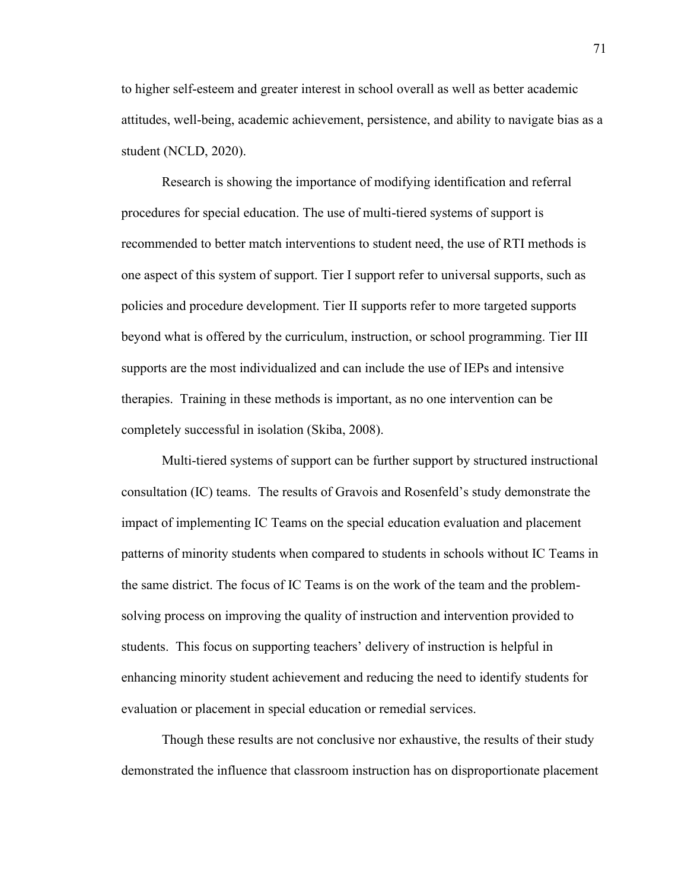to higher self-esteem and greater interest in school overall as well as better academic attitudes, well-being, academic achievement, persistence, and ability to navigate bias as a student (NCLD, 2020).

Research is showing the importance of modifying identification and referral procedures for special education. The use of multi-tiered systems of support is recommended to better match interventions to student need, the use of RTI methods is one aspect of this system of support. Tier I support refer to universal supports, such as policies and procedure development. Tier II supports refer to more targeted supports beyond what is offered by the curriculum, instruction, or school programming. Tier III supports are the most individualized and can include the use of IEPs and intensive therapies. Training in these methods is important, as no one intervention can be completely successful in isolation (Skiba, 2008).

Multi-tiered systems of support can be further support by structured instructional consultation (IC) teams. The results of Gravois and Rosenfeld's study demonstrate the impact of implementing IC Teams on the special education evaluation and placement patterns of minority students when compared to students in schools without IC Teams in the same district. The focus of IC Teams is on the work of the team and the problemsolving process on improving the quality of instruction and intervention provided to students. This focus on supporting teachers' delivery of instruction is helpful in enhancing minority student achievement and reducing the need to identify students for evaluation or placement in special education or remedial services.

Though these results are not conclusive nor exhaustive, the results of their study demonstrated the influence that classroom instruction has on disproportionate placement

71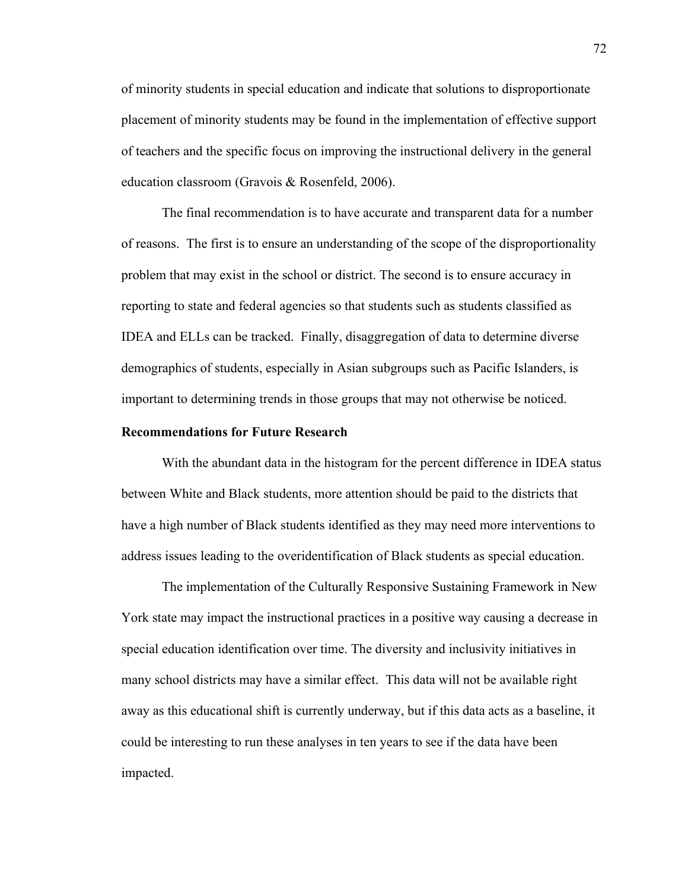of minority students in special education and indicate that solutions to disproportionate placement of minority students may be found in the implementation of effective support of teachers and the specific focus on improving the instructional delivery in the general education classroom (Gravois & Rosenfeld, 2006).

The final recommendation is to have accurate and transparent data for a number of reasons. The first is to ensure an understanding of the scope of the disproportionality problem that may exist in the school or district. The second is to ensure accuracy in reporting to state and federal agencies so that students such as students classified as IDEA and ELLs can be tracked. Finally, disaggregation of data to determine diverse demographics of students, especially in Asian subgroups such as Pacific Islanders, is important to determining trends in those groups that may not otherwise be noticed.

# **Recommendations for Future Research**

With the abundant data in the histogram for the percent difference in IDEA status between White and Black students, more attention should be paid to the districts that have a high number of Black students identified as they may need more interventions to address issues leading to the overidentification of Black students as special education.

The implementation of the Culturally Responsive Sustaining Framework in New York state may impact the instructional practices in a positive way causing a decrease in special education identification over time. The diversity and inclusivity initiatives in many school districts may have a similar effect. This data will not be available right away as this educational shift is currently underway, but if this data acts as a baseline, it could be interesting to run these analyses in ten years to see if the data have been impacted.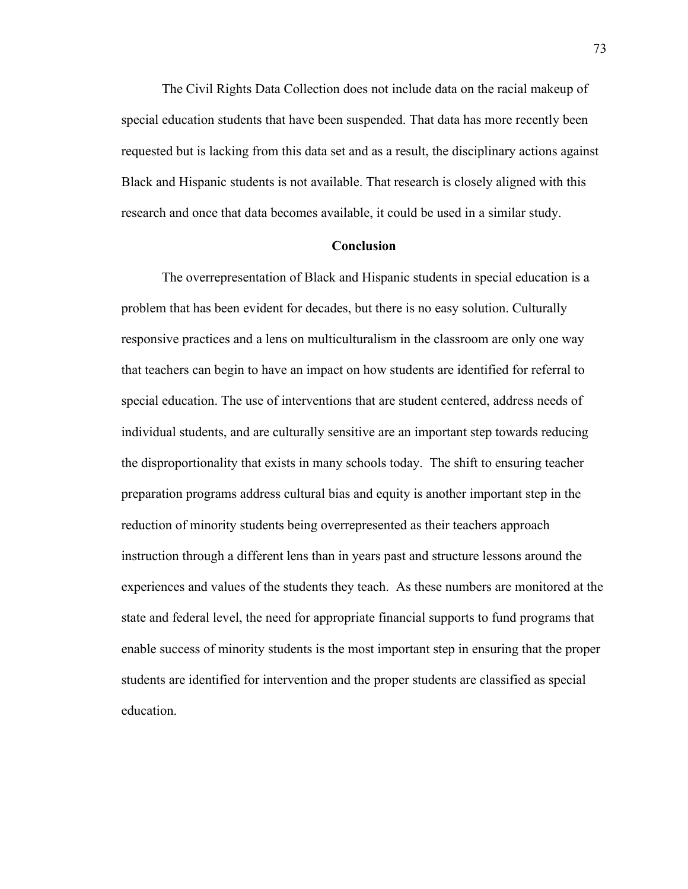The Civil Rights Data Collection does not include data on the racial makeup of special education students that have been suspended. That data has more recently been requested but is lacking from this data set and as a result, the disciplinary actions against Black and Hispanic students is not available. That research is closely aligned with this research and once that data becomes available, it could be used in a similar study.

#### **Conclusion**

The overrepresentation of Black and Hispanic students in special education is a problem that has been evident for decades, but there is no easy solution. Culturally responsive practices and a lens on multiculturalism in the classroom are only one way that teachers can begin to have an impact on how students are identified for referral to special education. The use of interventions that are student centered, address needs of individual students, and are culturally sensitive are an important step towards reducing the disproportionality that exists in many schools today. The shift to ensuring teacher preparation programs address cultural bias and equity is another important step in the reduction of minority students being overrepresented as their teachers approach instruction through a different lens than in years past and structure lessons around the experiences and values of the students they teach. As these numbers are monitored at the state and federal level, the need for appropriate financial supports to fund programs that enable success of minority students is the most important step in ensuring that the proper students are identified for intervention and the proper students are classified as special education.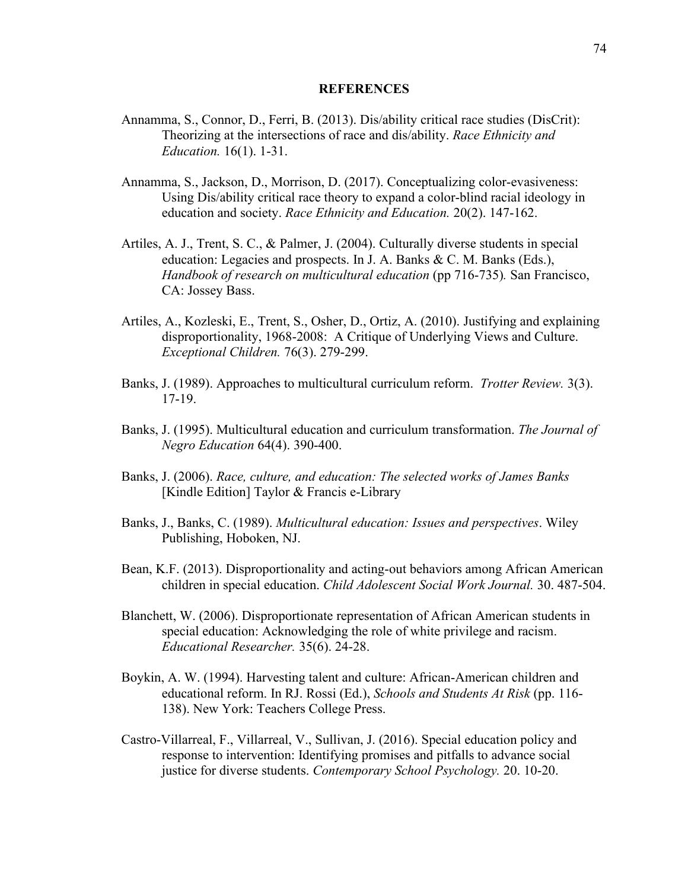#### **REFERENCES**

- Annamma, S., Connor, D., Ferri, B. (2013). Dis/ability critical race studies (DisCrit): Theorizing at the intersections of race and dis/ability. *Race Ethnicity and Education.* 16(1). 1-31.
- Annamma, S., Jackson, D., Morrison, D. (2017). Conceptualizing color-evasiveness: Using Dis/ability critical race theory to expand a color-blind racial ideology in education and society. *Race Ethnicity and Education.* 20(2). 147-162.
- Artiles, A. J., Trent, S. C., & Palmer, J. (2004). Culturally diverse students in special education: Legacies and prospects. In J. A. Banks & C. M. Banks (Eds.), *Handbook of research on multicultural education* (pp 716-735)*.* San Francisco, CA: Jossey Bass.
- Artiles, A., Kozleski, E., Trent, S., Osher, D., Ortiz, A. (2010). Justifying and explaining disproportionality, 1968-2008: A Critique of Underlying Views and Culture. *Exceptional Children.* 76(3). 279-299.
- Banks, J. (1989). Approaches to multicultural curriculum reform. *Trotter Review.* 3(3). 17-19.
- Banks, J. (1995). Multicultural education and curriculum transformation. *The Journal of Negro Education* 64(4). 390-400.
- Banks, J. (2006). *Race, culture, and education: The selected works of James Banks* [Kindle Edition] Taylor & Francis e-Library
- Banks, J., Banks, C. (1989). *Multicultural education: Issues and perspectives*. Wiley Publishing, Hoboken, NJ.
- Bean, K.F. (2013). Disproportionality and acting-out behaviors among African American children in special education. *Child Adolescent Social Work Journal.* 30. 487-504.
- Blanchett, W. (2006). Disproportionate representation of African American students in special education: Acknowledging the role of white privilege and racism. *Educational Researcher.* 35(6). 24-28.
- Boykin, A. W. (1994). Harvesting talent and culture: African-American children and educational reform. In RJ. Rossi (Ed.), *Schools and Students At Risk* (pp. 116- 138). New York: Teachers College Press.
- Castro-Villarreal, F., Villarreal, V., Sullivan, J. (2016). Special education policy and response to intervention: Identifying promises and pitfalls to advance social justice for diverse students. *Contemporary School Psychology.* 20. 10-20.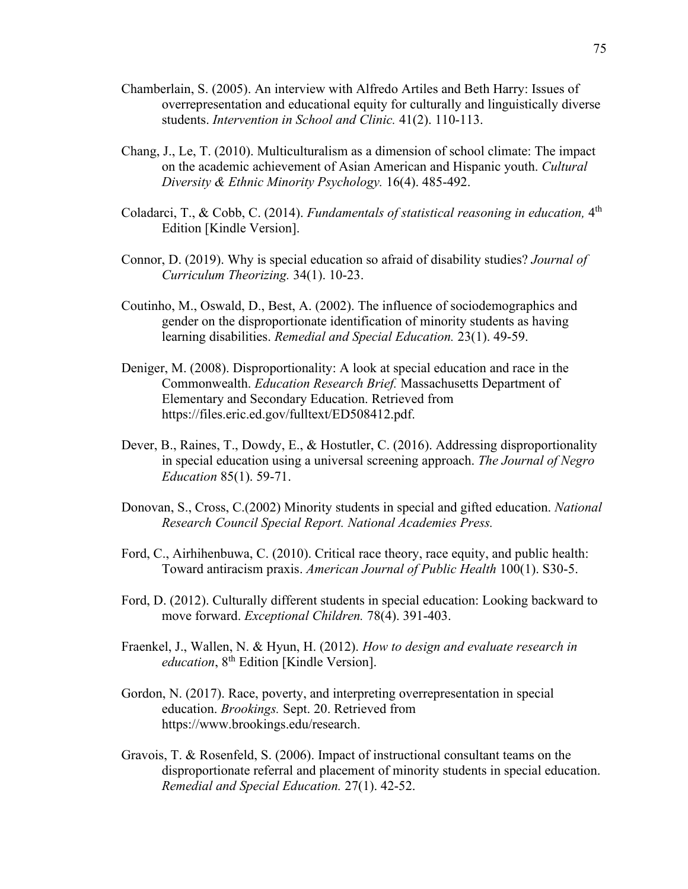- Chamberlain, S. (2005). An interview with Alfredo Artiles and Beth Harry: Issues of overrepresentation and educational equity for culturally and linguistically diverse students. *Intervention in School and Clinic.* 41(2). 110-113.
- Chang, J., Le, T. (2010). Multiculturalism as a dimension of school climate: The impact on the academic achievement of Asian American and Hispanic youth. *Cultural Diversity & Ethnic Minority Psychology.* 16(4). 485-492.
- Coladarci, T., & Cobb, C. (2014). *Fundamentals of statistical reasoning in education*, 4<sup>th</sup> Edition [Kindle Version].
- Connor, D. (2019). Why is special education so afraid of disability studies? *Journal of Curriculum Theorizing.* 34(1). 10-23.
- Coutinho, M., Oswald, D., Best, A. (2002). The influence of sociodemographics and gender on the disproportionate identification of minority students as having learning disabilities. *Remedial and Special Education.* 23(1). 49-59.
- Deniger, M. (2008). Disproportionality: A look at special education and race in the Commonwealth. *Education Research Brief.* Massachusetts Department of Elementary and Secondary Education. Retrieved from https://files.eric.ed.gov/fulltext/ED508412.pdf.
- Dever, B., Raines, T., Dowdy, E., & Hostutler, C. (2016). Addressing disproportionality in special education using a universal screening approach. *The Journal of Negro Education* 85(1). 59-71.
- Donovan, S., Cross, C.(2002) Minority students in special and gifted education. *National Research Council Special Report. National Academies Press.*
- Ford, C., Airhihenbuwa, C. (2010). Critical race theory, race equity, and public health: Toward antiracism praxis. *American Journal of Public Health* 100(1). S30-5.
- Ford, D. (2012). Culturally different students in special education: Looking backward to move forward. *Exceptional Children.* 78(4). 391-403.
- Fraenkel, J., Wallen, N. & Hyun, H. (2012). *How to design and evaluate research in education*, 8<sup>th</sup> Edition [Kindle Version].
- Gordon, N. (2017). Race, poverty, and interpreting overrepresentation in special education. *Brookings.* Sept. 20. Retrieved from https://www.brookings.edu/research.
- Gravois, T. & Rosenfeld, S. (2006). Impact of instructional consultant teams on the disproportionate referral and placement of minority students in special education. *Remedial and Special Education.* 27(1). 42-52.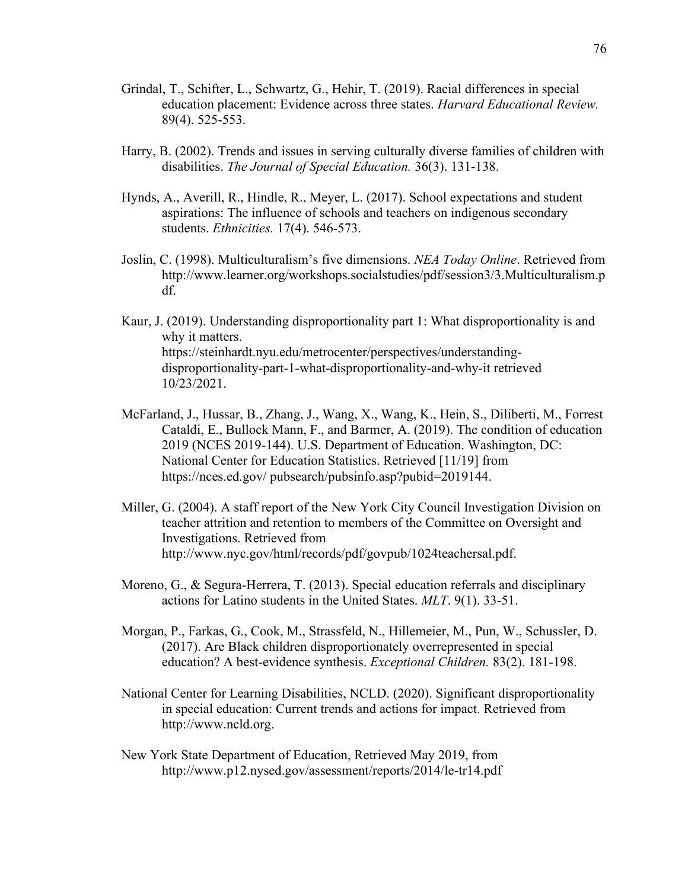- Grindal, T., Schifter, L., Schwartz, G., Hehir, T. (2019). Racial differences in special education placement: Evidence across three states. *Harvard Educational Review.* 89(4). 525-553.
- Harry, B. (2002). Trends and issues in serving culturally diverse families of children with disabilities. *The Journal of Special Education.* 36(3). 131-138.
- Hynds, A., Averill, R., Hindle, R., Meyer, L. (2017). School expectations and student aspirations: The influence of schools and teachers on indigenous secondary students. *Ethnicities.* 17(4). 546-573.
- Joslin, C. (1998). Multiculturalism's five dimensions. *NEA Today Online*. Retrieved from http://www.learner.org/workshops.socialstudies/pdf/session3/3.Multiculturalism.p df.
- Kaur, J. (2019). Understanding disproportionality part 1: What disproportionality is and why it matters. https://steinhardt.nyu.edu/metrocenter/perspectives/understandingdisproportionality-part-1-what-disproportionality-and-why-it retrieved 10/23/2021.
- McFarland, J., Hussar, B., Zhang, J., Wang, X., Wang, K., Hein, S., Diliberti, M., Forrest Cataldi, E., Bullock Mann, F., and Barmer, A. (2019). The condition of education 2019 (NCES 2019-144). U.S. Department of Education. Washington, DC: National Center for Education Statistics. Retrieved [11/19] from https://nces.ed.gov/ pubsearch/pubsinfo.asp?pubid=2019144.
- Miller, G. (2004). A staff report of the New York City Council Investigation Division on teacher attrition and retention to members of the Committee on Oversight and Investigations. Retrieved from http://www.nyc.gov/html/records/pdf/govpub/1024teachersal.pdf.
- Moreno, G., & Segura-Herrera, T. (2013). Special education referrals and disciplinary actions for Latino students in the United States. *MLT*. 9(1). 33-51.
- Morgan, P., Farkas, G., Cook, M., Strassfeld, N., Hillemeier, M., Pun, W., Schussler, D. (2017). Are Black children disproportionately overrepresented in special education? A best-evidence synthesis. *Exceptional Children.* 83(2). 181-198.
- National Center for Learning Disabilities, NCLD. (2020). Significant disproportionality in special education: Current trends and actions for impact. Retrieved from http://www.ncld.org.
- New York State Department of Education, Retrieved May 2019, from http://www.p12.nysed.gov/assessment/reports/2014/le-tr14.pdf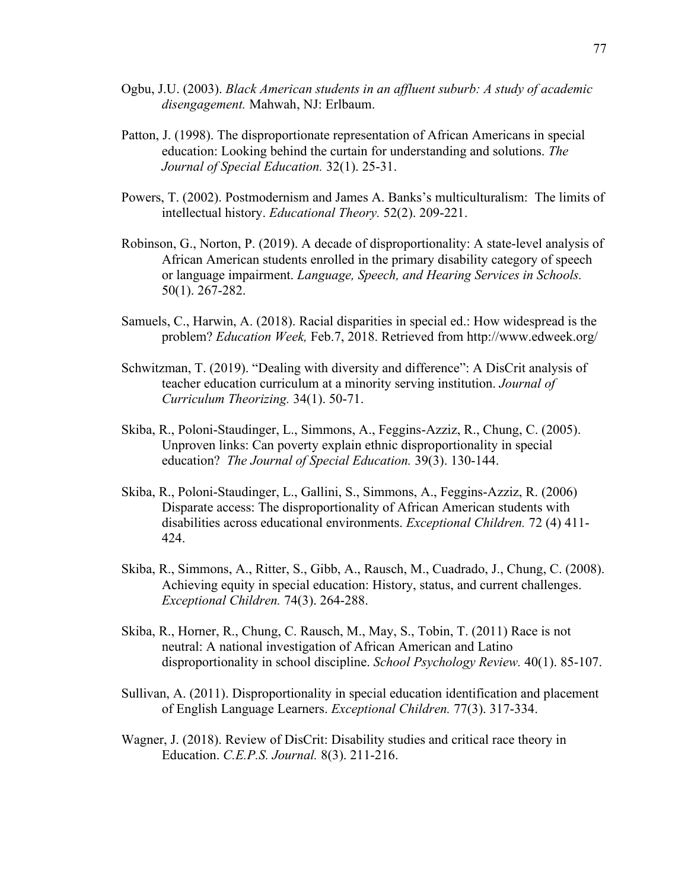- Ogbu, J.U. (2003). *Black American students in an affluent suburb: A study of academic disengagement.* Mahwah, NJ: Erlbaum.
- Patton, J. (1998). The disproportionate representation of African Americans in special education: Looking behind the curtain for understanding and solutions. *The Journal of Special Education.* 32(1). 25-31.
- Powers, T. (2002). Postmodernism and James A. Banks's multiculturalism: The limits of intellectual history. *Educational Theory.* 52(2). 209-221.
- Robinson, G., Norton, P. (2019). A decade of disproportionality: A state-level analysis of African American students enrolled in the primary disability category of speech or language impairment. *Language, Speech, and Hearing Services in Schools.* 50(1). 267-282.
- Samuels, C., Harwin, A. (2018). Racial disparities in special ed.: How widespread is the problem? *Education Week,* Feb.7, 2018. Retrieved from http://www.edweek.org/
- Schwitzman, T. (2019). "Dealing with diversity and difference": A DisCrit analysis of teacher education curriculum at a minority serving institution. *Journal of Curriculum Theorizing.* 34(1). 50-71.
- Skiba, R., Poloni-Staudinger, L., Simmons, A., Feggins-Azziz, R., Chung, C. (2005). Unproven links: Can poverty explain ethnic disproportionality in special education? *The Journal of Special Education.* 39(3). 130-144.
- Skiba, R., Poloni-Staudinger, L., Gallini, S., Simmons, A., Feggins-Azziz, R. (2006) Disparate access: The disproportionality of African American students with disabilities across educational environments. *Exceptional Children.* 72 (4) 411- 424.
- Skiba, R., Simmons, A., Ritter, S., Gibb, A., Rausch, M., Cuadrado, J., Chung, C. (2008). Achieving equity in special education: History, status, and current challenges. *Exceptional Children.* 74(3). 264-288.
- Skiba, R., Horner, R., Chung, C. Rausch, M., May, S., Tobin, T. (2011) Race is not neutral: A national investigation of African American and Latino disproportionality in school discipline. *School Psychology Review.* 40(1). 85-107.
- Sullivan, A. (2011). Disproportionality in special education identification and placement of English Language Learners. *Exceptional Children.* 77(3). 317-334.
- Wagner, J. (2018). Review of DisCrit: Disability studies and critical race theory in Education. *C.E.P.S. Journal.* 8(3). 211-216.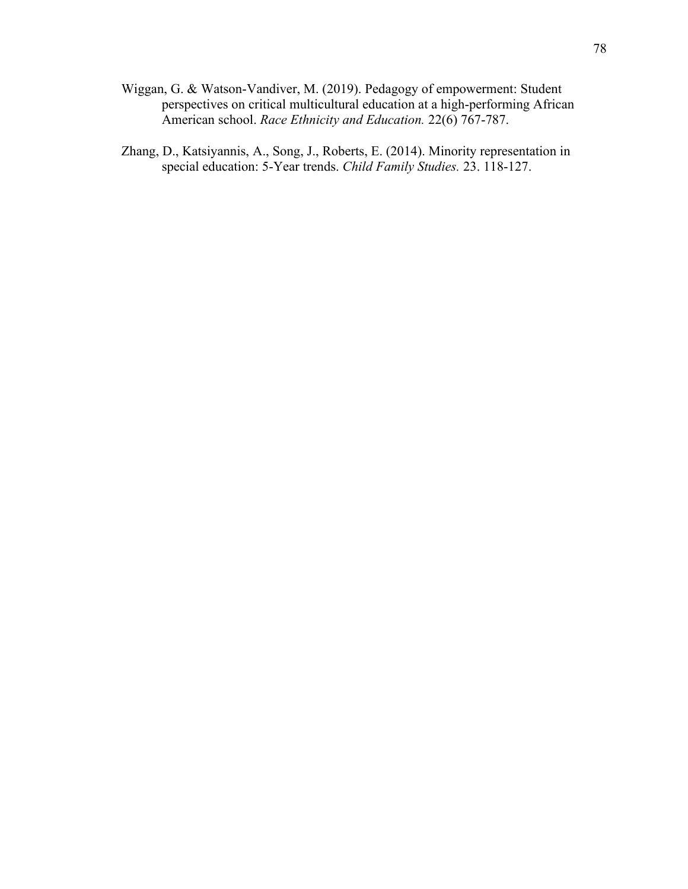- Wiggan, G. & Watson-Vandiver, M. (2019). Pedagogy of empowerment: Student perspectives on critical multicultural education at a high-performing African American school. *Race Ethnicity and Education.* 22(6) 767-787.
- Zhang, D., Katsiyannis, A., Song, J., Roberts, E. (2014). Minority representation in special education: 5-Year trends. *Child Family Studies.* 23. 118-127.